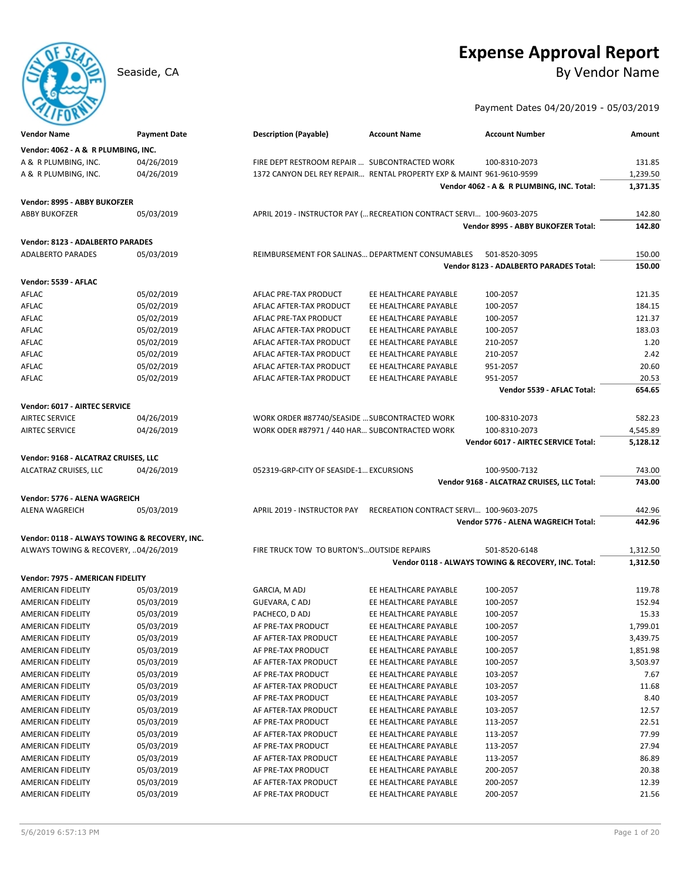# **Expense Approval Report**

Seaside, CA By Vendor Name

Payment Dates 04/20/2019 - 05/03/2019

| <b>Vendor Name</b>                                           | <b>Payment Date</b>      | <b>Description (Payable)</b>                     | <b>Account Name</b>                                                   | <b>Account Number</b>                                                | Amount               |
|--------------------------------------------------------------|--------------------------|--------------------------------------------------|-----------------------------------------------------------------------|----------------------------------------------------------------------|----------------------|
| Vendor: 4062 - A & R PLUMBING, INC.                          |                          |                                                  |                                                                       |                                                                      |                      |
| A & R PLUMBING, INC.                                         | 04/26/2019               | FIRE DEPT RESTROOM REPAIR  SUBCONTRACTED WORK    |                                                                       | 100-8310-2073                                                        | 131.85               |
| A & R PLUMBING, INC.                                         | 04/26/2019               |                                                  | 1372 CANYON DEL REY REPAIR RENTAL PROPERTY EXP & MAINT 961-9610-9599  |                                                                      | 1,239.50             |
|                                                              |                          |                                                  |                                                                       | Vendor 4062 - A & R PLUMBING, INC. Total:                            | 1,371.35             |
| Vendor: 8995 - ABBY BUKOFZER                                 |                          |                                                  |                                                                       |                                                                      |                      |
| <b>ABBY BUKOFZER</b>                                         | 05/03/2019               |                                                  | APRIL 2019 - INSTRUCTOR PAY ( RECREATION CONTRACT SERVI 100-9603-2075 |                                                                      | 142.80               |
|                                                              |                          |                                                  |                                                                       | Vendor 8995 - ABBY BUKOFZER Total:                                   | 142.80               |
|                                                              |                          |                                                  |                                                                       |                                                                      |                      |
| Vendor: 8123 - ADALBERTO PARADES<br><b>ADALBERTO PARADES</b> |                          |                                                  |                                                                       |                                                                      |                      |
|                                                              | 05/03/2019               | REIMBURSEMENT FOR SALINAS DEPARTMENT CONSUMABLES |                                                                       | 501-8520-3095<br>Vendor 8123 - ADALBERTO PARADES Total:              | 150.00<br>150.00     |
|                                                              |                          |                                                  |                                                                       |                                                                      |                      |
| Vendor: 5539 - AFLAC                                         |                          |                                                  |                                                                       |                                                                      |                      |
| AFLAC                                                        | 05/02/2019               | AFLAC PRE-TAX PRODUCT                            | EE HEALTHCARE PAYABLE                                                 | 100-2057                                                             | 121.35               |
| AFLAC                                                        | 05/02/2019               | AFLAC AFTER-TAX PRODUCT                          | EE HEALTHCARE PAYABLE                                                 | 100-2057                                                             | 184.15               |
| AFLAC                                                        | 05/02/2019               | AFLAC PRE-TAX PRODUCT                            | EE HEALTHCARE PAYABLE                                                 | 100-2057                                                             | 121.37               |
| AFLAC                                                        | 05/02/2019               | AFLAC AFTER-TAX PRODUCT                          | EE HEALTHCARE PAYABLE                                                 | 100-2057                                                             | 183.03               |
| AFLAC                                                        | 05/02/2019               | AFLAC AFTER-TAX PRODUCT                          | EE HEALTHCARE PAYABLE                                                 | 210-2057                                                             | 1.20                 |
| AFLAC                                                        | 05/02/2019               | AFLAC AFTER-TAX PRODUCT                          | EE HEALTHCARE PAYABLE                                                 | 210-2057                                                             | 2.42                 |
| AFLAC                                                        | 05/02/2019               | AFLAC AFTER-TAX PRODUCT                          | EE HEALTHCARE PAYABLE                                                 | 951-2057                                                             | 20.60                |
| AFLAC                                                        | 05/02/2019               | AFLAC AFTER-TAX PRODUCT                          | EE HEALTHCARE PAYABLE                                                 | 951-2057                                                             | 20.53                |
|                                                              |                          |                                                  |                                                                       | Vendor 5539 - AFLAC Total:                                           | 654.65               |
| Vendor: 6017 - AIRTEC SERVICE                                |                          |                                                  |                                                                       |                                                                      |                      |
| <b>AIRTEC SERVICE</b>                                        | 04/26/2019               | WORK ORDER #87740/SEASIDE  SUBCONTRACTED WORK    |                                                                       | 100-8310-2073                                                        | 582.23               |
| <b>AIRTEC SERVICE</b>                                        | 04/26/2019               | WORK ODER #87971 / 440 HAR SUBCONTRACTED WORK    |                                                                       | 100-8310-2073                                                        | 4,545.89             |
|                                                              |                          |                                                  |                                                                       | Vendor 6017 - AIRTEC SERVICE Total:                                  | 5,128.12             |
| Vendor: 9168 - ALCATRAZ CRUISES, LLC                         |                          |                                                  |                                                                       |                                                                      |                      |
| ALCATRAZ CRUISES, LLC                                        | 04/26/2019               | 052319-GRP-CITY OF SEASIDE-1 EXCURSIONS          |                                                                       | 100-9500-7132                                                        | 743.00               |
|                                                              |                          |                                                  |                                                                       | Vendor 9168 - ALCATRAZ CRUISES, LLC Total:                           | 743.00               |
| Vendor: 5776 - ALENA WAGREICH                                |                          |                                                  |                                                                       |                                                                      |                      |
| ALENA WAGREICH                                               | 05/03/2019               |                                                  | APRIL 2019 - INSTRUCTOR PAY RECREATION CONTRACT SERVI 100-9603-2075   |                                                                      | 442.96               |
|                                                              |                          |                                                  |                                                                       | Vendor 5776 - ALENA WAGREICH Total:                                  | 442.96               |
|                                                              |                          |                                                  |                                                                       |                                                                      |                      |
| Vendor: 0118 - ALWAYS TOWING & RECOVERY, INC.                |                          |                                                  |                                                                       |                                                                      |                      |
| ALWAYS TOWING & RECOVERY, 04/26/2019                         |                          | FIRE TRUCK TOW TO BURTON'S OUTSIDE REPAIRS       |                                                                       | 501-8520-6148<br>Vendor 0118 - ALWAYS TOWING & RECOVERY, INC. Total: | 1,312.50<br>1,312.50 |
|                                                              |                          |                                                  |                                                                       |                                                                      |                      |
| Vendor: 7975 - AMERICAN FIDELITY                             |                          |                                                  |                                                                       |                                                                      |                      |
| AMERICAN FIDELITY                                            | 05/03/2019               | GARCIA, M ADJ                                    | EE HEALTHCARE PAYABLE                                                 | 100-2057                                                             | 119.78               |
| AMERICAN FIDELITY                                            | 05/03/2019               | GUEVARA, CADJ                                    | EE HEALTHCARE PAYABLE                                                 | 100-2057                                                             | 152.94               |
| <b>AMERICAN FIDELITY</b>                                     | 05/03/2019               | PACHECO, D ADJ                                   | EE HEALTHCARE PAYABLE                                                 | 100-2057                                                             | 15.33                |
| <b>AMERICAN FIDELITY</b>                                     | 05/03/2019               | AF PRE-TAX PRODUCT                               | EE HEALTHCARE PAYABLE                                                 | 100-2057                                                             | 1,799.01             |
| AMERICAN FIDELITY                                            | 05/03/2019               | AF AFTER-TAX PRODUCT                             | EE HEALTHCARE PAYABLE                                                 | 100-2057                                                             | 3,439.75             |
| AMERICAN FIDELITY                                            | 05/03/2019               | AF PRE-TAX PRODUCT                               | EE HEALTHCARE PAYABLE                                                 | 100-2057                                                             | 1,851.98             |
| AMERICAN FIDELITY                                            | 05/03/2019               | AF AFTER-TAX PRODUCT                             | EE HEALTHCARE PAYABLE                                                 | 100-2057                                                             | 3,503.97             |
| AMERICAN FIDELITY                                            | 05/03/2019               | AF PRE-TAX PRODUCT                               | EE HEALTHCARE PAYABLE                                                 | 103-2057                                                             | 7.67                 |
| AMERICAN FIDELITY                                            | 05/03/2019               | AF AFTER-TAX PRODUCT                             | EE HEALTHCARE PAYABLE<br>EE HEALTHCARE PAYABLE                        | 103-2057                                                             | 11.68                |
| AMERICAN FIDELITY                                            | 05/03/2019<br>05/03/2019 | AF PRE-TAX PRODUCT<br>AF AFTER-TAX PRODUCT       |                                                                       | 103-2057<br>103-2057                                                 | 8.40<br>12.57        |
| AMERICAN FIDELITY                                            | 05/03/2019               |                                                  | EE HEALTHCARE PAYABLE<br>EE HEALTHCARE PAYABLE                        |                                                                      |                      |
| AMERICAN FIDELITY                                            |                          | AF PRE-TAX PRODUCT<br>AF AFTER-TAX PRODUCT       |                                                                       | 113-2057                                                             | 22.51<br>77.99       |
| AMERICAN FIDELITY                                            | 05/03/2019<br>05/03/2019 |                                                  | EE HEALTHCARE PAYABLE                                                 | 113-2057                                                             |                      |
| AMERICAN FIDELITY<br>AMERICAN FIDELITY                       | 05/03/2019               | AF PRE-TAX PRODUCT<br>AF AFTER-TAX PRODUCT       | EE HEALTHCARE PAYABLE<br>EE HEALTHCARE PAYABLE                        | 113-2057<br>113-2057                                                 | 27.94<br>86.89       |
| AMERICAN FIDELITY                                            | 05/03/2019               | AF PRE-TAX PRODUCT                               | EE HEALTHCARE PAYABLE                                                 | 200-2057                                                             | 20.38                |
| AMERICAN FIDELITY                                            | 05/03/2019               | AF AFTER-TAX PRODUCT                             | EE HEALTHCARE PAYABLE                                                 | 200-2057                                                             | 12.39                |
| AMERICAN FIDELITY                                            | 05/03/2019               | AF PRE-TAX PRODUCT                               | EE HEALTHCARE PAYABLE                                                 | 200-2057                                                             | 21.56                |
|                                                              |                          |                                                  |                                                                       |                                                                      |                      |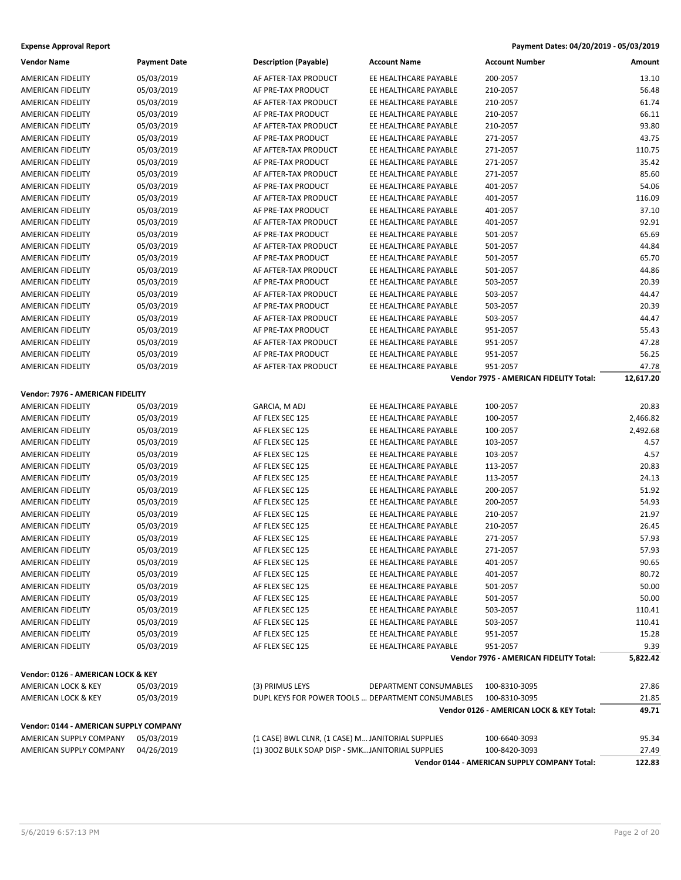| <b>Vendor Name</b>                     | <b>Payment Date</b> | <b>Description (Payable)</b>                      | <b>Account Name</b>    | <b>Account Number</b>                        | Amount    |
|----------------------------------------|---------------------|---------------------------------------------------|------------------------|----------------------------------------------|-----------|
| <b>AMERICAN FIDELITY</b>               | 05/03/2019          | AF AFTER-TAX PRODUCT                              | EE HEALTHCARE PAYABLE  | 200-2057                                     | 13.10     |
| <b>AMERICAN FIDELITY</b>               | 05/03/2019          | AF PRE-TAX PRODUCT                                | EE HEALTHCARE PAYABLE  | 210-2057                                     | 56.48     |
| AMERICAN FIDELITY                      | 05/03/2019          | AF AFTER-TAX PRODUCT                              | EE HEALTHCARE PAYABLE  | 210-2057                                     | 61.74     |
| AMERICAN FIDELITY                      | 05/03/2019          | AF PRE-TAX PRODUCT                                | EE HEALTHCARE PAYABLE  | 210-2057                                     | 66.11     |
| AMERICAN FIDELITY                      | 05/03/2019          | AF AFTER-TAX PRODUCT                              | EE HEALTHCARE PAYABLE  | 210-2057                                     | 93.80     |
| AMERICAN FIDELITY                      | 05/03/2019          | AF PRE-TAX PRODUCT                                | EE HEALTHCARE PAYABLE  | 271-2057                                     | 43.75     |
| AMERICAN FIDELITY                      | 05/03/2019          | AF AFTER-TAX PRODUCT                              | EE HEALTHCARE PAYABLE  | 271-2057                                     | 110.75    |
| AMERICAN FIDELITY                      | 05/03/2019          | AF PRE-TAX PRODUCT                                | EE HEALTHCARE PAYABLE  | 271-2057                                     | 35.42     |
| <b>AMERICAN FIDELITY</b>               | 05/03/2019          | AF AFTER-TAX PRODUCT                              | EE HEALTHCARE PAYABLE  | 271-2057                                     | 85.60     |
| AMERICAN FIDELITY                      | 05/03/2019          | AF PRE-TAX PRODUCT                                | EE HEALTHCARE PAYABLE  | 401-2057                                     | 54.06     |
| AMERICAN FIDELITY                      | 05/03/2019          | AF AFTER-TAX PRODUCT                              | EE HEALTHCARE PAYABLE  | 401-2057                                     | 116.09    |
| AMERICAN FIDELITY                      | 05/03/2019          | AF PRE-TAX PRODUCT                                | EE HEALTHCARE PAYABLE  | 401-2057                                     | 37.10     |
| AMERICAN FIDELITY                      | 05/03/2019          | AF AFTER-TAX PRODUCT                              | EE HEALTHCARE PAYABLE  | 401-2057                                     | 92.91     |
| AMERICAN FIDELITY                      | 05/03/2019          | AF PRE-TAX PRODUCT                                | EE HEALTHCARE PAYABLE  | 501-2057                                     | 65.69     |
| AMERICAN FIDELITY                      | 05/03/2019          | AF AFTER-TAX PRODUCT                              | EE HEALTHCARE PAYABLE  | 501-2057                                     | 44.84     |
| AMERICAN FIDELITY                      | 05/03/2019          | AF PRE-TAX PRODUCT                                | EE HEALTHCARE PAYABLE  | 501-2057                                     | 65.70     |
| <b>AMERICAN FIDELITY</b>               | 05/03/2019          | AF AFTER-TAX PRODUCT                              | EE HEALTHCARE PAYABLE  | 501-2057                                     | 44.86     |
| AMERICAN FIDELITY                      | 05/03/2019          | AF PRE-TAX PRODUCT                                | EE HEALTHCARE PAYABLE  | 503-2057                                     | 20.39     |
| AMERICAN FIDELITY                      | 05/03/2019          | AF AFTER-TAX PRODUCT                              | EE HEALTHCARE PAYABLE  | 503-2057                                     | 44.47     |
| AMERICAN FIDELITY                      | 05/03/2019          | AF PRE-TAX PRODUCT                                | EE HEALTHCARE PAYABLE  | 503-2057                                     | 20.39     |
| AMERICAN FIDELITY                      | 05/03/2019          | AF AFTER-TAX PRODUCT                              | EE HEALTHCARE PAYABLE  | 503-2057                                     | 44.47     |
| AMERICAN FIDELITY                      | 05/03/2019          | AF PRE-TAX PRODUCT                                | EE HEALTHCARE PAYABLE  | 951-2057                                     | 55.43     |
| AMERICAN FIDELITY                      | 05/03/2019          | AF AFTER-TAX PRODUCT                              | EE HEALTHCARE PAYABLE  | 951-2057                                     | 47.28     |
| AMERICAN FIDELITY                      | 05/03/2019          | AF PRE-TAX PRODUCT                                | EE HEALTHCARE PAYABLE  | 951-2057                                     | 56.25     |
| AMERICAN FIDELITY                      | 05/03/2019          | AF AFTER-TAX PRODUCT                              | EE HEALTHCARE PAYABLE  | 951-2057                                     | 47.78     |
|                                        |                     |                                                   |                        | Vendor 7975 - AMERICAN FIDELITY Total:       | 12,617.20 |
| Vendor: 7976 - AMERICAN FIDELITY       |                     |                                                   |                        |                                              |           |
| AMERICAN FIDELITY                      | 05/03/2019          | GARCIA, M ADJ                                     | EE HEALTHCARE PAYABLE  | 100-2057                                     | 20.83     |
| AMERICAN FIDELITY                      | 05/03/2019          | AF FLEX SEC 125                                   | EE HEALTHCARE PAYABLE  | 100-2057                                     | 2,466.82  |
| AMERICAN FIDELITY                      | 05/03/2019          | AF FLEX SEC 125                                   | EE HEALTHCARE PAYABLE  | 100-2057                                     | 2,492.68  |
| AMERICAN FIDELITY                      | 05/03/2019          | AF FLEX SEC 125                                   | EE HEALTHCARE PAYABLE  | 103-2057                                     | 4.57      |
| AMERICAN FIDELITY                      | 05/03/2019          | AF FLEX SEC 125                                   | EE HEALTHCARE PAYABLE  | 103-2057                                     | 4.57      |
| AMERICAN FIDELITY                      | 05/03/2019          | AF FLEX SEC 125                                   | EE HEALTHCARE PAYABLE  | 113-2057                                     | 20.83     |
| AMERICAN FIDELITY                      | 05/03/2019          | AF FLEX SEC 125                                   | EE HEALTHCARE PAYABLE  | 113-2057                                     | 24.13     |
| AMERICAN FIDELITY                      | 05/03/2019          | AF FLEX SEC 125                                   | EE HEALTHCARE PAYABLE  | 200-2057                                     | 51.92     |
| AMERICAN FIDELITY                      | 05/03/2019          | AF FLEX SEC 125                                   | EE HEALTHCARE PAYABLE  | 200-2057                                     | 54.93     |
| AMERICAN FIDELITY                      | 05/03/2019          | AF FLEX SEC 125                                   | EE HEALTHCARE PAYABLE  | 210-2057                                     | 21.97     |
| AMERICAN FIDELITY                      | 05/03/2019          | AF FLEX SEC 125                                   | EE HEALTHCARE PAYABLE  | 210-2057                                     | 26.45     |
| AMERICAN FIDELITY                      | 05/03/2019          | AF FLEX SEC 125                                   | EE HEALTHCARE PAYABLE  | 271-2057                                     | 57.93     |
| AMERICAN FIDELITY                      | 05/03/2019          | AF FLEX SEC 125                                   | EE HEALTHCARE PAYABLE  | 271-2057                                     | 57.93     |
| AMERICAN FIDELITY                      | 05/03/2019          | AF FLEX SEC 125                                   | EE HEALTHCARE PAYABLE  | 401-2057                                     | 90.65     |
| AMERICAN FIDELITY                      | 05/03/2019          | AF FLEX SEC 125                                   | EE HEALTHCARE PAYABLE  | 401-2057                                     | 80.72     |
| AMERICAN FIDELITY                      | 05/03/2019          | AF FLEX SEC 125                                   | EE HEALTHCARE PAYABLE  | 501-2057                                     | 50.00     |
| <b>AMERICAN FIDELITY</b>               | 05/03/2019          | AF FLEX SEC 125                                   | EE HEALTHCARE PAYABLE  | 501-2057                                     | 50.00     |
| <b>AMERICAN FIDELITY</b>               | 05/03/2019          | AF FLEX SEC 125                                   | EE HEALTHCARE PAYABLE  | 503-2057                                     | 110.41    |
| AMERICAN FIDELITY                      | 05/03/2019          | AF FLEX SEC 125                                   | EE HEALTHCARE PAYABLE  | 503-2057                                     | 110.41    |
| <b>AMERICAN FIDELITY</b>               | 05/03/2019          | AF FLEX SEC 125                                   | EE HEALTHCARE PAYABLE  | 951-2057                                     | 15.28     |
| <b>AMERICAN FIDELITY</b>               | 05/03/2019          | AF FLEX SEC 125                                   | EE HEALTHCARE PAYABLE  | 951-2057                                     | 9.39      |
|                                        |                     |                                                   |                        | Vendor 7976 - AMERICAN FIDELITY Total:       | 5,822.42  |
| Vendor: 0126 - AMERICAN LOCK & KEY     |                     |                                                   |                        |                                              |           |
| AMERICAN LOCK & KEY                    | 05/03/2019          | (3) PRIMUS LEYS                                   | DEPARTMENT CONSUMABLES | 100-8310-3095                                | 27.86     |
| AMERICAN LOCK & KEY                    | 05/03/2019          | DUPL KEYS FOR POWER TOOLS  DEPARTMENT CONSUMABLES |                        | 100-8310-3095                                | 21.85     |
|                                        |                     |                                                   |                        | Vendor 0126 - AMERICAN LOCK & KEY Total:     | 49.71     |
| Vendor: 0144 - AMERICAN SUPPLY COMPANY |                     |                                                   |                        |                                              |           |
| AMERICAN SUPPLY COMPANY                | 05/03/2019          | (1 CASE) BWL CLNR, (1 CASE) M JANITORIAL SUPPLIES |                        | 100-6640-3093                                | 95.34     |
| AMERICAN SUPPLY COMPANY                | 04/26/2019          | (1) 300Z BULK SOAP DISP - SMKJANITORIAL SUPPLIES  |                        | 100-8420-3093                                | 27.49     |
|                                        |                     |                                                   |                        | Vendor 0144 - AMERICAN SUPPLY COMPANY Total: | 122.83    |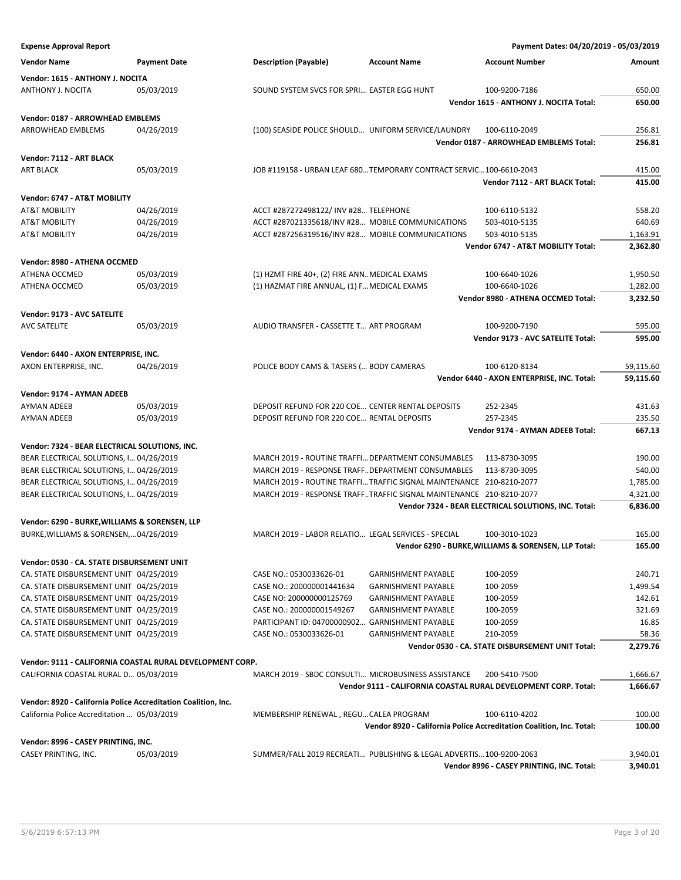**Vendor Name Payment Date Description (Payable) Account Name Account Number Amount Vendor: 1615 - ANTHONY J. NOCITA** ANTHONY J. NOCITA 05/03/2019 SOUND SYSTEM SVCS FOR SPRI... EASTER EGG HUNT 100-9200-7186 650.00 **Vendor 1615 - ANTHONY J. NOCITA Total: 650.00 Vendor: 0187 - ARROWHEAD EMBLEMS** ARROWHEAD EMBLEMS 04/26/2019 (100) SEASIDE POLICE SHOULD… UNIFORM SERVICE/LAUNDRY 100-6110-2049 256.81 **Vendor 0187 - ARROWHEAD EMBLEMS Total: 256.81 Vendor: 7112 - ART BLACK** ART BLACK 05/03/2019 JOB #119158 - URBAN LEAF 680…TEMPORARY CONTRACT SERVIC…100-6610-2043 415.00 **Vendor 7112 - ART BLACK Total: 415.00 Vendor: 6747 - AT&T MOBILITY** AT&T MOBILITY 04/26/2019 ACCT #287272498122/ INV #28... TELEPHONE 100-6110-5132 558.20 AT&T MOBILITY 04/26/2019 ACCT #287021335618/INV #28… MOBILE COMMUNICATIONS 503-4010-5135 640.69 AT&T MOBILITY 04/26/2019 ACCT #287256319516/INV #28... MOBILE COMMUNICATIONS 503-4010-5135 4010-5135 **Vendor 6747 - AT&T MOBILITY Total: 2,362.80 Vendor: 8980 - ATHENA OCCMED** ATHENA OCCMED 05/03/2019 (1) HZMT FIRE 40+, (2) FIRE ANN. MEDICAL EXAMS 100-6640-1026 1,950.50 ATHENA OCCMED 05/03/2019 (1) HAZMAT FIRE ANNUAL, (1) F... MEDICAL EXAMS 100-6640-1026 1,282.00 **Vendor 8980 - ATHENA OCCMED Total: 3,232.50 Vendor: 9173 - AVC SATELITE** AVC SATELITE **12.2000 BM 2010 AUDIO TRANSFER - CASSETTE T... ART PROGRAM** 100-9200-7190 595.00 **Vendor 9173 - AVC SATELITE Total: 595.00 Vendor: 6440 - AXON ENTERPRISE, INC.** AXON ENTERPRISE, INC.  $04/26/2019$  POLICE BODY CAMS & TASERS (... BODY CAMERAS 100-6120-8134 59,115.60 **Vendor 6440 - AXON ENTERPRISE, INC. Total: 59,115.60 Vendor: 9174 - AYMAN ADEEB** AYMAN ADEEB 05/03/2019 DEPOSIT REFUND FOR 220 COE… CENTER RENTAL DEPOSITS 252-2345 431.63 AYMAN ADEEB 05/03/2019 DEPOSIT REFUND FOR 220 COE... RENTAL DEPOSITS 257-2345 257-2345 235.50 **Vendor 9174 - AYMAN ADEEB Total: 667.13 Vendor: 7324 - BEAR ELECTRICAL SOLUTIONS, INC.** BEAR ELECTRICAL SOLUTIONS, I... 04/26/2019 MARCH 2019 - ROUTINE TRAFFI... DEPARTMENT CONSUMABLES 113-8730-3095 190.00 BEAR ELECTRICAL SOLUTIONS, I… 04/26/2019 MARCH 2019 - RESPONSE TRAFF..DEPARTMENT CONSUMABLES 113-8730-3095 540.00 BEAR ELECTRICAL SOLUTIONS, I... 04/26/2019 MARCH 2019 - ROUTINE TRAFFI... TRAFFIC SIGNAL MAINTENANCE 210-8210-2077 1,785.00 BEAR ELECTRICAL SOLUTIONS, I… 04/26/2019 MARCH 2019 - RESPONSE TRAFF…TRAFFIC SIGNAL MAINTENANCE 210-8210-2077 4,321.00 **Vendor 7324 - BEAR ELECTRICAL SOLUTIONS, INC. Total: 6,836.00 Vendor: 6290 - BURKE,WILLIAMS & SORENSEN, LLP** BURKE,WILLIAMS & SORENSEN,…04/26/2019 MARCH 2019 - LABOR RELATIO… LEGAL SERVICES - SPECIAL 100-3010-1023 165.00 **Vendor 6290 - BURKE,WILLIAMS & SORENSEN, LLP Total: 165.00 Vendor: 0530 - CA. STATE DISBURSEMENT UNIT** CA. STATE DISBURSEMENT UNIT 04/25/2019 CASE NO.: 0530033626-01 GARNISHMENT PAYABLE 100-2059 240.71 CA. STATE DISBURSEMENT UNIT 04/25/2019 CASE NO.: 200000001441634 GARNISHMENT PAYABLE 100-2059 1,499.54 CA. STATE DISBURSEMENT UNIT 04/25/2019 CASE NO: 200000000125769 GARNISHMENT PAYABLE 100-2059 142.61 CA. STATE DISBURSEMENT UNIT 04/25/2019 CASE NO.: 200000001549267 GARNISHMENT PAYABLE 100-2059 321.69 CA. STATE DISBURSEMENT UNIT 04/25/2019 PARTICIPANT ID: 04700000902… GARNISHMENT PAYABLE 100-2059 16.85 CA. STATE DISBURSEMENT UNIT 04/25/2019 CASE NO.: 0530033626-01 GARNISHMENT PAYABLE 210-2059 58.36 **Vendor 0530 - CA. STATE DISBURSEMENT UNIT Total: 2,279.76 Vendor: 9111 - CALIFORNIA COASTAL RURAL DEVELOPMENT CORP.** CALIFORNIA COASTAL RURAL D… 05/03/2019 MARCH 2019 - SBDC CONSULTI… MICROBUSINESS ASSISTANCE 200-5410-7500 1,666.67 **Vendor 9111 - CALIFORNIA COASTAL RURAL DEVELOPMENT CORP. Total: 1,666.67 Vendor: 8920 - California Police Accreditation Coalition, Inc.** California Police Accreditation ... 05/03/2019 MEMBERSHIP RENEWAL , REGU... CALEA PROGRAM 100-6110-4202 100.00 **Vendor 8920 - California Police Accreditation Coalition, Inc. Total: 100.00 Vendor: 8996 - CASEY PRINTING, INC.** CASEY PRINTING, INC. 05/03/2019 SUMMER/FALL 2019 RECREATI… PUBLISHING & LEGAL ADVERTIS…100-9200-2063 3,940.01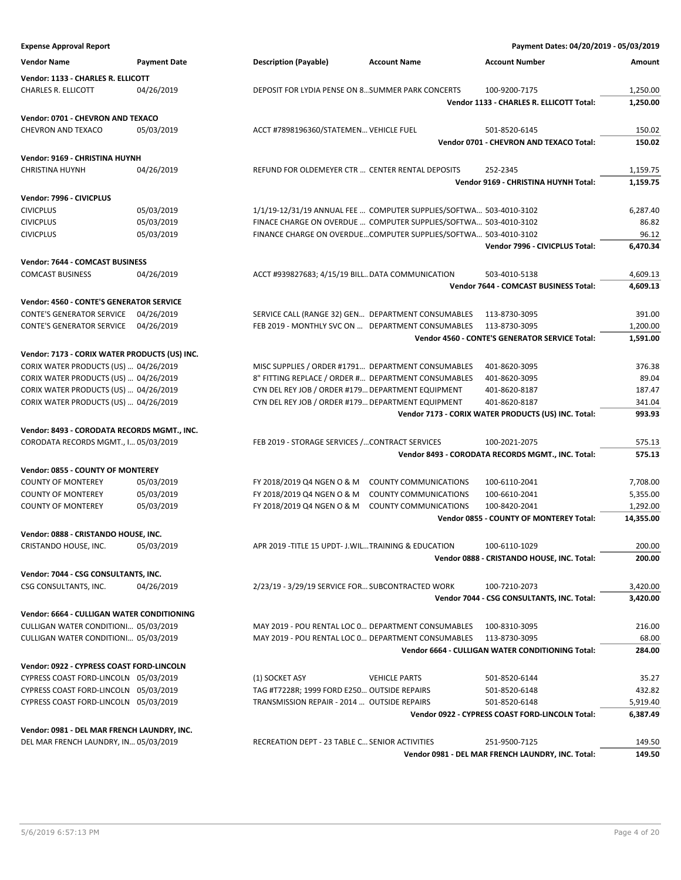| <b>Expense Approval Report</b>                                |                     |                                                        |                                                                    | Payment Dates: 04/20/2019 - 05/03/2019              |                      |
|---------------------------------------------------------------|---------------------|--------------------------------------------------------|--------------------------------------------------------------------|-----------------------------------------------------|----------------------|
| <b>Vendor Name</b>                                            | <b>Payment Date</b> | <b>Description (Payable)</b>                           | <b>Account Name</b>                                                | <b>Account Number</b>                               | Amount               |
| Vendor: 1133 - CHARLES R. ELLICOTT                            |                     |                                                        |                                                                    |                                                     |                      |
| CHARLES R. ELLICOTT                                           | 04/26/2019          |                                                        | DEPOSIT FOR LYDIA PENSE ON 8 SUMMER PARK CONCERTS                  | 100-9200-7175                                       | 1,250.00             |
|                                                               |                     |                                                        |                                                                    | Vendor 1133 - CHARLES R. ELLICOTT Total:            | 1,250.00             |
| Vendor: 0701 - CHEVRON AND TEXACO                             |                     |                                                        |                                                                    |                                                     |                      |
| CHEVRON AND TEXACO                                            | 05/03/2019          | ACCT #7898196360/STATEMEN VEHICLE FUEL                 |                                                                    | 501-8520-6145                                       | 150.02               |
|                                                               |                     |                                                        |                                                                    | Vendor 0701 - CHEVRON AND TEXACO Total:             | 150.02               |
| Vendor: 9169 - CHRISTINA HUYNH                                |                     |                                                        |                                                                    |                                                     |                      |
| <b>CHRISTINA HUYNH</b>                                        | 04/26/2019          |                                                        | REFUND FOR OLDEMEYER CTR  CENTER RENTAL DEPOSITS                   | 252-2345                                            | 1,159.75             |
|                                                               |                     |                                                        |                                                                    | Vendor 9169 - CHRISTINA HUYNH Total:                | 1,159.75             |
| Vendor: 7996 - CIVICPLUS                                      |                     |                                                        |                                                                    |                                                     |                      |
| <b>CIVICPLUS</b>                                              | 05/03/2019          |                                                        | 1/1/19-12/31/19 ANNUAL FEE  COMPUTER SUPPLIES/SOFTWA 503-4010-3102 |                                                     | 6,287.40             |
| <b>CIVICPLUS</b>                                              | 05/03/2019          |                                                        | FINACE CHARGE ON OVERDUE  COMPUTER SUPPLIES/SOFTWA 503-4010-3102   |                                                     | 86.82                |
| <b>CIVICPLUS</b>                                              | 05/03/2019          |                                                        | FINANCE CHARGE ON OVERDUECOMPUTER SUPPLIES/SOFTWA 503-4010-3102    |                                                     | 96.12                |
|                                                               |                     |                                                        |                                                                    | Vendor 7996 - CIVICPLUS Total:                      | 6,470.34             |
| Vendor: 7644 - COMCAST BUSINESS                               |                     |                                                        |                                                                    |                                                     |                      |
| <b>COMCAST BUSINESS</b>                                       | 04/26/2019          |                                                        |                                                                    | 503-4010-5138                                       | 4,609.13             |
|                                                               |                     | ACCT #939827683; 4/15/19 BILL DATA COMMUNICATION       |                                                                    | Vendor 7644 - COMCAST BUSINESS Total:               | 4,609.13             |
|                                                               |                     |                                                        |                                                                    |                                                     |                      |
| Vendor: 4560 - CONTE'S GENERATOR SERVICE                      |                     |                                                        |                                                                    |                                                     |                      |
| <b>CONTE'S GENERATOR SERVICE</b>                              | 04/26/2019          |                                                        | SERVICE CALL (RANGE 32) GEN DEPARTMENT CONSUMABLES                 | 113-8730-3095                                       | 391.00               |
| <b>CONTE'S GENERATOR SERVICE</b>                              | 04/26/2019          |                                                        | FEB 2019 - MONTHLY SVC ON  DEPARTMENT CONSUMABLES                  | 113-8730-3095                                       | 1,200.00             |
|                                                               |                     |                                                        |                                                                    | Vendor 4560 - CONTE'S GENERATOR SERVICE Total:      | 1,591.00             |
| Vendor: 7173 - CORIX WATER PRODUCTS (US) INC.                 |                     |                                                        |                                                                    |                                                     |                      |
| CORIX WATER PRODUCTS (US)  04/26/2019                         |                     |                                                        | MISC SUPPLIES / ORDER #1791 DEPARTMENT CONSUMABLES                 | 401-8620-3095                                       | 376.38               |
| CORIX WATER PRODUCTS (US)  04/26/2019                         |                     |                                                        | 8" FITTING REPLACE / ORDER # DEPARTMENT CONSUMABLES                | 401-8620-3095                                       | 89.04                |
| CORIX WATER PRODUCTS (US)  04/26/2019                         |                     |                                                        | CYN DEL REY JOB / ORDER #179 DEPARTMENT EQUIPMENT                  | 401-8620-8187                                       | 187.47               |
| CORIX WATER PRODUCTS (US)  04/26/2019                         |                     |                                                        | CYN DEL REY JOB / ORDER #179 DEPARTMENT EQUIPMENT                  | 401-8620-8187                                       | 341.04               |
|                                                               |                     |                                                        |                                                                    | Vendor 7173 - CORIX WATER PRODUCTS (US) INC. Total: | 993.93               |
| Vendor: 8493 - CORODATA RECORDS MGMT., INC.                   |                     |                                                        |                                                                    |                                                     |                      |
| CORODATA RECORDS MGMT., I 05/03/2019                          |                     | FEB 2019 - STORAGE SERVICES /CONTRACT SERVICES         |                                                                    | 100-2021-2075                                       | 575.13               |
|                                                               |                     |                                                        |                                                                    | Vendor 8493 - CORODATA RECORDS MGMT., INC. Total:   | 575.13               |
| Vendor: 0855 - COUNTY OF MONTEREY                             |                     |                                                        |                                                                    |                                                     |                      |
| <b>COUNTY OF MONTEREY</b>                                     | 05/03/2019          | FY 2018/2019 Q4 NGEN O & M                             | <b>COUNTY COMMUNICATIONS</b>                                       | 100-6110-2041                                       | 7,708.00             |
| <b>COUNTY OF MONTEREY</b>                                     | 05/03/2019          | FY 2018/2019 Q4 NGEN O & M                             | <b>COUNTY COMMUNICATIONS</b>                                       | 100-6610-2041                                       | 5,355.00             |
| <b>COUNTY OF MONTEREY</b>                                     | 05/03/2019          | FY 2018/2019 Q4 NGEN O & M                             | <b>COUNTY COMMUNICATIONS</b>                                       | 100-8420-2041                                       | 1,292.00             |
|                                                               |                     |                                                        |                                                                    | <b>Vendor 0855 - COUNTY OF MONTEREY Total:</b>      | 14,355.00            |
| Vendor: 0888 - CRISTANDO HOUSE, INC.                          |                     |                                                        |                                                                    |                                                     |                      |
| CRISTANDO HOUSE, INC.                                         | 05/03/2019          | APR 2019 - TITLE 15 UPDT - J. WIL TRAINING & EDUCATION |                                                                    | 100-6110-1029                                       | 200.00               |
|                                                               |                     |                                                        |                                                                    | Vendor 0888 - CRISTANDO HOUSE, INC. Total:          | 200.00               |
|                                                               |                     |                                                        |                                                                    |                                                     |                      |
| Vendor: 7044 - CSG CONSULTANTS, INC.<br>CSG CONSULTANTS, INC. | 04/26/2019          | 2/23/19 - 3/29/19 SERVICE FOR SUBCONTRACTED WORK       |                                                                    | 100-7210-2073                                       |                      |
|                                                               |                     |                                                        |                                                                    | Vendor 7044 - CSG CONSULTANTS, INC. Total:          | 3,420.00<br>3,420.00 |
|                                                               |                     |                                                        |                                                                    |                                                     |                      |
| Vendor: 6664 - CULLIGAN WATER CONDITIONING                    |                     |                                                        |                                                                    |                                                     |                      |
| CULLIGAN WATER CONDITIONI 05/03/2019                          |                     |                                                        | MAY 2019 - POU RENTAL LOC 0 DEPARTMENT CONSUMABLES                 | 100-8310-3095                                       | 216.00               |
| CULLIGAN WATER CONDITIONI 05/03/2019                          |                     |                                                        | MAY 2019 - POU RENTAL LOC 0 DEPARTMENT CONSUMABLES                 | 113-8730-3095                                       | 68.00                |
|                                                               |                     |                                                        |                                                                    | Vendor 6664 - CULLIGAN WATER CONDITIONING Total:    | 284.00               |
| Vendor: 0922 - CYPRESS COAST FORD-LINCOLN                     |                     |                                                        |                                                                    |                                                     |                      |

| Vendor: 0922 - CYPRESS COAST FORD-LINCOLN |  |                                             |                      |               |          |  |  |
|-------------------------------------------|--|---------------------------------------------|----------------------|---------------|----------|--|--|
| CYPRESS COAST FORD-LINCOLN 05/03/2019     |  | (1) SOCKET ASY                              | <b>VEHICLE PARTS</b> | 501-8520-6144 | 35.27    |  |  |
| CYPRESS COAST FORD-LINCOLN 05/03/2019     |  | TAG #T7228R: 1999 FORD E250 OUTSIDE REPAIRS |                      | 501-8520-6148 | 432.82   |  |  |
| CYPRESS COAST FORD-LINCOLN 05/03/2019     |  | TRANSMISSION REPAIR - 2014  OUTSIDE REPAIRS |                      | 501-8520-6148 | 5.919.40 |  |  |

## **Vendor: 0981 - DEL MAR FRENCH LAUNDRY, INC.**

DEL MAR FRENCH LAUNDRY, IN… 05/03/2019 RECREATION DEPT - 23 TABLE C…SENIOR ACTIVITIES 251-9500-7125 149.50

**Vendor 0922 - CYPRESS COAST FORD-LINCOLN Total: 6,387.49**

**Vendor 0981 - DEL MAR FRENCH LAUNDRY, INC. Total: 149.50**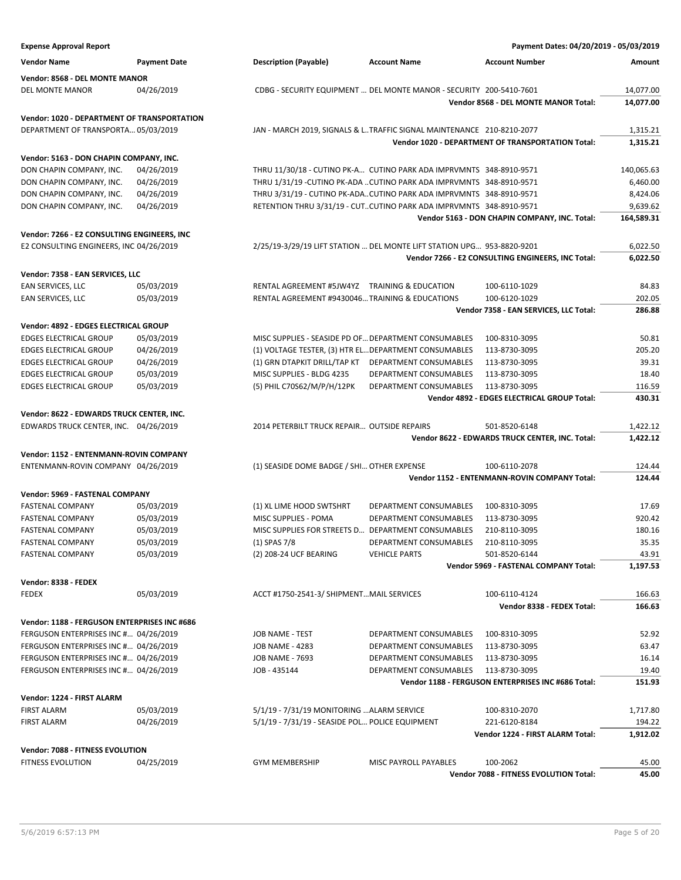| <b>Expense Approval Report</b>                                                     |                     |                                                       |                                                                        | Payment Dates: 04/20/2019 - 05/03/2019                   |            |
|------------------------------------------------------------------------------------|---------------------|-------------------------------------------------------|------------------------------------------------------------------------|----------------------------------------------------------|------------|
| <b>Vendor Name</b>                                                                 | <b>Payment Date</b> | <b>Description (Payable)</b>                          | <b>Account Name</b>                                                    | <b>Account Number</b>                                    | Amount     |
| Vendor: 8568 - DEL MONTE MANOR                                                     |                     |                                                       |                                                                        |                                                          |            |
| DEL MONTE MANOR                                                                    | 04/26/2019          |                                                       | CDBG - SECURITY EQUIPMENT  DEL MONTE MANOR - SECURITY 200-5410-7601    |                                                          | 14,077.00  |
|                                                                                    |                     |                                                       |                                                                        | Vendor 8568 - DEL MONTE MANOR Total:                     | 14,077.00  |
| <b>Vendor: 1020 - DEPARTMENT OF TRANSPORTATION</b>                                 |                     |                                                       |                                                                        |                                                          |            |
| DEPARTMENT OF TRANSPORTA 05/03/2019                                                |                     |                                                       | JAN - MARCH 2019, SIGNALS & LTRAFFIC SIGNAL MAINTENANCE 210-8210-2077  |                                                          | 1,315.21   |
|                                                                                    |                     |                                                       |                                                                        | <b>Vendor 1020 - DEPARTMENT OF TRANSPORTATION Total:</b> | 1,315.21   |
| Vendor: 5163 - DON CHAPIN COMPANY, INC.                                            |                     |                                                       |                                                                        |                                                          |            |
| DON CHAPIN COMPANY, INC.                                                           | 04/26/2019          |                                                       | THRU 11/30/18 - CUTINO PK-A CUTINO PARK ADA IMPRVMNTS 348-8910-9571    |                                                          | 140,065.63 |
| DON CHAPIN COMPANY, INC.                                                           | 04/26/2019          |                                                       | THRU 1/31/19 -CUTINO PK-ADA  CUTINO PARK ADA IMPRVMNTS 348-8910-9571   |                                                          | 6,460.00   |
| DON CHAPIN COMPANY, INC.                                                           | 04/26/2019          |                                                       | THRU 3/31/19 - CUTINO PK-ADACUTINO PARK ADA IMPRVMNTS 348-8910-9571    |                                                          | 8,424.06   |
| DON CHAPIN COMPANY, INC.                                                           | 04/26/2019          |                                                       | RETENTION THRU 3/31/19 - CUTCUTINO PARK ADA IMPRVMNTS 348-8910-9571    |                                                          | 9,639.62   |
|                                                                                    |                     |                                                       |                                                                        | Vendor 5163 - DON CHAPIN COMPANY, INC. Total:            | 164,589.31 |
| Vendor: 7266 - E2 CONSULTING ENGINEERS, INC                                        |                     |                                                       |                                                                        |                                                          |            |
| E2 CONSULTING ENGINEERS, INC 04/26/2019                                            |                     |                                                       | 2/25/19-3/29/19 LIFT STATION  DEL MONTE LIFT STATION UPG 953-8820-9201 |                                                          | 6,022.50   |
|                                                                                    |                     |                                                       |                                                                        | Vendor 7266 - E2 CONSULTING ENGINEERS, INC Total:        | 6,022.50   |
| Vendor: 7358 - EAN SERVICES, LLC                                                   |                     |                                                       |                                                                        |                                                          |            |
| EAN SERVICES, LLC                                                                  | 05/03/2019          | RENTAL AGREEMENT #5JW4YZ TRAINING & EDUCATION         |                                                                        | 100-6110-1029                                            | 84.83      |
| EAN SERVICES, LLC                                                                  | 05/03/2019          | RENTAL AGREEMENT #9430046 TRAINING & EDUCATIONS       |                                                                        | 100-6120-1029                                            | 202.05     |
|                                                                                    |                     |                                                       |                                                                        | Vendor 7358 - EAN SERVICES, LLC Total:                   | 286.88     |
|                                                                                    |                     |                                                       |                                                                        |                                                          |            |
| Vendor: 4892 - EDGES ELECTRICAL GROUP<br><b>EDGES ELECTRICAL GROUP</b>             | 05/03/2019          | MISC SUPPLIES - SEASIDE PD OF DEPARTMENT CONSUMABLES  |                                                                        | 100-8310-3095                                            | 50.81      |
| <b>EDGES ELECTRICAL GROUP</b>                                                      | 04/26/2019          | (1) VOLTAGE TESTER, (3) HTR EL DEPARTMENT CONSUMABLES |                                                                        | 113-8730-3095                                            | 205.20     |
| <b>EDGES ELECTRICAL GROUP</b>                                                      | 04/26/2019          | (1) GRN DTAPKIT DRILL/TAP KT DEPARTMENT CONSUMABLES   |                                                                        | 113-8730-3095                                            | 39.31      |
| <b>EDGES ELECTRICAL GROUP</b>                                                      | 05/03/2019          | MISC SUPPLIES - BLDG 4235                             | DEPARTMENT CONSUMABLES                                                 | 113-8730-3095                                            | 18.40      |
| <b>EDGES ELECTRICAL GROUP</b>                                                      | 05/03/2019          | (5) PHIL C70S62/M/P/H/12PK                            | DEPARTMENT CONSUMABLES                                                 | 113-8730-3095                                            | 116.59     |
|                                                                                    |                     |                                                       |                                                                        | Vendor 4892 - EDGES ELECTRICAL GROUP Total:              | 430.31     |
|                                                                                    |                     |                                                       |                                                                        |                                                          |            |
| Vendor: 8622 - EDWARDS TRUCK CENTER, INC.<br>EDWARDS TRUCK CENTER, INC. 04/26/2019 |                     | 2014 PETERBILT TRUCK REPAIR OUTSIDE REPAIRS           |                                                                        | 501-8520-6148                                            | 1,422.12   |
|                                                                                    |                     |                                                       |                                                                        | Vendor 8622 - EDWARDS TRUCK CENTER, INC. Total:          | 1,422.12   |
|                                                                                    |                     |                                                       |                                                                        |                                                          |            |
| Vendor: 1152 - ENTENMANN-ROVIN COMPANY                                             |                     |                                                       |                                                                        |                                                          |            |
| ENTENMANN-ROVIN COMPANY 04/26/2019                                                 |                     | (1) SEASIDE DOME BADGE / SHI OTHER EXPENSE            |                                                                        | 100-6110-2078                                            | 124.44     |
|                                                                                    |                     |                                                       |                                                                        | Vendor 1152 - ENTENMANN-ROVIN COMPANY Total:             | 124.44     |
| Vendor: 5969 - FASTENAL COMPANY                                                    |                     |                                                       |                                                                        |                                                          |            |
| <b>FASTENAL COMPANY</b>                                                            | 05/03/2019          | (1) XL LIME HOOD SWTSHRT                              | DEPARTMENT CONSUMABLES                                                 | 100-8310-3095                                            | 17.69      |
| <b>FASTENAL COMPANY</b>                                                            | 05/03/2019          | MISC SUPPLIES - POMA                                  | DEPARTMENT CONSUMABLES                                                 | 113-8730-3095                                            | 920.42     |
| <b>FASTENAL COMPANY</b>                                                            | 05/03/2019          | MISC SUPPLIES FOR STREETS D DEPARTMENT CONSUMABLES    |                                                                        | 210-8110-3095                                            | 180.16     |
| <b>FASTENAL COMPANY</b>                                                            | 05/03/2019          | $(1)$ SPAS 7/8                                        | DEPARTMENT CONSUMABLES                                                 | 210-8110-3095                                            | 35.35      |
| <b>FASTENAL COMPANY</b>                                                            | 05/03/2019          | (2) 208-24 UCF BEARING                                | <b>VEHICLE PARTS</b>                                                   | 501-8520-6144                                            | 43.91      |
|                                                                                    |                     |                                                       |                                                                        | Vendor 5969 - FASTENAL COMPANY Total:                    | 1,197.53   |
| Vendor: 8338 - FEDEX                                                               |                     |                                                       |                                                                        |                                                          |            |
| <b>FEDEX</b>                                                                       | 05/03/2019          | ACCT #1750-2541-3/ SHIPMENTMAIL SERVICES              |                                                                        | 100-6110-4124                                            | 166.63     |
|                                                                                    |                     |                                                       |                                                                        | Vendor 8338 - FEDEX Total:                               | 166.63     |
| Vendor: 1188 - FERGUSON ENTERPRISES INC #686                                       |                     |                                                       |                                                                        |                                                          |            |
| FERGUSON ENTERPRISES INC # 04/26/2019                                              |                     | JOB NAME - TEST                                       | DEPARTMENT CONSUMABLES                                                 | 100-8310-3095                                            | 52.92      |
| FERGUSON ENTERPRISES INC # 04/26/2019                                              |                     | <b>JOB NAME - 4283</b>                                | DEPARTMENT CONSUMABLES                                                 | 113-8730-3095                                            | 63.47      |
| FERGUSON ENTERPRISES INC # 04/26/2019                                              |                     | <b>JOB NAME - 7693</b>                                | DEPARTMENT CONSUMABLES                                                 | 113-8730-3095                                            | 16.14      |
| FERGUSON ENTERPRISES INC # 04/26/2019                                              |                     | JOB - 435144                                          | DEPARTMENT CONSUMABLES                                                 | 113-8730-3095                                            | 19.40      |
|                                                                                    |                     |                                                       |                                                                        | Vendor 1188 - FERGUSON ENTERPRISES INC #686 Total:       | 151.93     |
| Vendor: 1224 - FIRST ALARM                                                         |                     |                                                       |                                                                        |                                                          |            |
| <b>FIRST ALARM</b>                                                                 | 05/03/2019          | 5/1/19 - 7/31/19 MONITORING  ALARM SERVICE            |                                                                        | 100-8310-2070                                            | 1,717.80   |
| FIRST ALARM                                                                        | 04/26/2019          | 5/1/19 - 7/31/19 - SEASIDE POL POLICE EQUIPMENT       |                                                                        | 221-6120-8184                                            | 194.22     |
|                                                                                    |                     |                                                       |                                                                        | Vendor 1224 - FIRST ALARM Total:                         | 1,912.02   |
| Vendor: 7088 - FITNESS EVOLUTION                                                   |                     |                                                       |                                                                        |                                                          |            |
| <b>FITNESS EVOLUTION</b>                                                           | 04/25/2019          | <b>GYM MEMBERSHIP</b>                                 | MISC PAYROLL PAYABLES                                                  | 100-2062                                                 | 45.00      |
|                                                                                    |                     |                                                       |                                                                        | Vendor 7088 - FITNESS EVOLUTION Total:                   | 45.00      |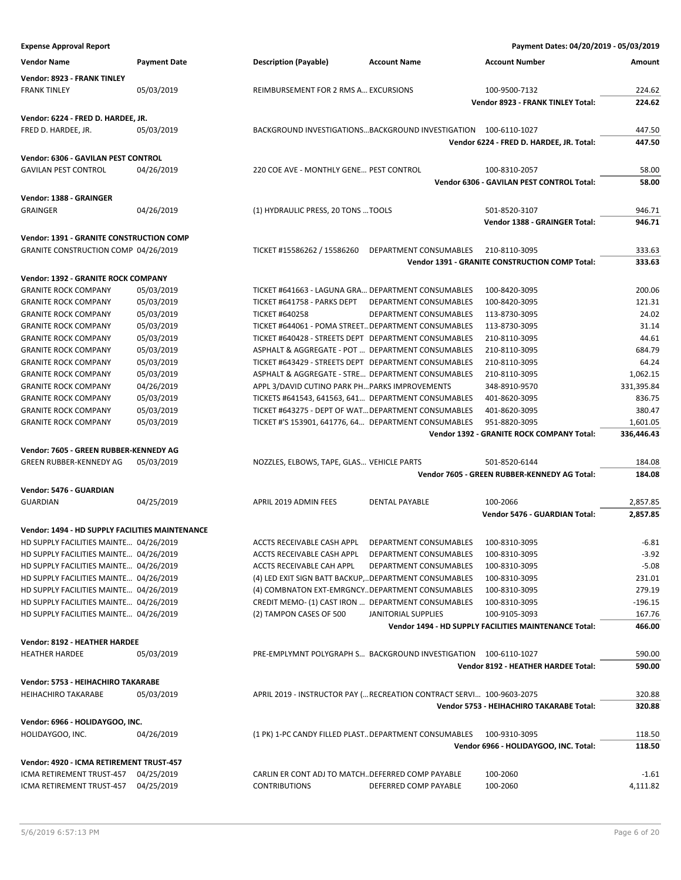| <b>Vendor Name</b>                                                | <b>Payment Date</b>      | <b>Description (Payable)</b>                                                                               | <b>Account Name</b>        | <b>Account Number</b>                                 | Amount               |
|-------------------------------------------------------------------|--------------------------|------------------------------------------------------------------------------------------------------------|----------------------------|-------------------------------------------------------|----------------------|
| Vendor: 8923 - FRANK TINLEY                                       |                          |                                                                                                            |                            |                                                       |                      |
| <b>FRANK TINLEY</b>                                               | 05/03/2019               | REIMBURSEMENT FOR 2 RMS A EXCURSIONS                                                                       |                            | 100-9500-7132                                         | 224.62               |
|                                                                   |                          |                                                                                                            |                            | Vendor 8923 - FRANK TINLEY Total:                     | 224.62               |
| Vendor: 6224 - FRED D. HARDEE, JR.                                |                          |                                                                                                            |                            |                                                       |                      |
| FRED D. HARDEE, JR.                                               | 05/03/2019               | BACKGROUND INVESTIGATIONSBACKGROUND INVESTIGATION 100-6110-1027                                            |                            |                                                       | 447.50               |
|                                                                   |                          |                                                                                                            |                            | Vendor 6224 - FRED D. HARDEE, JR. Total:              | 447.50               |
| Vendor: 6306 - GAVILAN PEST CONTROL                               |                          |                                                                                                            |                            |                                                       |                      |
| <b>GAVILAN PEST CONTROL</b>                                       | 04/26/2019               | 220 COE AVE - MONTHLY GENE PEST CONTROL                                                                    |                            | 100-8310-2057                                         | 58.00                |
|                                                                   |                          |                                                                                                            |                            | Vendor 6306 - GAVILAN PEST CONTROL Total:             | 58.00                |
| Vendor: 1388 - GRAINGER                                           |                          |                                                                                                            |                            |                                                       |                      |
| <b>GRAINGER</b>                                                   | 04/26/2019               | (1) HYDRAULIC PRESS, 20 TONS  TOOLS                                                                        |                            | 501-8520-3107                                         | 946.71               |
|                                                                   |                          |                                                                                                            |                            | Vendor 1388 - GRAINGER Total:                         | 946.71               |
| Vendor: 1391 - GRANITE CONSTRUCTION COMP                          |                          |                                                                                                            |                            |                                                       |                      |
| GRANITE CONSTRUCTION COMP 04/26/2019                              |                          | TICKET #15586262 / 15586260                                                                                | DEPARTMENT CONSUMABLES     | 210-8110-3095                                         | 333.63               |
|                                                                   |                          |                                                                                                            |                            | Vendor 1391 - GRANITE CONSTRUCTION COMP Total:        | 333.63               |
| Vendor: 1392 - GRANITE ROCK COMPANY                               |                          |                                                                                                            |                            |                                                       |                      |
| <b>GRANITE ROCK COMPANY</b>                                       | 05/03/2019               | TICKET #641663 - LAGUNA GRA DEPARTMENT CONSUMABLES                                                         |                            | 100-8420-3095                                         | 200.06               |
| <b>GRANITE ROCK COMPANY</b>                                       | 05/03/2019               | TICKET #641758 - PARKS DEPT                                                                                | DEPARTMENT CONSUMABLES     | 100-8420-3095                                         | 121.31               |
| <b>GRANITE ROCK COMPANY</b>                                       | 05/03/2019               | <b>TICKET #640258</b>                                                                                      | DEPARTMENT CONSUMABLES     | 113-8730-3095                                         | 24.02                |
| <b>GRANITE ROCK COMPANY</b>                                       | 05/03/2019               | TICKET #644061 - POMA STREET DEPARTMENT CONSUMABLES                                                        |                            | 113-8730-3095                                         | 31.14                |
| <b>GRANITE ROCK COMPANY</b>                                       | 05/03/2019               | TICKET #640428 - STREETS DEPT DEPARTMENT CONSUMABLES                                                       |                            | 210-8110-3095                                         | 44.61                |
| <b>GRANITE ROCK COMPANY</b>                                       | 05/03/2019               | ASPHALT & AGGREGATE - POT  DEPARTMENT CONSUMABLES                                                          |                            | 210-8110-3095                                         | 684.79               |
| <b>GRANITE ROCK COMPANY</b>                                       | 05/03/2019               | TICKET #643429 - STREETS DEPT DEPARTMENT CONSUMABLES                                                       |                            | 210-8110-3095                                         | 64.24                |
| <b>GRANITE ROCK COMPANY</b>                                       | 05/03/2019               | ASPHALT & AGGREGATE - STRE DEPARTMENT CONSUMABLES                                                          |                            | 210-8110-3095                                         | 1,062.15             |
| <b>GRANITE ROCK COMPANY</b>                                       | 04/26/2019               | APPL 3/DAVID CUTINO PARK PHPARKS IMPROVEMENTS                                                              |                            | 348-8910-9570                                         | 331,395.84<br>836.75 |
| <b>GRANITE ROCK COMPANY</b><br><b>GRANITE ROCK COMPANY</b>        | 05/03/2019<br>05/03/2019 | TICKETS #641543, 641563, 641 DEPARTMENT CONSUMABLES<br>TICKET #643275 - DEPT OF WAT DEPARTMENT CONSUMABLES |                            | 401-8620-3095<br>401-8620-3095                        | 380.47               |
| <b>GRANITE ROCK COMPANY</b>                                       | 05/03/2019               | TICKET #'S 153901, 641776, 64 DEPARTMENT CONSUMABLES                                                       |                            | 951-8820-3095                                         | 1,601.05             |
|                                                                   |                          |                                                                                                            |                            | Vendor 1392 - GRANITE ROCK COMPANY Total:             | 336,446.43           |
|                                                                   |                          |                                                                                                            |                            |                                                       |                      |
| Vendor: 7605 - GREEN RUBBER-KENNEDY AG<br>GREEN RUBBER-KENNEDY AG | 05/03/2019               | NOZZLES, ELBOWS, TAPE, GLAS VEHICLE PARTS                                                                  |                            | 501-8520-6144                                         | 184.08               |
|                                                                   |                          |                                                                                                            |                            | Vendor 7605 - GREEN RUBBER-KENNEDY AG Total:          | 184.08               |
| Vendor: 5476 - GUARDIAN                                           |                          |                                                                                                            |                            |                                                       |                      |
| <b>GUARDIAN</b>                                                   | 04/25/2019               | APRIL 2019 ADMIN FEES                                                                                      | <b>DENTAL PAYABLE</b>      | 100-2066                                              | 2,857.85             |
|                                                                   |                          |                                                                                                            |                            | Vendor 5476 - GUARDIAN Total:                         | 2,857.85             |
| <b>Vendor: 1494 - HD SUPPLY FACILITIES MAINTENANCE</b>            |                          |                                                                                                            |                            |                                                       |                      |
| HD SUPPLY FACILITIES MAINTE 04/26/2019                            |                          | ACCTS RECEIVABLE CASH APPL                                                                                 | DEPARTMENT CONSUMABLES     | 100-8310-3095                                         | $-6.81$              |
| HD SUPPLY FACILITIES MAINTE 04/26/2019                            |                          | ACCTS RECEIVABLE CASH APPL                                                                                 | DEPARTMENT CONSUMABLES     | 100-8310-3095                                         | $-3.92$              |
| HD SUPPLY FACILITIES MAINTE 04/26/2019                            |                          | ACCTS RECEIVABLE CAH APPL                                                                                  | DEPARTMENT CONSUMABLES     | 100-8310-3095                                         | $-5.08$              |
| HD SUPPLY FACILITIES MAINTE 04/26/2019                            |                          | (4) LED EXIT SIGN BATT BACKUP,DEPARTMENT CONSUMABLES                                                       |                            | 100-8310-3095                                         | 231.01               |
| HD SUPPLY FACILITIES MAINTE 04/26/2019                            |                          | (4) COMBNATON EXT-EMRGNCYDEPARTMENT CONSUMABLES                                                            |                            | 100-8310-3095                                         | 279.19               |
| HD SUPPLY FACILITIES MAINTE 04/26/2019                            |                          | CREDIT MEMO- (1) CAST IRON  DEPARTMENT CONSUMABLES                                                         |                            | 100-8310-3095                                         | -196.15              |
| HD SUPPLY FACILITIES MAINTE 04/26/2019                            |                          | (2) TAMPON CASES OF 500                                                                                    | <b>JANITORIAL SUPPLIES</b> | 100-9105-3093                                         | 167.76               |
|                                                                   |                          |                                                                                                            |                            | Vendor 1494 - HD SUPPLY FACILITIES MAINTENANCE Total: | 466.00               |
| Vendor: 8192 - HEATHER HARDEE                                     |                          |                                                                                                            |                            |                                                       |                      |
| <b>HEATHER HARDEE</b>                                             | 05/03/2019               | PRE-EMPLYMNT POLYGRAPH S BACKGROUND INVESTIGATION 100-6110-1027                                            |                            |                                                       | 590.00               |
|                                                                   |                          |                                                                                                            |                            | Vendor 8192 - HEATHER HARDEE Total:                   | 590.00               |
| Vendor: 5753 - HEIHACHIRO TAKARABE                                |                          |                                                                                                            |                            |                                                       |                      |
| <b>HEIHACHIRO TAKARABE</b>                                        | 05/03/2019               | APRIL 2019 - INSTRUCTOR PAY ( RECREATION CONTRACT SERVI 100-9603-2075                                      |                            |                                                       | 320.88               |
|                                                                   |                          |                                                                                                            |                            | Vendor 5753 - HEIHACHIRO TAKARABE Total:              | 320.88               |
| Vendor: 6966 - HOLIDAYGOO, INC.                                   |                          |                                                                                                            |                            |                                                       |                      |
| HOLIDAYGOO, INC.                                                  | 04/26/2019               | (1 PK) 1-PC CANDY FILLED PLAST DEPARTMENT CONSUMABLES                                                      |                            | 100-9310-3095                                         | 118.50               |
|                                                                   |                          |                                                                                                            |                            | Vendor 6966 - HOLIDAYGOO, INC. Total:                 | 118.50               |
| Vendor: 4920 - ICMA RETIREMENT TRUST-457                          |                          |                                                                                                            |                            |                                                       |                      |
| ICMA RETIREMENT TRUST-457                                         | 04/25/2019               | CARLIN ER CONT ADJ TO MATCHDEFERRED COMP PAYABLE                                                           |                            | 100-2060                                              | $-1.61$              |
| ICMA RETIREMENT TRUST-457 04/25/2019                              |                          | <b>CONTRIBUTIONS</b>                                                                                       | DEFERRED COMP PAYABLE      | 100-2060                                              | 4,111.82             |
|                                                                   |                          |                                                                                                            |                            |                                                       |                      |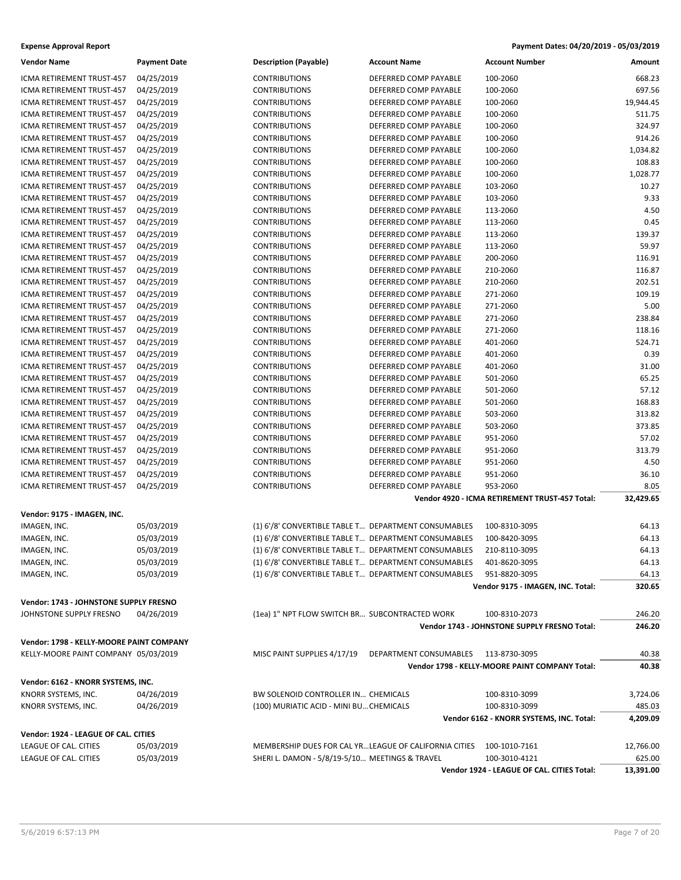| <b>Vendor Name</b>                       | <b>Payment Date</b>      | <b>Description (Payable)</b>                                                                                 | <b>Account Name</b>    | <b>Account Number</b>                          | Amount         |
|------------------------------------------|--------------------------|--------------------------------------------------------------------------------------------------------------|------------------------|------------------------------------------------|----------------|
| ICMA RETIREMENT TRUST-457                | 04/25/2019               | <b>CONTRIBUTIONS</b>                                                                                         | DEFERRED COMP PAYABLE  | 100-2060                                       | 668.23         |
| ICMA RETIREMENT TRUST-457                | 04/25/2019               | <b>CONTRIBUTIONS</b>                                                                                         | DEFERRED COMP PAYABLE  | 100-2060                                       | 697.56         |
| ICMA RETIREMENT TRUST-457                | 04/25/2019               | <b>CONTRIBUTIONS</b>                                                                                         | DEFERRED COMP PAYABLE  | 100-2060                                       | 19,944.45      |
| ICMA RETIREMENT TRUST-457                | 04/25/2019               | <b>CONTRIBUTIONS</b>                                                                                         | DEFERRED COMP PAYABLE  | 100-2060                                       | 511.75         |
| ICMA RETIREMENT TRUST-457                | 04/25/2019               | <b>CONTRIBUTIONS</b>                                                                                         | DEFERRED COMP PAYABLE  | 100-2060                                       | 324.97         |
| ICMA RETIREMENT TRUST-457                | 04/25/2019               | <b>CONTRIBUTIONS</b>                                                                                         | DEFERRED COMP PAYABLE  | 100-2060                                       | 914.26         |
| ICMA RETIREMENT TRUST-457                | 04/25/2019               | <b>CONTRIBUTIONS</b>                                                                                         | DEFERRED COMP PAYABLE  | 100-2060                                       | 1,034.82       |
| ICMA RETIREMENT TRUST-457                | 04/25/2019               | <b>CONTRIBUTIONS</b>                                                                                         | DEFERRED COMP PAYABLE  | 100-2060                                       | 108.83         |
| <b>ICMA RETIREMENT TRUST-457</b>         | 04/25/2019               | <b>CONTRIBUTIONS</b>                                                                                         | DEFERRED COMP PAYABLE  | 100-2060                                       | 1,028.77       |
| ICMA RETIREMENT TRUST-457                | 04/25/2019               | <b>CONTRIBUTIONS</b>                                                                                         | DEFERRED COMP PAYABLE  | 103-2060                                       | 10.27          |
| ICMA RETIREMENT TRUST-457                | 04/25/2019               | <b>CONTRIBUTIONS</b>                                                                                         | DEFERRED COMP PAYABLE  | 103-2060                                       | 9.33           |
| ICMA RETIREMENT TRUST-457                | 04/25/2019               | <b>CONTRIBUTIONS</b>                                                                                         | DEFERRED COMP PAYABLE  | 113-2060                                       | 4.50           |
| ICMA RETIREMENT TRUST-457                | 04/25/2019               | <b>CONTRIBUTIONS</b>                                                                                         | DEFERRED COMP PAYABLE  | 113-2060                                       | 0.45           |
| ICMA RETIREMENT TRUST-457                | 04/25/2019               | <b>CONTRIBUTIONS</b>                                                                                         | DEFERRED COMP PAYABLE  | 113-2060                                       | 139.37         |
| ICMA RETIREMENT TRUST-457                | 04/25/2019               | <b>CONTRIBUTIONS</b>                                                                                         | DEFERRED COMP PAYABLE  | 113-2060                                       | 59.97          |
| ICMA RETIREMENT TRUST-457                | 04/25/2019               | <b>CONTRIBUTIONS</b>                                                                                         | DEFERRED COMP PAYABLE  | 200-2060                                       | 116.91         |
| ICMA RETIREMENT TRUST-457                | 04/25/2019               | <b>CONTRIBUTIONS</b>                                                                                         | DEFERRED COMP PAYABLE  | 210-2060                                       | 116.87         |
| ICMA RETIREMENT TRUST-457                | 04/25/2019               | <b>CONTRIBUTIONS</b>                                                                                         | DEFERRED COMP PAYABLE  | 210-2060                                       | 202.51         |
| ICMA RETIREMENT TRUST-457                | 04/25/2019               | <b>CONTRIBUTIONS</b>                                                                                         | DEFERRED COMP PAYABLE  | 271-2060                                       | 109.19         |
| ICMA RETIREMENT TRUST-457                | 04/25/2019               | <b>CONTRIBUTIONS</b>                                                                                         | DEFERRED COMP PAYABLE  | 271-2060                                       | 5.00           |
| ICMA RETIREMENT TRUST-457                | 04/25/2019               | <b>CONTRIBUTIONS</b>                                                                                         | DEFERRED COMP PAYABLE  | 271-2060                                       | 238.84         |
| ICMA RETIREMENT TRUST-457                | 04/25/2019               | <b>CONTRIBUTIONS</b>                                                                                         | DEFERRED COMP PAYABLE  | 271-2060                                       | 118.16         |
| ICMA RETIREMENT TRUST-457                | 04/25/2019               | <b>CONTRIBUTIONS</b>                                                                                         | DEFERRED COMP PAYABLE  | 401-2060                                       | 524.71         |
| ICMA RETIREMENT TRUST-457                | 04/25/2019               | <b>CONTRIBUTIONS</b>                                                                                         | DEFERRED COMP PAYABLE  | 401-2060                                       | 0.39           |
| ICMA RETIREMENT TRUST-457                | 04/25/2019               | <b>CONTRIBUTIONS</b>                                                                                         | DEFERRED COMP PAYABLE  | 401-2060                                       | 31.00          |
| ICMA RETIREMENT TRUST-457                | 04/25/2019               | <b>CONTRIBUTIONS</b>                                                                                         | DEFERRED COMP PAYABLE  | 501-2060                                       | 65.25          |
| ICMA RETIREMENT TRUST-457                | 04/25/2019               | <b>CONTRIBUTIONS</b>                                                                                         | DEFERRED COMP PAYABLE  | 501-2060                                       | 57.12          |
| ICMA RETIREMENT TRUST-457                | 04/25/2019               | <b>CONTRIBUTIONS</b>                                                                                         | DEFERRED COMP PAYABLE  | 501-2060                                       | 168.83         |
| ICMA RETIREMENT TRUST-457                | 04/25/2019               | <b>CONTRIBUTIONS</b>                                                                                         | DEFERRED COMP PAYABLE  | 503-2060                                       | 313.82         |
| ICMA RETIREMENT TRUST-457                | 04/25/2019               | <b>CONTRIBUTIONS</b>                                                                                         | DEFERRED COMP PAYABLE  | 503-2060                                       | 373.85         |
| ICMA RETIREMENT TRUST-457                | 04/25/2019               | <b>CONTRIBUTIONS</b>                                                                                         | DEFERRED COMP PAYABLE  | 951-2060                                       | 57.02          |
| ICMA RETIREMENT TRUST-457                | 04/25/2019               | <b>CONTRIBUTIONS</b>                                                                                         | DEFERRED COMP PAYABLE  | 951-2060                                       | 313.79         |
| ICMA RETIREMENT TRUST-457                | 04/25/2019               | <b>CONTRIBUTIONS</b>                                                                                         | DEFERRED COMP PAYABLE  | 951-2060                                       | 4.50           |
| ICMA RETIREMENT TRUST-457                | 04/25/2019               | <b>CONTRIBUTIONS</b>                                                                                         | DEFERRED COMP PAYABLE  | 951-2060                                       | 36.10          |
| ICMA RETIREMENT TRUST-457                | 04/25/2019               | <b>CONTRIBUTIONS</b>                                                                                         | DEFERRED COMP PAYABLE  | 953-2060                                       | 8.05           |
|                                          |                          |                                                                                                              |                        | Vendor 4920 - ICMA RETIREMENT TRUST-457 Total: | 32,429.65      |
| Vendor: 9175 - IMAGEN, INC.              |                          |                                                                                                              |                        |                                                |                |
|                                          |                          |                                                                                                              |                        |                                                |                |
| IMAGEN, INC.                             | 05/03/2019<br>05/03/2019 | (1) 6'/8' CONVERTIBLE TABLE T DEPARTMENT CONSUMABLES<br>(1) 6'/8' CONVERTIBLE TABLE T DEPARTMENT CONSUMABLES |                        | 100-8310-3095<br>100-8420-3095                 | 64.13<br>64.13 |
| IMAGEN, INC.                             |                          | (1) 6'/8' CONVERTIBLE TABLE T DEPARTMENT CONSUMABLES                                                         |                        | 210-8110-3095                                  |                |
| IMAGEN, INC.                             | 05/03/2019               |                                                                                                              |                        |                                                | 64.13          |
| IMAGEN, INC.                             | 05/03/2019               | (1) 6'/8' CONVERTIBLE TABLE T DEPARTMENT CONSUMABLES                                                         |                        | 401-8620-3095                                  | 64.13          |
| IMAGEN, INC.                             | 05/03/2019               | (1) 6'/8' CONVERTIBLE TABLE T DEPARTMENT CONSUMABLES                                                         |                        | 951-8820-3095                                  | 64.13          |
|                                          |                          |                                                                                                              |                        | Vendor 9175 - IMAGEN, INC. Total:              | 320.65         |
| Vendor: 1743 - JOHNSTONE SUPPLY FRESNO   |                          |                                                                                                              |                        |                                                |                |
| JOHNSTONE SUPPLY FRESNO                  | 04/26/2019               | (1ea) 1" NPT FLOW SWITCH BR SUBCONTRACTED WORK                                                               |                        | 100-8310-2073                                  | 246.20         |
|                                          |                          |                                                                                                              |                        | Vendor 1743 - JOHNSTONE SUPPLY FRESNO Total:   | 246.20         |
| Vendor: 1798 - KELLY-MOORE PAINT COMPANY |                          |                                                                                                              |                        |                                                |                |
| KELLY-MOORE PAINT COMPANY 05/03/2019     |                          | MISC PAINT SUPPLIES 4/17/19                                                                                  | DEPARTMENT CONSUMABLES | 113-8730-3095                                  | 40.38          |
|                                          |                          |                                                                                                              |                        | Vendor 1798 - KELLY-MOORE PAINT COMPANY Total: | 40.38          |
|                                          |                          |                                                                                                              |                        |                                                |                |
| Vendor: 6162 - KNORR SYSTEMS, INC.       |                          |                                                                                                              |                        |                                                |                |
| KNORR SYSTEMS, INC.                      | 04/26/2019               | BW SOLENOID CONTROLLER IN CHEMICALS                                                                          |                        | 100-8310-3099                                  | 3,724.06       |
| KNORR SYSTEMS, INC.                      | 04/26/2019               | (100) MURIATIC ACID - MINI BU CHEMICALS                                                                      |                        | 100-8310-3099                                  | 485.03         |
|                                          |                          |                                                                                                              |                        | Vendor 6162 - KNORR SYSTEMS, INC. Total:       | 4,209.09       |
| Vendor: 1924 - LEAGUE OF CAL. CITIES     |                          |                                                                                                              |                        |                                                |                |
| LEAGUE OF CAL. CITIES                    | 05/03/2019               | MEMBERSHIP DUES FOR CAL YRLEAGUE OF CALIFORNIA CITIES                                                        |                        | 100-1010-7161                                  | 12,766.00      |
| LEAGUE OF CAL. CITIES                    | 05/03/2019               | SHERI L. DAMON - 5/8/19-5/10 MEETINGS & TRAVEL                                                               |                        | 100-3010-4121                                  | 625.00         |
|                                          |                          |                                                                                                              |                        | Vendor 1924 - LEAGUE OF CAL. CITIES Total:     | 13,391.00      |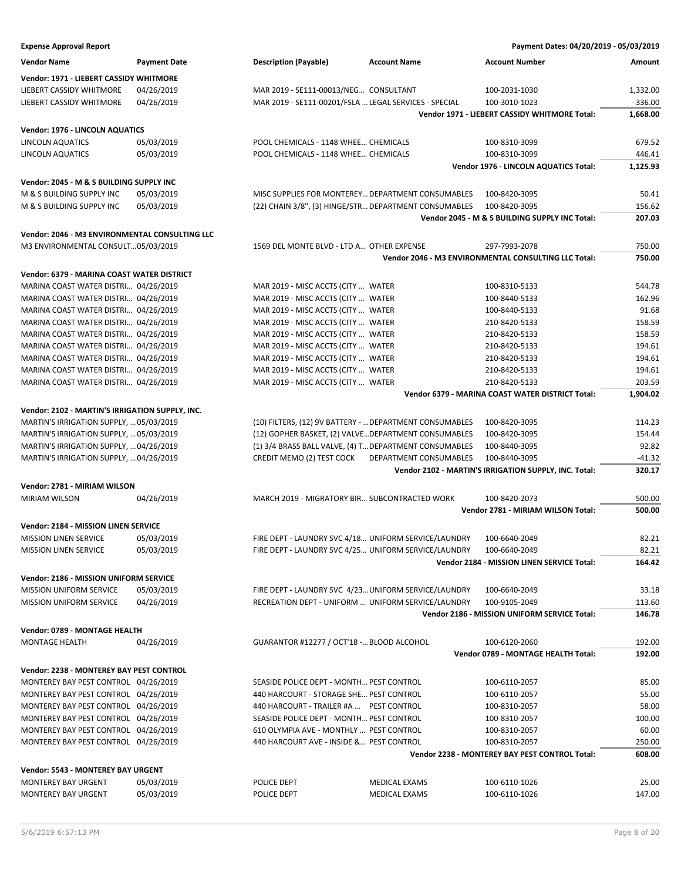| <b>Expense Approval Report</b>                  |                     |                                                         |                        | Payment Dates: 04/20/2019 - 05/03/2019                |          |
|-------------------------------------------------|---------------------|---------------------------------------------------------|------------------------|-------------------------------------------------------|----------|
| <b>Vendor Name</b>                              | <b>Payment Date</b> | <b>Description (Payable)</b>                            | <b>Account Name</b>    | <b>Account Number</b>                                 | Amount   |
| Vendor: 1971 - LIEBERT CASSIDY WHITMORE         |                     |                                                         |                        |                                                       |          |
| LIEBERT CASSIDY WHITMORE                        | 04/26/2019          | MAR 2019 - SE111-00013/NEG CONSULTANT                   |                        | 100-2031-1030                                         | 1,332.00 |
| LIEBERT CASSIDY WHITMORE                        | 04/26/2019          | MAR 2019 - SE111-00201/FSLA  LEGAL SERVICES - SPECIAL   |                        | 100-3010-1023                                         | 336.00   |
|                                                 |                     |                                                         |                        | Vendor 1971 - LIEBERT CASSIDY WHITMORE Total:         | 1,668.00 |
| Vendor: 1976 - LINCOLN AQUATICS                 |                     |                                                         |                        |                                                       |          |
| LINCOLN AQUATICS                                | 05/03/2019          | POOL CHEMICALS - 1148 WHEE CHEMICALS                    |                        | 100-8310-3099                                         | 679.52   |
| LINCOLN AQUATICS                                | 05/03/2019          | POOL CHEMICALS - 1148 WHEE CHEMICALS                    |                        | 100-8310-3099                                         | 446.41   |
|                                                 |                     |                                                         |                        | Vendor 1976 - LINCOLN AQUATICS Total:                 | 1,125.93 |
| Vendor: 2045 - M & S BUILDING SUPPLY INC        |                     |                                                         |                        |                                                       |          |
| M & S BUILDING SUPPLY INC                       | 05/03/2019          | MISC SUPPLIES FOR MONTEREY DEPARTMENT CONSUMABLES       |                        | 100-8420-3095                                         | 50.41    |
| M & S BUILDING SUPPLY INC                       | 05/03/2019          | (22) CHAIN 3/8", (3) HINGE/STR DEPARTMENT CONSUMABLES   |                        | 100-8420-3095                                         | 156.62   |
|                                                 |                     |                                                         |                        | Vendor 2045 - M & S BUILDING SUPPLY INC Total:        | 207.03   |
|                                                 |                     |                                                         |                        |                                                       |          |
| Vendor: 2046 - M3 ENVIRONMENTAL CONSULTING LLC  |                     |                                                         |                        |                                                       |          |
| M3 ENVIRONMENTAL CONSULT05/03/2019              |                     | 1569 DEL MONTE BLVD - LTD A OTHER EXPENSE               |                        | 297-7993-2078                                         | 750.00   |
|                                                 |                     |                                                         |                        | Vendor 2046 - M3 ENVIRONMENTAL CONSULTING LLC Total:  | 750.00   |
| Vendor: 6379 - MARINA COAST WATER DISTRICT      |                     |                                                         |                        |                                                       |          |
| MARINA COAST WATER DISTRI 04/26/2019            |                     | MAR 2019 - MISC ACCTS (CITY  WATER                      |                        | 100-8310-5133                                         | 544.78   |
| MARINA COAST WATER DISTRI 04/26/2019            |                     | MAR 2019 - MISC ACCTS (CITY  WATER                      |                        | 100-8440-5133                                         | 162.96   |
| MARINA COAST WATER DISTRI 04/26/2019            |                     | MAR 2019 - MISC ACCTS (CITY  WATER                      |                        | 100-8440-5133                                         | 91.68    |
| MARINA COAST WATER DISTRI 04/26/2019            |                     | MAR 2019 - MISC ACCTS (CITY  WATER                      |                        | 210-8420-5133                                         | 158.59   |
| MARINA COAST WATER DISTRI 04/26/2019            |                     | MAR 2019 - MISC ACCTS (CITY  WATER                      |                        | 210-8420-5133                                         | 158.59   |
| MARINA COAST WATER DISTRI 04/26/2019            |                     | MAR 2019 - MISC ACCTS (CITY  WATER                      |                        | 210-8420-5133                                         | 194.61   |
| MARINA COAST WATER DISTRI 04/26/2019            |                     | MAR 2019 - MISC ACCTS (CITY  WATER                      |                        | 210-8420-5133                                         | 194.61   |
| MARINA COAST WATER DISTRI 04/26/2019            |                     | MAR 2019 - MISC ACCTS (CITY  WATER                      |                        | 210-8420-5133                                         | 194.61   |
| MARINA COAST WATER DISTRI 04/26/2019            |                     | MAR 2019 - MISC ACCTS (CITY  WATER                      |                        | 210-8420-5133                                         | 203.59   |
|                                                 |                     |                                                         |                        | Vendor 6379 - MARINA COAST WATER DISTRICT Total:      | 1,904.02 |
| Vendor: 2102 - MARTIN'S IRRIGATION SUPPLY, INC. |                     |                                                         |                        |                                                       |          |
| MARTIN'S IRRIGATION SUPPLY,  05/03/2019         |                     | (10) FILTERS, (12) 9V BATTERY -  DEPARTMENT CONSUMABLES |                        | 100-8420-3095                                         | 114.23   |
| MARTIN'S IRRIGATION SUPPLY,  05/03/2019         |                     | (12) GOPHER BASKET, (2) VALVE DEPARTMENT CONSUMABLES    |                        | 100-8420-3095                                         | 154.44   |
| MARTIN'S IRRIGATION SUPPLY,  04/26/2019         |                     | (1) 3/4 BRASS BALL VALVE, (4) T DEPARTMENT CONSUMABLES  |                        | 100-8440-3095                                         | 92.82    |
| MARTIN'S IRRIGATION SUPPLY,  04/26/2019         |                     | CREDIT MEMO (2) TEST COCK                               | DEPARTMENT CONSUMABLES | 100-8440-3095                                         | $-41.32$ |
|                                                 |                     |                                                         |                        | Vendor 2102 - MARTIN'S IRRIGATION SUPPLY, INC. Total: | 320.17   |
| Vendor: 2781 - MIRIAM WILSON                    |                     |                                                         |                        |                                                       |          |
| <b>MIRIAM WILSON</b>                            | 04/26/2019          | MARCH 2019 - MIGRATORY BIR SUBCONTRACTED WORK           |                        | 100-8420-2073                                         | 500.00   |
|                                                 |                     |                                                         |                        | Vendor 2781 - MIRIAM WILSON Total:                    | 500.00   |
|                                                 |                     |                                                         |                        |                                                       |          |
| <b>Vendor: 2184 - MISSION LINEN SERVICE</b>     |                     |                                                         |                        |                                                       |          |
| MISSION LINEN SERVICE                           | 05/03/2019          | FIRE DEPT - LAUNDRY SVC 4/18 UNIFORM SERVICE/LAUNDRY    |                        | 100-6640-2049                                         | 82.21    |
| <b>MISSION LINEN SERVICE</b>                    | 05/03/2019          | FIRE DEPT - LAUNDRY SVC 4/25 UNIFORM SERVICE/LAUNDRY    |                        | 100-6640-2049                                         | 82.21    |
|                                                 |                     |                                                         |                        | Vendor 2184 - MISSION LINEN SERVICE Total:            | 164.42   |
| Vendor: 2186 - MISSION UNIFORM SERVICE          |                     |                                                         |                        |                                                       |          |
| <b>MISSION UNIFORM SERVICE</b>                  | 05/03/2019          | FIRE DEPT - LAUNDRY SVC 4/23 UNIFORM SERVICE/LAUNDRY    |                        | 100-6640-2049                                         | 33.18    |
| <b>MISSION UNIFORM SERVICE</b>                  | 04/26/2019          | RECREATION DEPT - UNIFORM  UNIFORM SERVICE/LAUNDRY      |                        | 100-9105-2049                                         | 113.60   |
|                                                 |                     |                                                         |                        | Vendor 2186 - MISSION UNIFORM SERVICE Total:          | 146.78   |
| Vendor: 0789 - MONTAGE HEALTH                   |                     |                                                         |                        |                                                       |          |
| MONTAGE HEALTH                                  | 04/26/2019          | GUARANTOR #12277 / OCT'18 - BLOOD ALCOHOL               |                        | 100-6120-2060                                         | 192.00   |
|                                                 |                     |                                                         |                        | Vendor 0789 - MONTAGE HEALTH Total:                   | 192.00   |
| Vendor: 2238 - MONTEREY BAY PEST CONTROL        |                     |                                                         |                        |                                                       |          |
| MONTEREY BAY PEST CONTROL 04/26/2019            |                     | SEASIDE POLICE DEPT - MONTH PEST CONTROL                |                        | 100-6110-2057                                         | 85.00    |
| MONTEREY BAY PEST CONTROL 04/26/2019            |                     | 440 HARCOURT - STORAGE SHE PEST CONTROL                 |                        | 100-6110-2057                                         | 55.00    |
| MONTEREY BAY PEST CONTROL 04/26/2019            |                     | 440 HARCOURT - TRAILER #A  PEST CONTROL                 |                        | 100-8310-2057                                         | 58.00    |
| MONTEREY BAY PEST CONTROL 04/26/2019            |                     | SEASIDE POLICE DEPT - MONTH PEST CONTROL                |                        | 100-8310-2057                                         | 100.00   |
| MONTEREY BAY PEST CONTROL 04/26/2019            |                     | 610 OLYMPIA AVE - MONTHLY  PEST CONTROL                 |                        | 100-8310-2057                                         | 60.00    |
| MONTEREY BAY PEST CONTROL 04/26/2019            |                     | 440 HARCOURT AVE - INSIDE & PEST CONTROL                |                        | 100-8310-2057                                         | 250.00   |
|                                                 |                     |                                                         |                        | Vendor 2238 - MONTEREY BAY PEST CONTROL Total:        | 608.00   |
|                                                 |                     |                                                         |                        |                                                       |          |
| Vendor: 5543 - MONTEREY BAY URGENT              |                     |                                                         |                        |                                                       |          |
| MONTEREY BAY URGENT                             | 05/03/2019          | POLICE DEPT                                             | <b>MEDICAL EXAMS</b>   | 100-6110-1026                                         | 25.00    |
| MONTEREY BAY URGENT                             | 05/03/2019          | POLICE DEPT                                             | <b>MEDICAL EXAMS</b>   | 100-6110-1026                                         | 147.00   |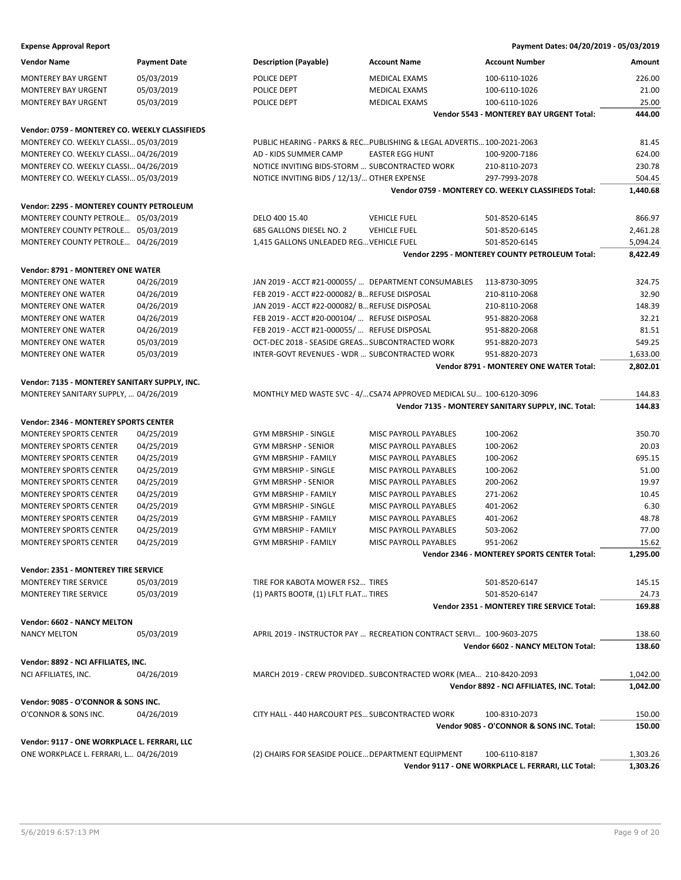| Vendor Name                                    | <b>Payment Date</b> | <b>Description (Payable)</b>                                           | <b>Account Name</b>    | <b>Account Number</b>                                | <b>Amount</b> |
|------------------------------------------------|---------------------|------------------------------------------------------------------------|------------------------|------------------------------------------------------|---------------|
| <b>MONTEREY BAY URGENT</b>                     | 05/03/2019          | POLICE DEPT                                                            | <b>MEDICAL EXAMS</b>   | 100-6110-1026                                        | 226.00        |
| <b>MONTEREY BAY URGENT</b>                     | 05/03/2019          | POLICE DEPT                                                            | <b>MEDICAL EXAMS</b>   | 100-6110-1026                                        | 21.00         |
| MONTEREY BAY URGENT                            | 05/03/2019          | POLICE DEPT                                                            | <b>MEDICAL EXAMS</b>   | 100-6110-1026                                        | 25.00         |
|                                                |                     |                                                                        |                        | <b>Vendor 5543 - MONTEREY BAY URGENT Total:</b>      | 444.00        |
| Vendor: 0759 - MONTEREY CO. WEEKLY CLASSIFIEDS |                     |                                                                        |                        |                                                      |               |
| MONTEREY CO. WEEKLY CLASSI 05/03/2019          |                     | PUBLIC HEARING - PARKS & REC PUBLISHING & LEGAL ADVERTIS 100-2021-2063 |                        |                                                      | 81.45         |
| MONTEREY CO. WEEKLY CLASSI 04/26/2019          |                     | AD - KIDS SUMMER CAMP                                                  | <b>EASTER EGG HUNT</b> | 100-9200-7186                                        | 624.00        |
| MONTEREY CO. WEEKLY CLASSI 04/26/2019          |                     | NOTICE INVITING BIDS-STORM  SUBCONTRACTED WORK                         |                        | 210-8110-2073                                        | 230.78        |
| MONTEREY CO. WEEKLY CLASSI 05/03/2019          |                     | NOTICE INVITING BIDS / 12/13/ OTHER EXPENSE                            |                        | 297-7993-2078                                        | 504.45        |
|                                                |                     |                                                                        |                        | Vendor 0759 - MONTEREY CO. WEEKLY CLASSIFIEDS Total: | 1,440.68      |
| Vendor: 2295 - MONTEREY COUNTY PETROLEUM       |                     |                                                                        |                        |                                                      |               |
| MONTEREY COUNTY PETROLE 05/03/2019             |                     | DELO 400 15.40                                                         | <b>VEHICLE FUEL</b>    | 501-8520-6145                                        | 866.97        |
| MONTEREY COUNTY PETROLE 05/03/2019             |                     | 685 GALLONS DIESEL NO. 2                                               | <b>VEHICLE FUEL</b>    | 501-8520-6145                                        | 2,461.28      |
| MONTEREY COUNTY PETROLE 04/26/2019             |                     | 1,415 GALLONS UNLEADED REG VEHICLE FUEL                                |                        | 501-8520-6145                                        | 5,094.24      |
|                                                |                     |                                                                        |                        | Vendor 2295 - MONTEREY COUNTY PETROLEUM Total:       | 8,422.49      |
| Vendor: 8791 - MONTEREY ONE WATER              |                     |                                                                        |                        |                                                      |               |
| MONTEREY ONE WATER                             | 04/26/2019          | JAN 2019 - ACCT #21-000055/  DEPARTMENT CONSUMABLES                    |                        | 113-8730-3095                                        | 324.75        |
| <b>MONTEREY ONE WATER</b>                      | 04/26/2019          | FEB 2019 - ACCT #22-000082/ B REFUSE DISPOSAL                          |                        | 210-8110-2068                                        | 32.90         |
| MONTEREY ONE WATER                             | 04/26/2019          | JAN 2019 - ACCT #22-000082/ BREFUSE DISPOSAL                           |                        | 210-8110-2068                                        | 148.39        |
| MONTEREY ONE WATER                             | 04/26/2019          | FEB 2019 - ACCT #20-000104/  REFUSE DISPOSAL                           |                        | 951-8820-2068                                        | 32.21         |
| <b>MONTEREY ONE WATER</b>                      | 04/26/2019          | FEB 2019 - ACCT #21-000055/  REFUSE DISPOSAL                           |                        | 951-8820-2068                                        | 81.51         |
| MONTEREY ONE WATER                             | 05/03/2019          | OCT-DEC 2018 - SEASIDE GREAS SUBCONTRACTED WORK                        |                        | 951-8820-2073                                        | 549.25        |
| MONTEREY ONE WATER                             | 05/03/2019          | INTER-GOVT REVENUES - WDR  SUBCONTRACTED WORK                          |                        | 951-8820-2073                                        | 1,633.00      |
|                                                |                     |                                                                        |                        | <b>Vendor 8791 - MONTEREY ONE WATER Total:</b>       | 2,802.01      |
| Vendor: 7135 - MONTEREY SANITARY SUPPLY, INC.  |                     |                                                                        |                        |                                                      |               |
| MONTEREY SANITARY SUPPLY,  04/26/2019          |                     | MONTHLY MED WASTE SVC - 4/CSA74 APPROVED MEDICAL SU 100-6120-3096      |                        |                                                      | 144.83        |
|                                                |                     |                                                                        |                        | Vendor 7135 - MONTEREY SANITARY SUPPLY, INC. Total:  | 144.83        |
| Vendor: 2346 - MONTEREY SPORTS CENTER          |                     |                                                                        |                        |                                                      |               |
| MONTEREY SPORTS CENTER                         | 04/25/2019          | <b>GYM MBRSHIP - SINGLE</b>                                            | MISC PAYROLL PAYABLES  | 100-2062                                             | 350.70        |
| <b>MONTEREY SPORTS CENTER</b>                  | 04/25/2019          | <b>GYM MBRSHP - SENIOR</b>                                             | MISC PAYROLL PAYABLES  | 100-2062                                             | 20.03         |
| <b>MONTEREY SPORTS CENTER</b>                  | 04/25/2019          | GYM MBRSHIP - FAMILY                                                   | MISC PAYROLL PAYABLES  | 100-2062                                             | 695.15        |
| MONTEREY SPORTS CENTER                         | 04/25/2019          | GYM MBRSHIP - SINGLE                                                   | MISC PAYROLL PAYABLES  | 100-2062                                             | 51.00         |
| MONTEREY SPORTS CENTER                         | 04/25/2019          | <b>GYM MBRSHP - SENIOR</b>                                             | MISC PAYROLL PAYABLES  | 200-2062                                             | 19.97         |
| <b>MONTEREY SPORTS CENTER</b>                  | 04/25/2019          | <b>GYM MBRSHIP - FAMILY</b>                                            | MISC PAYROLL PAYABLES  | 271-2062                                             | 10.45         |
| <b>MONTEREY SPORTS CENTER</b>                  | 04/25/2019          | <b>GYM MBRSHIP - SINGLE</b>                                            | MISC PAYROLL PAYABLES  | 401-2062                                             | 6.30          |
| <b>MONTEREY SPORTS CENTER</b>                  | 04/25/2019          | <b>GYM MBRSHIP - FAMILY</b>                                            | MISC PAYROLL PAYABLES  | 401-2062                                             | 48.78         |
| <b>MONTEREY SPORTS CENTER</b>                  | 04/25/2019          | <b>GYM MBRSHIP - FAMILY</b>                                            | MISC PAYROLL PAYABLES  | 503-2062                                             | 77.00         |
| <b>MONTEREY SPORTS CENTER</b>                  | 04/25/2019          | <b>GYM MBRSHIP - FAMILY</b>                                            | MISC PAYROLL PAYABLES  | 951-2062                                             | 15.62         |
|                                                |                     |                                                                        |                        | <b>Vendor 2346 - MONTEREY SPORTS CENTER Total:</b>   | 1,295.00      |
| Vendor: 2351 - MONTEREY TIRE SERVICE           |                     |                                                                        |                        |                                                      |               |
| MONTEREY TIRE SERVICE                          | 05/03/2019          | TIRE FOR KABOTA MOWER FS2 TIRES                                        |                        | 501-8520-6147                                        | 145.15        |
| MONTEREY TIRE SERVICE                          | 05/03/2019          | (1) PARTS BOOT#, (1) LFLT FLAT TIRES                                   |                        | 501-8520-6147                                        | 24.73         |
|                                                |                     |                                                                        |                        | <b>Vendor 2351 - MONTEREY TIRE SERVICE Total:</b>    | 169.88        |
| Vendor: 6602 - NANCY MELTON                    |                     |                                                                        |                        |                                                      |               |
| NANCY MELTON                                   | 05/03/2019          | APRIL 2019 - INSTRUCTOR PAY  RECREATION CONTRACT SERVI 100-9603-2075   |                        |                                                      | 138.60        |
|                                                |                     |                                                                        |                        | <b>Vendor 6602 - NANCY MELTON Total:</b>             | 138.60        |
| Vendor: 8892 - NCI AFFILIATES, INC.            |                     |                                                                        |                        |                                                      |               |
| NCI AFFILIATES, INC.                           | 04/26/2019          | MARCH 2019 - CREW PROVIDED SUBCONTRACTED WORK (MEA 210-8420-2093       |                        |                                                      | 1,042.00      |
|                                                |                     |                                                                        |                        | Vendor 8892 - NCI AFFILIATES, INC. Total:            | 1,042.00      |
| Vendor: 9085 - O'CONNOR & SONS INC.            |                     |                                                                        |                        |                                                      |               |
| O'CONNOR & SONS INC.                           | 04/26/2019          | CITY HALL - 440 HARCOURT PES SUBCONTRACTED WORK                        |                        | 100-8310-2073                                        | 150.00        |
|                                                |                     |                                                                        |                        | Vendor 9085 - O'CONNOR & SONS INC. Total:            | 150.00        |
| Vendor: 9117 - ONE WORKPLACE L. FERRARI, LLC   |                     |                                                                        |                        |                                                      |               |
| ONE WORKPLACE L. FERRARI, L 04/26/2019         |                     | (2) CHAIRS FOR SEASIDE POLICE DEPARTMENT EQUIPMENT                     |                        | 100-6110-8187                                        | 1,303.26      |
|                                                |                     |                                                                        |                        | Vendor 9117 - ONE WORKPLACE L. FERRARI, LLC Total:   | 1,303.26      |
|                                                |                     |                                                                        |                        |                                                      |               |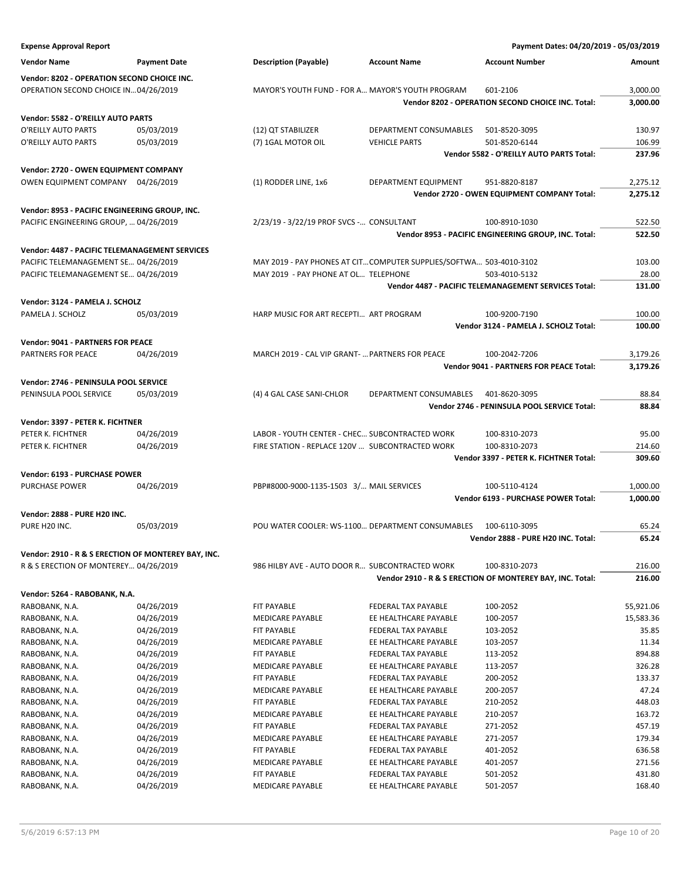| <b>Expense Approval Report</b>                            |                     |                                                 |                                                                    | Payment Dates: 04/20/2019 - 05/03/2019                    |           |
|-----------------------------------------------------------|---------------------|-------------------------------------------------|--------------------------------------------------------------------|-----------------------------------------------------------|-----------|
| <b>Vendor Name</b>                                        | <b>Payment Date</b> | <b>Description (Payable)</b>                    | <b>Account Name</b>                                                | <b>Account Number</b>                                     | Amount    |
| Vendor: 8202 - OPERATION SECOND CHOICE INC.               |                     |                                                 |                                                                    |                                                           |           |
| OPERATION SECOND CHOICE IN04/26/2019                      |                     |                                                 | MAYOR'S YOUTH FUND - FOR A MAYOR'S YOUTH PROGRAM                   | 601-2106                                                  | 3,000.00  |
|                                                           |                     |                                                 |                                                                    | Vendor 8202 - OPERATION SECOND CHOICE INC. Total:         | 3,000.00  |
|                                                           |                     |                                                 |                                                                    |                                                           |           |
| Vendor: 5582 - O'REILLY AUTO PARTS<br>O'REILLY AUTO PARTS | 05/03/2019          | (12) QT STABILIZER                              | DEPARTMENT CONSUMABLES                                             | 501-8520-3095                                             | 130.97    |
| O'REILLY AUTO PARTS                                       | 05/03/2019          | (7) 1GAL MOTOR OIL                              | <b>VEHICLE PARTS</b>                                               | 501-8520-6144                                             | 106.99    |
|                                                           |                     |                                                 |                                                                    | Vendor 5582 - O'REILLY AUTO PARTS Total:                  | 237.96    |
|                                                           |                     |                                                 |                                                                    |                                                           |           |
| Vendor: 2720 - OWEN EQUIPMENT COMPANY                     |                     |                                                 |                                                                    |                                                           |           |
| OWEN EQUIPMENT COMPANY 04/26/2019                         |                     | (1) RODDER LINE, 1x6                            | DEPARTMENT EQUIPMENT                                               | 951-8820-8187                                             | 2,275.12  |
|                                                           |                     |                                                 |                                                                    | Vendor 2720 - OWEN EQUIPMENT COMPANY Total:               | 2,275.12  |
| Vendor: 8953 - PACIFIC ENGINEERING GROUP, INC.            |                     |                                                 |                                                                    |                                                           |           |
| PACIFIC ENGINEERING GROUP,  04/26/2019                    |                     | 2/23/19 - 3/22/19 PROF SVCS - CONSULTANT        |                                                                    | 100-8910-1030                                             | 522.50    |
|                                                           |                     |                                                 |                                                                    | Vendor 8953 - PACIFIC ENGINEERING GROUP, INC. Total:      | 522.50    |
| Vendor: 4487 - PACIFIC TELEMANAGEMENT SERVICES            |                     |                                                 |                                                                    |                                                           |           |
| PACIFIC TELEMANAGEMENT SE 04/26/2019                      |                     |                                                 | MAY 2019 - PAY PHONES AT CITCOMPUTER SUPPLIES/SOFTWA 503-4010-3102 |                                                           | 103.00    |
| PACIFIC TELEMANAGEMENT SE 04/26/2019                      |                     | MAY 2019 - PAY PHONE AT OL TELEPHONE            |                                                                    | 503-4010-5132                                             | 28.00     |
|                                                           |                     |                                                 |                                                                    | Vendor 4487 - PACIFIC TELEMANAGEMENT SERVICES Total:      | 131.00    |
|                                                           |                     |                                                 |                                                                    |                                                           |           |
| Vendor: 3124 - PAMELA J. SCHOLZ                           |                     |                                                 |                                                                    |                                                           |           |
| PAMELA J. SCHOLZ                                          | 05/03/2019          | HARP MUSIC FOR ART RECEPTI ART PROGRAM          |                                                                    | 100-9200-7190                                             | 100.00    |
|                                                           |                     |                                                 |                                                                    | Vendor 3124 - PAMELA J. SCHOLZ Total:                     | 100.00    |
| <b>Vendor: 9041 - PARTNERS FOR PEACE</b>                  |                     |                                                 |                                                                    |                                                           |           |
| <b>PARTNERS FOR PEACE</b>                                 | 04/26/2019          | MARCH 2019 - CAL VIP GRANT-  PARTNERS FOR PEACE |                                                                    | 100-2042-7206                                             | 3,179.26  |
|                                                           |                     |                                                 |                                                                    | Vendor 9041 - PARTNERS FOR PEACE Total:                   | 3,179.26  |
| Vendor: 2746 - PENINSULA POOL SERVICE                     |                     |                                                 |                                                                    |                                                           |           |
| PENINSULA POOL SERVICE                                    | 05/03/2019          | (4) 4 GAL CASE SANI-CHLOR                       | DEPARTMENT CONSUMABLES                                             | 401-8620-3095                                             | 88.84     |
|                                                           |                     |                                                 |                                                                    | Vendor 2746 - PENINSULA POOL SERVICE Total:               | 88.84     |
| Vendor: 3397 - PETER K. FICHTNER                          |                     |                                                 |                                                                    |                                                           |           |
| PETER K. FICHTNER                                         | 04/26/2019          | LABOR - YOUTH CENTER - CHEC SUBCONTRACTED WORK  |                                                                    | 100-8310-2073                                             | 95.00     |
| PETER K. FICHTNER                                         | 04/26/2019          | FIRE STATION - REPLACE 120V  SUBCONTRACTED WORK |                                                                    | 100-8310-2073                                             | 214.60    |
|                                                           |                     |                                                 |                                                                    | Vendor 3397 - PETER K. FICHTNER Total:                    | 309.60    |
|                                                           |                     |                                                 |                                                                    |                                                           |           |
| Vendor: 6193 - PURCHASE POWER                             |                     |                                                 |                                                                    |                                                           |           |
| PURCHASE POWER                                            | 04/26/2019          | PBP#8000-9000-1135-1503 3/ MAIL SERVICES        |                                                                    | 100-5110-4124                                             | 1,000.00  |
|                                                           |                     |                                                 |                                                                    | Vendor 6193 - PURCHASE POWER Total:                       | 1,000.00  |
| <b>Vendor: 2888 - PURE H20 INC.</b>                       |                     |                                                 |                                                                    |                                                           |           |
| PURE H20 INC.                                             | 05/03/2019          |                                                 | POU WATER COOLER: WS-1100 DEPARTMENT CONSUMABLES                   | 100-6110-3095                                             | 65.24     |
|                                                           |                     |                                                 |                                                                    | Vendor 2888 - PURE H20 INC. Total:                        | 65.24     |
| Vendor: 2910 - R & S ERECTION OF MONTEREY BAY, INC.       |                     |                                                 |                                                                    |                                                           |           |
| R & S ERECTION OF MONTEREY 04/26/2019                     |                     | 986 HILBY AVE - AUTO DOOR R SUBCONTRACTED WORK  |                                                                    | 100-8310-2073                                             | 216.00    |
|                                                           |                     |                                                 |                                                                    | Vendor 2910 - R & S ERECTION OF MONTEREY BAY, INC. Total: | 216.00    |
| Vendor: 5264 - RABOBANK, N.A.                             |                     |                                                 |                                                                    |                                                           |           |
| RABOBANK, N.A.                                            | 04/26/2019          | FIT PAYABLE                                     | FEDERAL TAX PAYABLE                                                | 100-2052                                                  | 55,921.06 |
| RABOBANK, N.A.                                            | 04/26/2019          | MEDICARE PAYABLE                                | EE HEALTHCARE PAYABLE                                              | 100-2057                                                  | 15,583.36 |
| RABOBANK, N.A.                                            | 04/26/2019          | FIT PAYABLE                                     | FEDERAL TAX PAYABLE                                                | 103-2052                                                  | 35.85     |
| RABOBANK, N.A.                                            | 04/26/2019          | <b>MEDICARE PAYABLE</b>                         | EE HEALTHCARE PAYABLE                                              | 103-2057                                                  | 11.34     |
| RABOBANK, N.A.                                            | 04/26/2019          | FIT PAYABLE                                     | FEDERAL TAX PAYABLE                                                | 113-2052                                                  | 894.88    |
| RABOBANK, N.A.                                            | 04/26/2019          | <b>MEDICARE PAYABLE</b>                         | EE HEALTHCARE PAYABLE                                              | 113-2057                                                  | 326.28    |
| RABOBANK, N.A.                                            | 04/26/2019          | FIT PAYABLE                                     | FEDERAL TAX PAYABLE                                                | 200-2052                                                  | 133.37    |
| RABOBANK, N.A.                                            | 04/26/2019          | MEDICARE PAYABLE                                | EE HEALTHCARE PAYABLE                                              | 200-2057                                                  | 47.24     |
| RABOBANK, N.A.                                            | 04/26/2019          | FIT PAYABLE                                     | FEDERAL TAX PAYABLE                                                | 210-2052                                                  | 448.03    |
| RABOBANK, N.A.                                            | 04/26/2019          | MEDICARE PAYABLE                                | EE HEALTHCARE PAYABLE                                              | 210-2057                                                  | 163.72    |
| RABOBANK, N.A.                                            | 04/26/2019          | FIT PAYABLE                                     | FEDERAL TAX PAYABLE                                                | 271-2052                                                  | 457.19    |
| RABOBANK, N.A.                                            | 04/26/2019          | MEDICARE PAYABLE                                | EE HEALTHCARE PAYABLE                                              | 271-2057                                                  | 179.34    |
| RABOBANK, N.A.                                            | 04/26/2019          | FIT PAYABLE                                     | FEDERAL TAX PAYABLE                                                | 401-2052                                                  | 636.58    |
| RABOBANK, N.A.                                            | 04/26/2019          | MEDICARE PAYABLE                                | EE HEALTHCARE PAYABLE                                              | 401-2057                                                  | 271.56    |
| RABOBANK, N.A.                                            | 04/26/2019          | FIT PAYABLE                                     | FEDERAL TAX PAYABLE                                                | 501-2052                                                  | 431.80    |
| RABOBANK, N.A.                                            | 04/26/2019          | MEDICARE PAYABLE                                | EE HEALTHCARE PAYABLE                                              | 501-2057                                                  | 168.40    |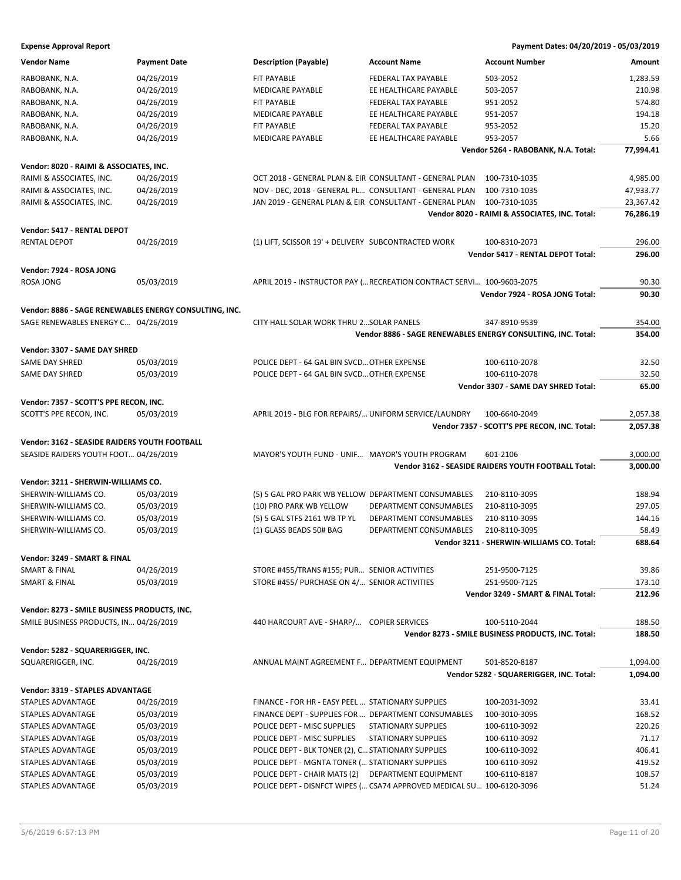| <b>Vendor Name</b>                                     | <b>Payment Date</b> | <b>Description (Payable)</b>                            | <b>Account Name</b>                                                   | <b>Account Number</b>                                        | Amount    |
|--------------------------------------------------------|---------------------|---------------------------------------------------------|-----------------------------------------------------------------------|--------------------------------------------------------------|-----------|
| RABOBANK, N.A.                                         | 04/26/2019          | FIT PAYABLE                                             | FEDERAL TAX PAYABLE                                                   | 503-2052                                                     | 1,283.59  |
| RABOBANK, N.A.                                         | 04/26/2019          | <b>MEDICARE PAYABLE</b>                                 | EE HEALTHCARE PAYABLE                                                 | 503-2057                                                     | 210.98    |
| RABOBANK, N.A.                                         | 04/26/2019          | <b>FIT PAYABLE</b>                                      | FEDERAL TAX PAYABLE                                                   | 951-2052                                                     | 574.80    |
| RABOBANK, N.A.                                         | 04/26/2019          | MEDICARE PAYABLE                                        | EE HEALTHCARE PAYABLE                                                 | 951-2057                                                     | 194.18    |
| RABOBANK, N.A.                                         | 04/26/2019          | FIT PAYABLE                                             | FEDERAL TAX PAYABLE                                                   | 953-2052                                                     | 15.20     |
| RABOBANK, N.A.                                         | 04/26/2019          | <b>MEDICARE PAYABLE</b>                                 | EE HEALTHCARE PAYABLE                                                 | 953-2057                                                     | 5.66      |
|                                                        |                     |                                                         |                                                                       | Vendor 5264 - RABOBANK, N.A. Total:                          | 77,994.41 |
|                                                        |                     |                                                         |                                                                       |                                                              |           |
| Vendor: 8020 - RAIMI & ASSOCIATES, INC.                |                     |                                                         |                                                                       |                                                              |           |
| RAIMI & ASSOCIATES, INC.                               | 04/26/2019          | OCT 2018 - GENERAL PLAN & EIR CONSULTANT - GENERAL PLAN |                                                                       | 100-7310-1035                                                | 4,985.00  |
| RAIMI & ASSOCIATES, INC.                               | 04/26/2019          | NOV - DEC, 2018 - GENERAL PL CONSULTANT - GENERAL PLAN  |                                                                       | 100-7310-1035                                                | 47,933.77 |
| RAIMI & ASSOCIATES, INC.                               | 04/26/2019          | JAN 2019 - GENERAL PLAN & EIR CONSULTANT - GENERAL PLAN |                                                                       | 100-7310-1035                                                | 23,367.42 |
|                                                        |                     |                                                         |                                                                       | Vendor 8020 - RAIMI & ASSOCIATES, INC. Total:                | 76,286.19 |
| Vendor: 5417 - RENTAL DEPOT                            |                     |                                                         |                                                                       |                                                              |           |
| <b>RENTAL DEPOT</b>                                    | 04/26/2019          | (1) LIFT, SCISSOR 19' + DELIVERY SUBCONTRACTED WORK     |                                                                       | 100-8310-2073                                                | 296.00    |
|                                                        |                     |                                                         |                                                                       | Vendor 5417 - RENTAL DEPOT Total:                            | 296.00    |
|                                                        |                     |                                                         |                                                                       |                                                              |           |
| Vendor: 7924 - ROSA JONG                               |                     |                                                         |                                                                       |                                                              |           |
| ROSA JONG                                              | 05/03/2019          |                                                         | APRIL 2019 - INSTRUCTOR PAY ( RECREATION CONTRACT SERVI 100-9603-2075 |                                                              | 90.30     |
|                                                        |                     |                                                         |                                                                       | Vendor 7924 - ROSA JONG Total:                               | 90.30     |
| Vendor: 8886 - SAGE RENEWABLES ENERGY CONSULTING, INC. |                     |                                                         |                                                                       |                                                              |           |
| SAGE RENEWABLES ENERGY C 04/26/2019                    |                     | CITY HALL SOLAR WORK THRU 2 SOLAR PANELS                |                                                                       | 347-8910-9539                                                | 354.00    |
|                                                        |                     |                                                         |                                                                       | Vendor 8886 - SAGE RENEWABLES ENERGY CONSULTING, INC. Total: | 354.00    |
|                                                        |                     |                                                         |                                                                       |                                                              |           |
| Vendor: 3307 - SAME DAY SHRED                          |                     |                                                         |                                                                       |                                                              |           |
| SAME DAY SHRED                                         | 05/03/2019          | POLICE DEPT - 64 GAL BIN SVCD OTHER EXPENSE             |                                                                       | 100-6110-2078                                                | 32.50     |
| SAME DAY SHRED                                         | 05/03/2019          | POLICE DEPT - 64 GAL BIN SVCD OTHER EXPENSE             |                                                                       | 100-6110-2078                                                | 32.50     |
|                                                        |                     |                                                         |                                                                       | Vendor 3307 - SAME DAY SHRED Total:                          | 65.00     |
| Vendor: 7357 - SCOTT'S PPE RECON, INC.                 |                     |                                                         |                                                                       |                                                              |           |
| SCOTT'S PPE RECON, INC.                                | 05/03/2019          | APRIL 2019 - BLG FOR REPAIRS/ UNIFORM SERVICE/LAUNDRY   |                                                                       | 100-6640-2049                                                | 2,057.38  |
|                                                        |                     |                                                         |                                                                       | Vendor 7357 - SCOTT'S PPE RECON, INC. Total:                 | 2,057.38  |
| <b>Vendor: 3162 - SEASIDE RAIDERS YOUTH FOOTBALL</b>   |                     |                                                         |                                                                       |                                                              |           |
|                                                        |                     |                                                         |                                                                       |                                                              |           |
| SEASIDE RAIDERS YOUTH FOOT 04/26/2019                  |                     | MAYOR'S YOUTH FUND - UNIF MAYOR'S YOUTH PROGRAM         |                                                                       | 601-2106                                                     | 3,000.00  |
|                                                        |                     |                                                         |                                                                       | Vendor 3162 - SEASIDE RAIDERS YOUTH FOOTBALL Total:          | 3,000.00  |
| Vendor: 3211 - SHERWIN-WILLIAMS CO.                    |                     |                                                         |                                                                       |                                                              |           |
| SHERWIN-WILLIAMS CO.                                   | 05/03/2019          | (5) 5 GAL PRO PARK WB YELLOW DEPARTMENT CONSUMABLES     |                                                                       | 210-8110-3095                                                | 188.94    |
| SHERWIN-WILLIAMS CO.                                   | 05/03/2019          | (10) PRO PARK WB YELLOW                                 | DEPARTMENT CONSUMABLES                                                | 210-8110-3095                                                | 297.05    |
| SHERWIN-WILLIAMS CO.                                   | 05/03/2019          | (5) 5 GAL STFS 2161 WB TP YL                            | DEPARTMENT CONSUMABLES                                                | 210-8110-3095                                                | 144.16    |
| SHERWIN-WILLIAMS CO.                                   | 05/03/2019          | (1) GLASS BEADS 50# BAG                                 | DEPARTMENT CONSUMABLES                                                | 210-8110-3095                                                | 58.49     |
|                                                        |                     |                                                         |                                                                       | Vendor 3211 - SHERWIN-WILLIAMS CO. Total:                    | 688.64    |
| Vendor: 3249 - SMART & FINAL                           |                     |                                                         |                                                                       |                                                              |           |
| <b>SMART &amp; FINAL</b>                               | 04/26/2019          | STORE #455/TRANS #155; PUR SENIOR ACTIVITIES            |                                                                       | 251-9500-7125                                                | 39.86     |
| <b>SMART &amp; FINAL</b>                               | 05/03/2019          | STORE #455/ PURCHASE ON 4/ SENIOR ACTIVITIES            |                                                                       | 251-9500-7125                                                | 173.10    |
|                                                        |                     |                                                         |                                                                       |                                                              |           |
|                                                        |                     |                                                         |                                                                       | Vendor 3249 - SMART & FINAL Total:                           | 212.96    |
| Vendor: 8273 - SMILE BUSINESS PRODUCTS, INC.           |                     |                                                         |                                                                       |                                                              |           |
| SMILE BUSINESS PRODUCTS, IN 04/26/2019                 |                     | 440 HARCOURT AVE - SHARP/ COPIER SERVICES               |                                                                       | 100-5110-2044                                                | 188.50    |
|                                                        |                     |                                                         |                                                                       | Vendor 8273 - SMILE BUSINESS PRODUCTS, INC. Total:           | 188.50    |
| Vendor: 5282 - SQUARERIGGER, INC.                      |                     |                                                         |                                                                       |                                                              |           |
| SQUARERIGGER, INC.                                     | 04/26/2019          | ANNUAL MAINT AGREEMENT F DEPARTMENT EQUIPMENT           |                                                                       | 501-8520-8187                                                | 1,094.00  |
|                                                        |                     |                                                         |                                                                       | Vendor 5282 - SQUARERIGGER, INC. Total:                      | 1,094.00  |
|                                                        |                     |                                                         |                                                                       |                                                              |           |
| Vendor: 3319 - STAPLES ADVANTAGE                       |                     |                                                         |                                                                       |                                                              |           |
| STAPLES ADVANTAGE                                      | 04/26/2019          | FINANCE - FOR HR - EASY PEEL  STATIONARY SUPPLIES       |                                                                       | 100-2031-3092                                                | 33.41     |
| STAPLES ADVANTAGE                                      | 05/03/2019          | FINANCE DEPT - SUPPLIES FOR  DEPARTMENT CONSUMABLES     |                                                                       | 100-3010-3095                                                | 168.52    |
| STAPLES ADVANTAGE                                      | 05/03/2019          | POLICE DEPT - MISC SUPPLIES                             | <b>STATIONARY SUPPLIES</b>                                            | 100-6110-3092                                                | 220.26    |
| STAPLES ADVANTAGE                                      | 05/03/2019          | POLICE DEPT - MISC SUPPLIES                             | STATIONARY SUPPLIES                                                   | 100-6110-3092                                                | 71.17     |
| STAPLES ADVANTAGE                                      | 05/03/2019          | POLICE DEPT - BLK TONER (2), C STATIONARY SUPPLIES      |                                                                       | 100-6110-3092                                                | 406.41    |
| STAPLES ADVANTAGE                                      | 05/03/2019          | POLICE DEPT - MGNTA TONER ( STATIONARY SUPPLIES         |                                                                       | 100-6110-3092                                                | 419.52    |
| STAPLES ADVANTAGE                                      | 05/03/2019          | POLICE DEPT - CHAIR MATS (2)                            | DEPARTMENT EQUIPMENT                                                  | 100-6110-8187                                                | 108.57    |
| STAPLES ADVANTAGE                                      | 05/03/2019          |                                                         | POLICE DEPT - DISNFCT WIPES ( CSA74 APPROVED MEDICAL SU 100-6120-3096 |                                                              | 51.24     |
|                                                        |                     |                                                         |                                                                       |                                                              |           |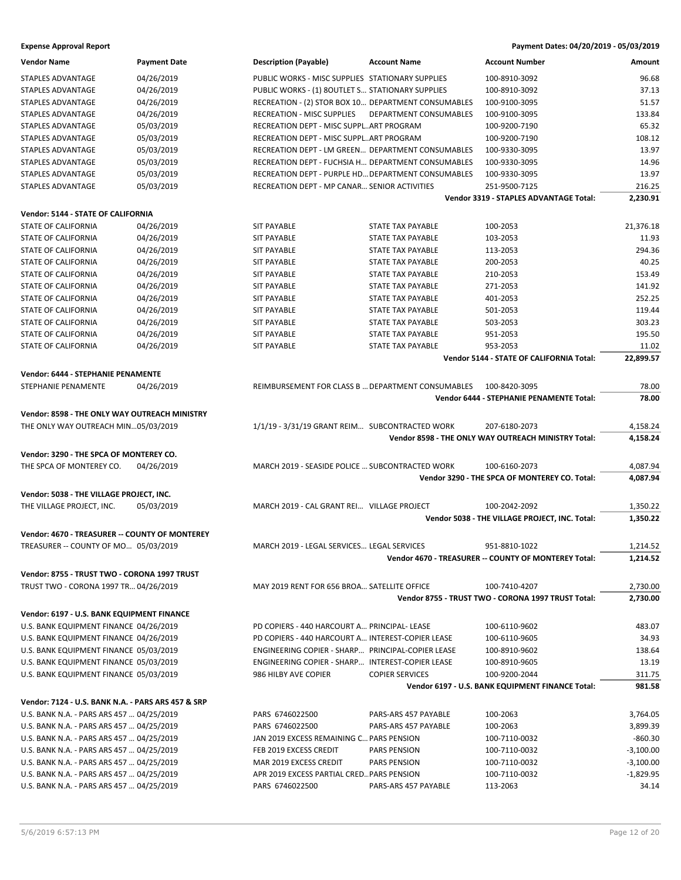| <b>Vendor Name</b>                                 | <b>Payment Date</b>      | <b>Description (Payable)</b>                        | <b>Account Name</b>                                  | <b>Account Number</b>                                           | <b>Amount</b>    |
|----------------------------------------------------|--------------------------|-----------------------------------------------------|------------------------------------------------------|-----------------------------------------------------------------|------------------|
| STAPLES ADVANTAGE                                  | 04/26/2019               | PUBLIC WORKS - MISC SUPPLIES STATIONARY SUPPLIES    |                                                      | 100-8910-3092                                                   | 96.68            |
| STAPLES ADVANTAGE                                  | 04/26/2019               | PUBLIC WORKS - (1) 8OUTLET S STATIONARY SUPPLIES    |                                                      | 100-8910-3092                                                   | 37.13            |
| STAPLES ADVANTAGE                                  | 04/26/2019               | RECREATION - (2) STOR BOX 10 DEPARTMENT CONSUMABLES |                                                      | 100-9100-3095                                                   | 51.57            |
| STAPLES ADVANTAGE                                  | 04/26/2019               | <b>RECREATION - MISC SUPPLIES</b>                   | DEPARTMENT CONSUMABLES                               | 100-9100-3095                                                   | 133.84           |
| STAPLES ADVANTAGE                                  | 05/03/2019               | RECREATION DEPT - MISC SUPPLART PROGRAM             |                                                      | 100-9200-7190                                                   | 65.32            |
| STAPLES ADVANTAGE                                  | 05/03/2019               | RECREATION DEPT - MISC SUPPLART PROGRAM             |                                                      | 100-9200-7190                                                   | 108.12           |
| STAPLES ADVANTAGE                                  | 05/03/2019               | RECREATION DEPT - LM GREEN DEPARTMENT CONSUMABLES   |                                                      | 100-9330-3095                                                   | 13.97            |
| STAPLES ADVANTAGE                                  | 05/03/2019               | RECREATION DEPT - FUCHSIA H DEPARTMENT CONSUMABLES  |                                                      | 100-9330-3095                                                   | 14.96            |
| STAPLES ADVANTAGE                                  | 05/03/2019               | RECREATION DEPT - PURPLE HD DEPARTMENT CONSUMABLES  |                                                      | 100-9330-3095                                                   | 13.97            |
| STAPLES ADVANTAGE                                  | 05/03/2019               | RECREATION DEPT - MP CANAR SENIOR ACTIVITIES        |                                                      | 251-9500-7125                                                   | 216.25           |
|                                                    |                          |                                                     |                                                      | Vendor 3319 - STAPLES ADVANTAGE Total:                          | 2,230.91         |
| Vendor: 5144 - STATE OF CALIFORNIA                 |                          |                                                     |                                                      |                                                                 |                  |
| STATE OF CALIFORNIA                                | 04/26/2019               |                                                     | STATE TAX PAYABLE                                    |                                                                 | 21,376.18        |
| STATE OF CALIFORNIA                                | 04/26/2019               | <b>SIT PAYABLE</b><br><b>SIT PAYABLE</b>            | STATE TAX PAYABLE                                    | 100-2053<br>103-2053                                            | 11.93            |
|                                                    | 04/26/2019               | <b>SIT PAYABLE</b>                                  | STATE TAX PAYABLE                                    | 113-2053                                                        | 294.36           |
| STATE OF CALIFORNIA                                |                          |                                                     | STATE TAX PAYABLE                                    | 200-2053                                                        | 40.25            |
| STATE OF CALIFORNIA<br><b>STATE OF CALIFORNIA</b>  | 04/26/2019               | <b>SIT PAYABLE</b><br><b>SIT PAYABLE</b>            |                                                      |                                                                 |                  |
|                                                    | 04/26/2019               |                                                     | STATE TAX PAYABLE                                    | 210-2053                                                        | 153.49           |
| STATE OF CALIFORNIA<br><b>STATE OF CALIFORNIA</b>  | 04/26/2019<br>04/26/2019 | <b>SIT PAYABLE</b>                                  | <b>STATE TAX PAYABLE</b><br><b>STATE TAX PAYABLE</b> | 271-2053                                                        | 141.92<br>252.25 |
| <b>STATE OF CALIFORNIA</b>                         |                          | <b>SIT PAYABLE</b>                                  |                                                      | 401-2053                                                        | 119.44           |
|                                                    | 04/26/2019               | <b>SIT PAYABLE</b>                                  | STATE TAX PAYABLE                                    | 501-2053                                                        |                  |
| STATE OF CALIFORNIA                                | 04/26/2019               | <b>SIT PAYABLE</b>                                  | <b>STATE TAX PAYABLE</b>                             | 503-2053                                                        | 303.23           |
| STATE OF CALIFORNIA                                | 04/26/2019               | <b>SIT PAYABLE</b>                                  | STATE TAX PAYABLE                                    | 951-2053                                                        | 195.50           |
| <b>STATE OF CALIFORNIA</b>                         | 04/26/2019               | <b>SIT PAYABLE</b>                                  | <b>STATE TAX PAYABLE</b>                             | 953-2053                                                        | 11.02            |
|                                                    |                          |                                                     |                                                      | Vendor 5144 - STATE OF CALIFORNIA Total:                        | 22,899.57        |
| Vendor: 6444 - STEPHANIE PENAMENTE                 |                          |                                                     |                                                      |                                                                 |                  |
| STEPHANIE PENAMENTE                                | 04/26/2019               | REIMBURSEMENT FOR CLASS B  DEPARTMENT CONSUMABLES   |                                                      | 100-8420-3095                                                   | 78.00            |
|                                                    |                          |                                                     |                                                      | Vendor 6444 - STEPHANIE PENAMENTE Total:                        | 78.00            |
| Vendor: 8598 - THE ONLY WAY OUTREACH MINISTRY      |                          |                                                     |                                                      |                                                                 |                  |
| THE ONLY WAY OUTREACH MIN05/03/2019                |                          | 1/1/19 - 3/31/19 GRANT REIM SUBCONTRACTED WORK      |                                                      | 207-6180-2073                                                   | 4,158.24         |
|                                                    |                          |                                                     |                                                      | Vendor 8598 - THE ONLY WAY OUTREACH MINISTRY Total:             | 4,158.24         |
| Vendor: 3290 - THE SPCA OF MONTEREY CO.            |                          |                                                     |                                                      |                                                                 |                  |
| THE SPCA OF MONTEREY CO.                           | 04/26/2019               | MARCH 2019 - SEASIDE POLICE  SUBCONTRACTED WORK     |                                                      | 100-6160-2073                                                   | 4,087.94         |
|                                                    |                          |                                                     |                                                      | Vendor 3290 - THE SPCA OF MONTEREY CO. Total:                   | 4,087.94         |
|                                                    |                          |                                                     |                                                      |                                                                 |                  |
| Vendor: 5038 - THE VILLAGE PROJECT, INC.           |                          | MARCH 2019 - CAL GRANT REI VILLAGE PROJECT          |                                                      |                                                                 | 1,350.22         |
| THE VILLAGE PROJECT, INC.                          | 05/03/2019               |                                                     |                                                      | 100-2042-2092<br>Vendor 5038 - THE VILLAGE PROJECT, INC. Total: | 1,350.22         |
|                                                    |                          |                                                     |                                                      |                                                                 |                  |
| Vendor: 4670 - TREASURER -- COUNTY OF MONTEREY     |                          |                                                     |                                                      |                                                                 |                  |
| TREASURER -- COUNTY OF MO 05/03/2019               |                          | MARCH 2019 - LEGAL SERVICES LEGAL SERVICES          |                                                      | 951-8810-1022                                                   | 1,214.52         |
|                                                    |                          |                                                     |                                                      | Vendor 4670 - TREASURER -- COUNTY OF MONTEREY Total:            | 1,214.52         |
| Vendor: 8755 - TRUST TWO - CORONA 1997 TRUST       |                          |                                                     |                                                      |                                                                 |                  |
| TRUST TWO - CORONA 1997 TR 04/26/2019              |                          | MAY 2019 RENT FOR 656 BROA SATELLITE OFFICE         |                                                      | 100-7410-4207                                                   | 2,730.00         |
|                                                    |                          |                                                     |                                                      | Vendor 8755 - TRUST TWO - CORONA 1997 TRUST Total:              | 2,730.00         |
| Vendor: 6197 - U.S. BANK EQUIPMENT FINANCE         |                          |                                                     |                                                      |                                                                 |                  |
| U.S. BANK EQUIPMENT FINANCE 04/26/2019             |                          | PD COPIERS - 440 HARCOURT A PRINCIPAL- LEASE        |                                                      | 100-6110-9602                                                   | 483.07           |
| U.S. BANK EQUIPMENT FINANCE 04/26/2019             |                          | PD COPIERS - 440 HARCOURT A INTEREST-COPIER LEASE   |                                                      | 100-6110-9605                                                   | 34.93            |
| U.S. BANK EQUIPMENT FINANCE 05/03/2019             |                          | ENGINEERING COPIER - SHARP PRINCIPAL-COPIER LEASE   |                                                      | 100-8910-9602                                                   | 138.64           |
| U.S. BANK EQUIPMENT FINANCE 05/03/2019             |                          | ENGINEERING COPIER - SHARP INTEREST-COPIER LEASE    |                                                      | 100-8910-9605                                                   | 13.19            |
| U.S. BANK EQUIPMENT FINANCE 05/03/2019             |                          | 986 HILBY AVE COPIER                                | <b>COPIER SERVICES</b>                               | 100-9200-2044                                                   | 311.75           |
|                                                    |                          |                                                     |                                                      | Vendor 6197 - U.S. BANK EQUIPMENT FINANCE Total:                | 981.58           |
|                                                    |                          |                                                     |                                                      |                                                                 |                  |
| Vendor: 7124 - U.S. BANK N.A. - PARS ARS 457 & SRP |                          |                                                     |                                                      |                                                                 |                  |
| U.S. BANK N.A. - PARS ARS 457  04/25/2019          |                          | PARS 6746022500                                     | PARS-ARS 457 PAYABLE                                 | 100-2063                                                        | 3,764.05         |
| U.S. BANK N.A. - PARS ARS 457  04/25/2019          |                          | PARS 6746022500                                     | PARS-ARS 457 PAYABLE                                 | 100-2063                                                        | 3,899.39         |
| U.S. BANK N.A. - PARS ARS 457  04/25/2019          |                          | JAN 2019 EXCESS REMAINING C PARS PENSION            |                                                      | 100-7110-0032                                                   | $-860.30$        |
| U.S. BANK N.A. - PARS ARS 457  04/25/2019          |                          | FEB 2019 EXCESS CREDIT                              | PARS PENSION                                         | 100-7110-0032                                                   | $-3,100.00$      |
| U.S. BANK N.A. - PARS ARS 457  04/25/2019          |                          | MAR 2019 EXCESS CREDIT                              | <b>PARS PENSION</b>                                  | 100-7110-0032                                                   | $-3,100.00$      |
| U.S. BANK N.A. - PARS ARS 457  04/25/2019          |                          | APR 2019 EXCESS PARTIAL CRED PARS PENSION           |                                                      | 100-7110-0032                                                   | $-1,829.95$      |
| U.S. BANK N.A. - PARS ARS 457  04/25/2019          |                          | PARS 6746022500                                     | PARS-ARS 457 PAYABLE                                 | 113-2063                                                        | 34.14            |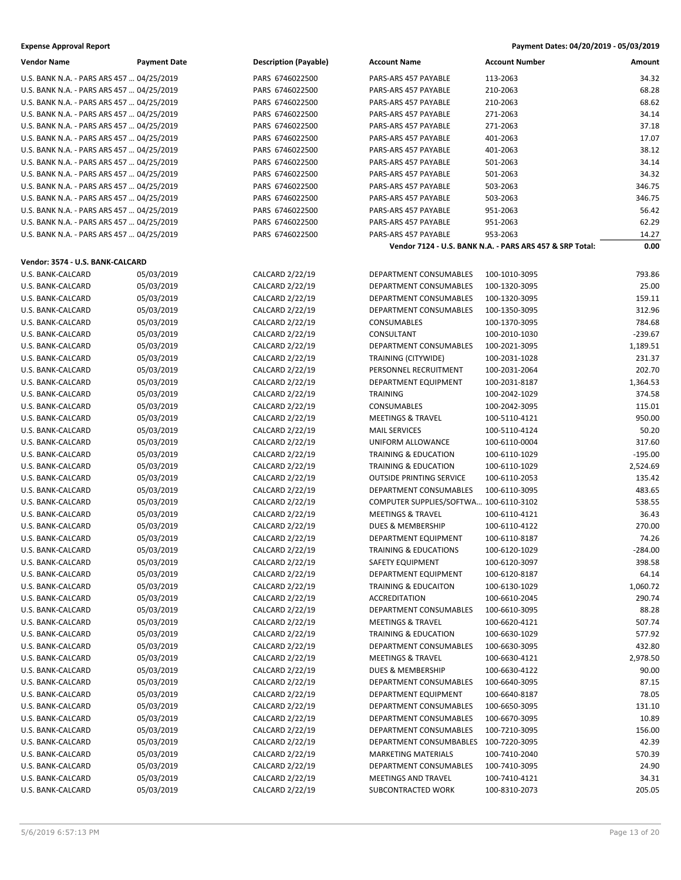| <b>Expense Approval Report</b> | Payment Dates: 04/20/2019 - 05/03/2019 |
|--------------------------------|----------------------------------------|
|                                |                                        |

| <b>Vendor Name</b>                        | <b>Payment Date</b> | <b>Description (Payable)</b> | <b>Account Name</b>                    | <b>Account Number</b>                                    | Amount    |
|-------------------------------------------|---------------------|------------------------------|----------------------------------------|----------------------------------------------------------|-----------|
| U.S. BANK N.A. - PARS ARS 457  04/25/2019 |                     | PARS 6746022500              | PARS-ARS 457 PAYABLE                   | 113-2063                                                 | 34.32     |
| U.S. BANK N.A. - PARS ARS 457  04/25/2019 |                     | PARS 6746022500              | PARS-ARS 457 PAYABLE                   | 210-2063                                                 | 68.28     |
| U.S. BANK N.A. - PARS ARS 457  04/25/2019 |                     | PARS 6746022500              | PARS-ARS 457 PAYABLE                   | 210-2063                                                 | 68.62     |
| U.S. BANK N.A. - PARS ARS 457  04/25/2019 |                     | PARS 6746022500              | PARS-ARS 457 PAYABLE                   | 271-2063                                                 | 34.14     |
| U.S. BANK N.A. - PARS ARS 457  04/25/2019 |                     | PARS 6746022500              | PARS-ARS 457 PAYABLE                   | 271-2063                                                 | 37.18     |
| U.S. BANK N.A. - PARS ARS 457  04/25/2019 |                     | PARS 6746022500              | PARS-ARS 457 PAYABLE                   | 401-2063                                                 | 17.07     |
| U.S. BANK N.A. - PARS ARS 457  04/25/2019 |                     | PARS 6746022500              | PARS-ARS 457 PAYABLE                   | 401-2063                                                 | 38.12     |
| U.S. BANK N.A. - PARS ARS 457  04/25/2019 |                     | PARS 6746022500              | PARS-ARS 457 PAYABLE                   | 501-2063                                                 | 34.14     |
| U.S. BANK N.A. - PARS ARS 457  04/25/2019 |                     | PARS 6746022500              | PARS-ARS 457 PAYABLE                   | 501-2063                                                 | 34.32     |
| U.S. BANK N.A. - PARS ARS 457  04/25/2019 |                     | PARS 6746022500              | PARS-ARS 457 PAYABLE                   | 503-2063                                                 | 346.75    |
| U.S. BANK N.A. - PARS ARS 457  04/25/2019 |                     | PARS 6746022500              | PARS-ARS 457 PAYABLE                   | 503-2063                                                 | 346.75    |
| U.S. BANK N.A. - PARS ARS 457  04/25/2019 |                     | PARS 6746022500              | PARS-ARS 457 PAYABLE                   | 951-2063                                                 | 56.42     |
| U.S. BANK N.A. - PARS ARS 457  04/25/2019 |                     | PARS 6746022500              | PARS-ARS 457 PAYABLE                   | 951-2063                                                 | 62.29     |
| U.S. BANK N.A. - PARS ARS 457  04/25/2019 |                     | PARS 6746022500              | PARS-ARS 457 PAYABLE                   | 953-2063                                                 | 14.27     |
|                                           |                     |                              |                                        | Vendor 7124 - U.S. BANK N.A. - PARS ARS 457 & SRP Total: | 0.00      |
| Vendor: 3574 - U.S. BANK-CALCARD          |                     |                              |                                        |                                                          |           |
| U.S. BANK-CALCARD                         | 05/03/2019          | CALCARD 2/22/19              | DEPARTMENT CONSUMABLES                 | 100-1010-3095                                            | 793.86    |
| U.S. BANK-CALCARD                         | 05/03/2019          | CALCARD 2/22/19              | <b>DEPARTMENT CONSUMABLES</b>          | 100-1320-3095                                            | 25.00     |
| U.S. BANK-CALCARD                         | 05/03/2019          | CALCARD 2/22/19              | DEPARTMENT CONSUMABLES                 | 100-1320-3095                                            | 159.11    |
| U.S. BANK-CALCARD                         | 05/03/2019          | CALCARD 2/22/19              | DEPARTMENT CONSUMABLES                 | 100-1350-3095                                            | 312.96    |
| U.S. BANK-CALCARD                         | 05/03/2019          | CALCARD 2/22/19              | CONSUMABLES                            | 100-1370-3095                                            | 784.68    |
| U.S. BANK-CALCARD                         | 05/03/2019          | CALCARD 2/22/19              | CONSULTANT                             | 100-2010-1030                                            | $-239.67$ |
| U.S. BANK-CALCARD                         | 05/03/2019          | CALCARD 2/22/19              | DEPARTMENT CONSUMABLES                 | 100-2021-3095                                            | 1,189.51  |
| U.S. BANK-CALCARD                         | 05/03/2019          | CALCARD 2/22/19              | TRAINING (CITYWIDE)                    | 100-2031-1028                                            | 231.37    |
| U.S. BANK-CALCARD                         | 05/03/2019          | CALCARD 2/22/19              | PERSONNEL RECRUITMENT                  | 100-2031-2064                                            | 202.70    |
| U.S. BANK-CALCARD                         | 05/03/2019          | CALCARD 2/22/19              | DEPARTMENT EQUIPMENT                   | 100-2031-8187                                            | 1,364.53  |
| U.S. BANK-CALCARD                         | 05/03/2019          | CALCARD 2/22/19              | TRAINING                               | 100-2042-1029                                            | 374.58    |
| U.S. BANK-CALCARD                         | 05/03/2019          | CALCARD 2/22/19              | <b>CONSUMABLES</b>                     | 100-2042-3095                                            | 115.01    |
| U.S. BANK-CALCARD                         | 05/03/2019          | CALCARD 2/22/19              | <b>MEETINGS &amp; TRAVEL</b>           | 100-5110-4121                                            | 950.00    |
| U.S. BANK-CALCARD                         | 05/03/2019          | CALCARD 2/22/19              | <b>MAIL SERVICES</b>                   | 100-5110-4124                                            | 50.20     |
| U.S. BANK-CALCARD                         | 05/03/2019          | CALCARD 2/22/19              | UNIFORM ALLOWANCE                      | 100-6110-0004                                            | 317.60    |
| U.S. BANK-CALCARD                         | 05/03/2019          | CALCARD 2/22/19              | <b>TRAINING &amp; EDUCATION</b>        | 100-6110-1029                                            | $-195.00$ |
| U.S. BANK-CALCARD                         | 05/03/2019          | CALCARD 2/22/19              | <b>TRAINING &amp; EDUCATION</b>        | 100-6110-1029                                            | 2,524.69  |
| U.S. BANK-CALCARD                         | 05/03/2019          | CALCARD 2/22/19              | <b>OUTSIDE PRINTING SERVICE</b>        | 100-6110-2053                                            | 135.42    |
| U.S. BANK-CALCARD                         | 05/03/2019          | CALCARD 2/22/19              | DEPARTMENT CONSUMABLES                 | 100-6110-3095                                            | 483.65    |
| U.S. BANK-CALCARD                         | 05/03/2019          | CALCARD 2/22/19              | COMPUTER SUPPLIES/SOFTWA 100-6110-3102 |                                                          | 538.55    |
| U.S. BANK-CALCARD                         | 05/03/2019          | CALCARD 2/22/19              | <b>MEETINGS &amp; TRAVEL</b>           | 100-6110-4121                                            | 36.43     |
| U.S. BANK-CALCARD                         | 05/03/2019          | CALCARD 2/22/19              | <b>DUES &amp; MEMBERSHIP</b>           | 100-6110-4122                                            | 270.00    |
| U.S. BANK-CALCARD                         | 05/03/2019          | CALCARD 2/22/19              | DEPARTMENT EQUIPMENT                   | 100-6110-8187                                            | 74.26     |
| U.S. BANK-CALCARD                         | 05/03/2019          | CALCARD 2/22/19              | <b>TRAINING &amp; EDUCATIONS</b>       | 100-6120-1029                                            | $-284.00$ |
| U.S. BANK-CALCARD                         | 05/03/2019          | CALCARD 2/22/19              | SAFETY EQUIPMENT                       | 100-6120-3097                                            | 398.58    |
| U.S. BANK-CALCARD                         | 05/03/2019          | CALCARD 2/22/19              | DEPARTMENT EQUIPMENT                   | 100-6120-8187                                            | 64.14     |
| U.S. BANK-CALCARD                         | 05/03/2019          | CALCARD 2/22/19              | TRAINING & EDUCAITON                   | 100-6130-1029                                            | 1,060.72  |
| U.S. BANK-CALCARD                         | 05/03/2019          | CALCARD 2/22/19              | ACCREDITATION                          | 100-6610-2045                                            | 290.74    |
| U.S. BANK-CALCARD                         | 05/03/2019          | CALCARD 2/22/19              | DEPARTMENT CONSUMABLES                 | 100-6610-3095                                            | 88.28     |
| U.S. BANK-CALCARD                         | 05/03/2019          | CALCARD 2/22/19              | <b>MEETINGS &amp; TRAVEL</b>           | 100-6620-4121                                            | 507.74    |
| U.S. BANK-CALCARD                         | 05/03/2019          | CALCARD 2/22/19              | <b>TRAINING &amp; EDUCATION</b>        | 100-6630-1029                                            | 577.92    |
| U.S. BANK-CALCARD                         | 05/03/2019          | CALCARD 2/22/19              | DEPARTMENT CONSUMABLES                 | 100-6630-3095                                            | 432.80    |
| U.S. BANK-CALCARD                         | 05/03/2019          | CALCARD 2/22/19              | <b>MEETINGS &amp; TRAVEL</b>           | 100-6630-4121                                            | 2,978.50  |
| U.S. BANK-CALCARD                         | 05/03/2019          | CALCARD 2/22/19              | DUES & MEMBERSHIP                      | 100-6630-4122                                            | 90.00     |
| U.S. BANK-CALCARD                         | 05/03/2019          | CALCARD 2/22/19              | DEPARTMENT CONSUMABLES                 | 100-6640-3095                                            | 87.15     |
| U.S. BANK-CALCARD                         | 05/03/2019          | CALCARD 2/22/19              | DEPARTMENT EQUIPMENT                   | 100-6640-8187                                            | 78.05     |
| U.S. BANK-CALCARD                         | 05/03/2019          | CALCARD 2/22/19              | DEPARTMENT CONSUMABLES                 | 100-6650-3095                                            | 131.10    |
| U.S. BANK-CALCARD                         | 05/03/2019          | CALCARD 2/22/19              | DEPARTMENT CONSUMABLES                 | 100-6670-3095                                            | 10.89     |
| U.S. BANK-CALCARD                         | 05/03/2019          | CALCARD 2/22/19              | DEPARTMENT CONSUMABLES                 | 100-7210-3095                                            | 156.00    |
| U.S. BANK-CALCARD                         | 05/03/2019          | CALCARD 2/22/19              | DEPARTMENT CONSUMBABLES                | 100-7220-3095                                            | 42.39     |
| U.S. BANK-CALCARD                         | 05/03/2019          | CALCARD 2/22/19              | MARKETING MATERIALS                    | 100-7410-2040                                            | 570.39    |
| U.S. BANK-CALCARD                         | 05/03/2019          | CALCARD 2/22/19              | DEPARTMENT CONSUMABLES                 | 100-7410-3095                                            | 24.90     |
| U.S. BANK-CALCARD                         | 05/03/2019          | CALCARD 2/22/19              | MEETINGS AND TRAVEL                    | 100-7410-4121                                            | 34.31     |
| U.S. BANK-CALCARD                         | 05/03/2019          | CALCARD 2/22/19              | SUBCONTRACTED WORK                     | 100-8310-2073                                            | 205.05    |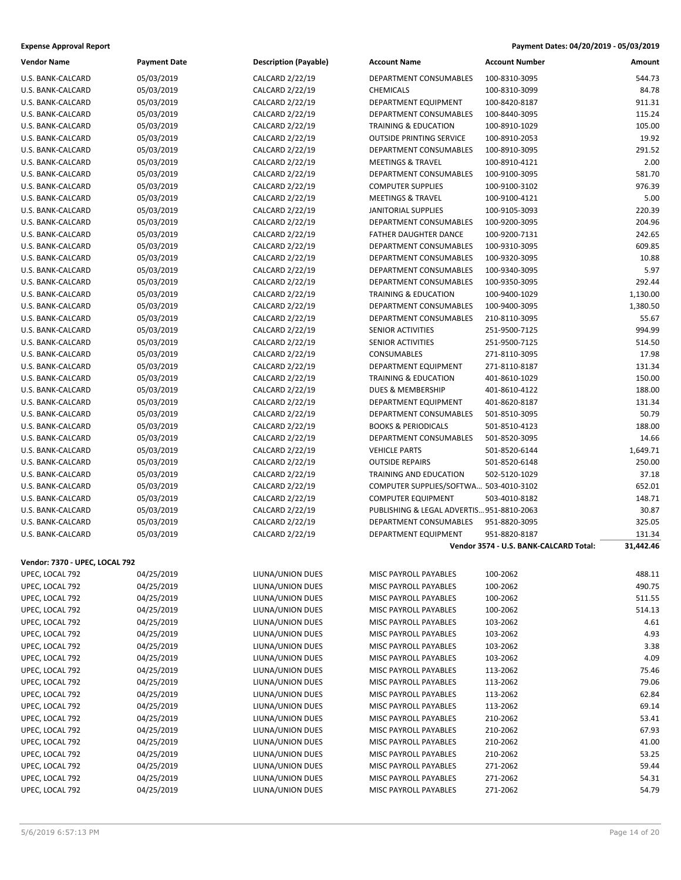| <b>Expense Approval Report</b> | Payment Dates: 04/20/2019 - 05/03/2019 |
|--------------------------------|----------------------------------------|
|--------------------------------|----------------------------------------|

| <b>Vendor Name</b>             | <b>Payment Date</b> | <b>Description (Payable)</b> | <b>Account Name</b>                       | <b>Account Number</b>                  | Amount    |
|--------------------------------|---------------------|------------------------------|-------------------------------------------|----------------------------------------|-----------|
| U.S. BANK-CALCARD              | 05/03/2019          | CALCARD 2/22/19              | DEPARTMENT CONSUMABLES                    | 100-8310-3095                          | 544.73    |
| U.S. BANK-CALCARD              | 05/03/2019          | CALCARD 2/22/19              | <b>CHEMICALS</b>                          | 100-8310-3099                          | 84.78     |
| U.S. BANK-CALCARD              | 05/03/2019          | CALCARD 2/22/19              | DEPARTMENT EQUIPMENT                      | 100-8420-8187                          | 911.31    |
| U.S. BANK-CALCARD              | 05/03/2019          | CALCARD 2/22/19              | <b>DEPARTMENT CONSUMABLES</b>             | 100-8440-3095                          | 115.24    |
| U.S. BANK-CALCARD              | 05/03/2019          | CALCARD 2/22/19              | <b>TRAINING &amp; EDUCATION</b>           | 100-8910-1029                          | 105.00    |
| U.S. BANK-CALCARD              | 05/03/2019          | CALCARD 2/22/19              | <b>OUTSIDE PRINTING SERVICE</b>           | 100-8910-2053                          | 19.92     |
| U.S. BANK-CALCARD              | 05/03/2019          | CALCARD 2/22/19              | DEPARTMENT CONSUMABLES                    | 100-8910-3095                          | 291.52    |
| U.S. BANK-CALCARD              | 05/03/2019          | CALCARD 2/22/19              | <b>MEETINGS &amp; TRAVEL</b>              | 100-8910-4121                          | 2.00      |
| U.S. BANK-CALCARD              | 05/03/2019          | CALCARD 2/22/19              | DEPARTMENT CONSUMABLES                    | 100-9100-3095                          | 581.70    |
| U.S. BANK-CALCARD              | 05/03/2019          | CALCARD 2/22/19              | <b>COMPUTER SUPPLIES</b>                  | 100-9100-3102                          | 976.39    |
| U.S. BANK-CALCARD              | 05/03/2019          | CALCARD 2/22/19              | <b>MEETINGS &amp; TRAVEL</b>              | 100-9100-4121                          | 5.00      |
| U.S. BANK-CALCARD              | 05/03/2019          | CALCARD 2/22/19              | <b>JANITORIAL SUPPLIES</b>                | 100-9105-3093                          | 220.39    |
| U.S. BANK-CALCARD              | 05/03/2019          | CALCARD 2/22/19              | DEPARTMENT CONSUMABLES                    | 100-9200-3095                          | 204.96    |
| U.S. BANK-CALCARD              | 05/03/2019          | CALCARD 2/22/19              | FATHER DAUGHTER DANCE                     | 100-9200-7131                          | 242.65    |
| U.S. BANK-CALCARD              | 05/03/2019          | CALCARD 2/22/19              | DEPARTMENT CONSUMABLES                    | 100-9310-3095                          | 609.85    |
| U.S. BANK-CALCARD              | 05/03/2019          | CALCARD 2/22/19              | DEPARTMENT CONSUMABLES                    | 100-9320-3095                          | 10.88     |
| U.S. BANK-CALCARD              | 05/03/2019          | CALCARD 2/22/19              | DEPARTMENT CONSUMABLES                    | 100-9340-3095                          | 5.97      |
| U.S. BANK-CALCARD              | 05/03/2019          | CALCARD 2/22/19              | DEPARTMENT CONSUMABLES                    | 100-9350-3095                          | 292.44    |
| U.S. BANK-CALCARD              | 05/03/2019          | CALCARD 2/22/19              | <b>TRAINING &amp; EDUCATION</b>           | 100-9400-1029                          | 1,130.00  |
| U.S. BANK-CALCARD              | 05/03/2019          | CALCARD 2/22/19              | DEPARTMENT CONSUMABLES                    | 100-9400-3095                          | 1,380.50  |
| U.S. BANK-CALCARD              | 05/03/2019          | CALCARD 2/22/19              | DEPARTMENT CONSUMABLES                    | 210-8110-3095                          | 55.67     |
| U.S. BANK-CALCARD              | 05/03/2019          | CALCARD 2/22/19              | SENIOR ACTIVITIES                         | 251-9500-7125                          | 994.99    |
| U.S. BANK-CALCARD              | 05/03/2019          | CALCARD 2/22/19              | SENIOR ACTIVITIES                         | 251-9500-7125                          | 514.50    |
| U.S. BANK-CALCARD              | 05/03/2019          | CALCARD 2/22/19              | CONSUMABLES                               | 271-8110-3095                          | 17.98     |
| U.S. BANK-CALCARD              | 05/03/2019          | CALCARD 2/22/19              | DEPARTMENT EQUIPMENT                      | 271-8110-8187                          | 131.34    |
| U.S. BANK-CALCARD              | 05/03/2019          | CALCARD 2/22/19              | <b>TRAINING &amp; EDUCATION</b>           | 401-8610-1029                          | 150.00    |
| U.S. BANK-CALCARD              | 05/03/2019          | CALCARD 2/22/19              | DUES & MEMBERSHIP                         | 401-8610-4122                          | 188.00    |
| U.S. BANK-CALCARD              | 05/03/2019          | CALCARD 2/22/19              | DEPARTMENT EQUIPMENT                      | 401-8620-8187                          | 131.34    |
| U.S. BANK-CALCARD              | 05/03/2019          | CALCARD 2/22/19              | DEPARTMENT CONSUMABLES                    | 501-8510-3095                          | 50.79     |
| U.S. BANK-CALCARD              | 05/03/2019          | CALCARD 2/22/19              | <b>BOOKS &amp; PERIODICALS</b>            | 501-8510-4123                          | 188.00    |
| U.S. BANK-CALCARD              | 05/03/2019          | CALCARD 2/22/19              | DEPARTMENT CONSUMABLES                    | 501-8520-3095                          | 14.66     |
| U.S. BANK-CALCARD              | 05/03/2019          | CALCARD 2/22/19              | <b>VEHICLE PARTS</b>                      | 501-8520-6144                          | 1,649.71  |
| U.S. BANK-CALCARD              | 05/03/2019          | CALCARD 2/22/19              | <b>OUTSIDE REPAIRS</b>                    | 501-8520-6148                          | 250.00    |
| U.S. BANK-CALCARD              | 05/03/2019          | CALCARD 2/22/19              | TRAINING AND EDUCATION                    | 502-5120-1029                          | 37.18     |
| U.S. BANK-CALCARD              | 05/03/2019          | CALCARD 2/22/19              | COMPUTER SUPPLIES/SOFTWA 503-4010-3102    |                                        | 652.01    |
| U.S. BANK-CALCARD              | 05/03/2019          | CALCARD 2/22/19              | <b>COMPUTER EQUIPMENT</b>                 | 503-4010-8182                          | 148.71    |
| U.S. BANK-CALCARD              | 05/03/2019          | CALCARD 2/22/19              | PUBLISHING & LEGAL ADVERTIS 951-8810-2063 |                                        | 30.87     |
| U.S. BANK-CALCARD              | 05/03/2019          | CALCARD 2/22/19              | DEPARTMENT CONSUMABLES                    | 951-8820-3095                          | 325.05    |
| U.S. BANK-CALCARD              | 05/03/2019          | CALCARD 2/22/19              | DEPARTMENT EQUIPMENT                      | 951-8820-8187                          | 131.34    |
|                                |                     |                              |                                           | Vendor 3574 - U.S. BANK-CALCARD Total: | 31,442.46 |
| Vendor: 7370 - UPEC, LOCAL 792 |                     |                              |                                           |                                        |           |
| UPEC, LOCAL 792                | 04/25/2019          | LIUNA/UNION DUES             | MISC PAYROLL PAYABLES                     | 100-2062                               | 488.11    |
| UPEC, LOCAL 792                | 04/25/2019          | LIUNA/UNION DUES             | MISC PAYROLL PAYABLES                     | 100-2062                               | 490.75    |
| UPEC, LOCAL 792                | 04/25/2019          | LIUNA/UNION DUES             | MISC PAYROLL PAYABLES                     | 100-2062                               | 511.55    |
| UPEC, LOCAL 792                | 04/25/2019          | LIUNA/UNION DUES             | MISC PAYROLL PAYABLES                     | 100-2062                               | 514.13    |
| UPEC, LOCAL 792                | 04/25/2019          | LIUNA/UNION DUES             | MISC PAYROLL PAYABLES                     | 103-2062                               | 4.61      |
| UPEC, LOCAL 792                | 04/25/2019          | LIUNA/UNION DUES             | MISC PAYROLL PAYABLES                     | 103-2062                               | 4.93      |
| UPEC, LOCAL 792                | 04/25/2019          | LIUNA/UNION DUES             | MISC PAYROLL PAYABLES                     | 103-2062                               | 3.38      |
| UPEC, LOCAL 792                | 04/25/2019          | LIUNA/UNION DUES             | MISC PAYROLL PAYABLES                     | 103-2062                               | 4.09      |
| UPEC, LOCAL 792                | 04/25/2019          | LIUNA/UNION DUES             | MISC PAYROLL PAYABLES                     | 113-2062                               | 75.46     |
| UPEC, LOCAL 792                | 04/25/2019          | LIUNA/UNION DUES             | MISC PAYROLL PAYABLES                     | 113-2062                               | 79.06     |
| UPEC, LOCAL 792                | 04/25/2019          | LIUNA/UNION DUES             | MISC PAYROLL PAYABLES                     | 113-2062                               | 62.84     |
| UPEC, LOCAL 792                | 04/25/2019          | LIUNA/UNION DUES             | MISC PAYROLL PAYABLES                     | 113-2062                               | 69.14     |
| UPEC, LOCAL 792                | 04/25/2019          | LIUNA/UNION DUES             | MISC PAYROLL PAYABLES                     | 210-2062                               | 53.41     |
| UPEC, LOCAL 792                | 04/25/2019          | LIUNA/UNION DUES             | MISC PAYROLL PAYABLES                     | 210-2062                               | 67.93     |
| UPEC, LOCAL 792                | 04/25/2019          | LIUNA/UNION DUES             | MISC PAYROLL PAYABLES                     | 210-2062                               | 41.00     |
| UPEC, LOCAL 792                | 04/25/2019          | LIUNA/UNION DUES             | MISC PAYROLL PAYABLES                     | 210-2062                               | 53.25     |
| UPEC, LOCAL 792                | 04/25/2019          | LIUNA/UNION DUES             | MISC PAYROLL PAYABLES                     | 271-2062                               | 59.44     |
| UPEC, LOCAL 792                | 04/25/2019          | LIUNA/UNION DUES             | MISC PAYROLL PAYABLES                     | 271-2062                               | 54.31     |
| UPEC, LOCAL 792                | 04/25/2019          | LIUNA/UNION DUES             | MISC PAYROLL PAYABLES                     | 271-2062                               | 54.79     |
|                                |                     |                              |                                           |                                        |           |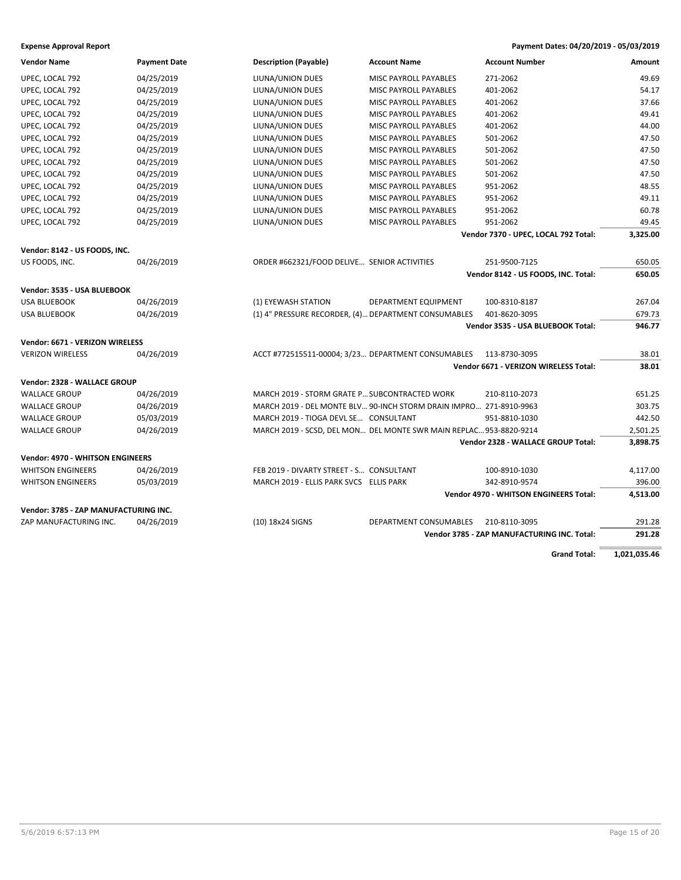| <b>Vendor Name</b>                      | <b>Payment Date</b> | <b>Description (Payable)</b>                                       | <b>Account Name</b>          | <b>Account Number</b>                         | Amount   |
|-----------------------------------------|---------------------|--------------------------------------------------------------------|------------------------------|-----------------------------------------------|----------|
| UPEC, LOCAL 792                         | 04/25/2019          | LIUNA/UNION DUES                                                   | MISC PAYROLL PAYABLES        | 271-2062                                      | 49.69    |
| UPEC, LOCAL 792                         | 04/25/2019          | LIUNA/UNION DUES                                                   | <b>MISC PAYROLL PAYABLES</b> | 401-2062                                      | 54.17    |
| UPEC, LOCAL 792                         | 04/25/2019          | LIUNA/UNION DUES                                                   | MISC PAYROLL PAYABLES        | 401-2062                                      | 37.66    |
| UPEC, LOCAL 792                         | 04/25/2019          | LIUNA/UNION DUES                                                   | MISC PAYROLL PAYABLES        | 401-2062                                      | 49.41    |
| UPEC, LOCAL 792                         | 04/25/2019          | LIUNA/UNION DUES                                                   | <b>MISC PAYROLL PAYABLES</b> | 401-2062                                      | 44.00    |
| UPEC, LOCAL 792                         | 04/25/2019          | LIUNA/UNION DUES                                                   | MISC PAYROLL PAYABLES        | 501-2062                                      | 47.50    |
| UPEC, LOCAL 792                         | 04/25/2019          | LIUNA/UNION DUES                                                   | MISC PAYROLL PAYABLES        | 501-2062                                      | 47.50    |
| UPEC, LOCAL 792                         | 04/25/2019          | LIUNA/UNION DUES                                                   | <b>MISC PAYROLL PAYABLES</b> | 501-2062                                      | 47.50    |
| UPEC, LOCAL 792                         | 04/25/2019          | LIUNA/UNION DUES                                                   | MISC PAYROLL PAYABLES        | 501-2062                                      | 47.50    |
| UPEC, LOCAL 792                         | 04/25/2019          | LIUNA/UNION DUES                                                   | MISC PAYROLL PAYABLES        | 951-2062                                      | 48.55    |
| UPEC, LOCAL 792                         | 04/25/2019          | LIUNA/UNION DUES                                                   | MISC PAYROLL PAYABLES        | 951-2062                                      | 49.11    |
| UPEC, LOCAL 792                         | 04/25/2019          | LIUNA/UNION DUES                                                   | MISC PAYROLL PAYABLES        | 951-2062                                      | 60.78    |
| UPEC, LOCAL 792                         | 04/25/2019          | LIUNA/UNION DUES                                                   | MISC PAYROLL PAYABLES        | 951-2062                                      | 49.45    |
|                                         |                     |                                                                    |                              | Vendor 7370 - UPEC, LOCAL 792 Total:          | 3,325.00 |
| Vendor: 8142 - US FOODS, INC.           |                     |                                                                    |                              |                                               |          |
| US FOODS, INC.                          | 04/26/2019          | ORDER #662321/FOOD DELIVE SENIOR ACTIVITIES                        |                              | 251-9500-7125                                 | 650.05   |
|                                         |                     |                                                                    |                              | Vendor 8142 - US FOODS, INC. Total:           | 650.05   |
| Vendor: 3535 - USA BLUEBOOK             |                     |                                                                    |                              |                                               |          |
| <b>USA BLUEBOOK</b>                     | 04/26/2019          | (1) EYEWASH STATION                                                | DEPARTMENT EQUIPMENT         | 100-8310-8187                                 | 267.04   |
| <b>USA BLUEBOOK</b>                     | 04/26/2019          | (1) 4" PRESSURE RECORDER, (4) DEPARTMENT CONSUMABLES               |                              | 401-8620-3095                                 | 679.73   |
|                                         |                     |                                                                    |                              | Vendor 3535 - USA BLUEBOOK Total:             | 946.77   |
| Vendor: 6671 - VERIZON WIRELESS         |                     |                                                                    |                              |                                               |          |
| <b>VERIZON WIRELESS</b>                 | 04/26/2019          | ACCT #772515511-00004; 3/23 DEPARTMENT CONSUMABLES                 |                              | 113-8730-3095                                 | 38.01    |
|                                         |                     |                                                                    |                              | Vendor 6671 - VERIZON WIRELESS Total:         | 38.01    |
| Vendor: 2328 - WALLACE GROUP            |                     |                                                                    |                              |                                               |          |
| <b>WALLACE GROUP</b>                    | 04/26/2019          | MARCH 2019 - STORM GRATE P SUBCONTRACTED WORK                      |                              | 210-8110-2073                                 | 651.25   |
| <b>WALLACE GROUP</b>                    | 04/26/2019          | MARCH 2019 - DEL MONTE BLV 90-INCH STORM DRAIN IMPRO 271-8910-9963 |                              |                                               | 303.75   |
| <b>WALLACE GROUP</b>                    | 05/03/2019          | MARCH 2019 - TIOGA DEVL SE CONSULTANT                              |                              | 951-8810-1030                                 | 442.50   |
| <b>WALLACE GROUP</b>                    | 04/26/2019          | MARCH 2019 - SCSD, DEL MON DEL MONTE SWR MAIN REPLAC 953-8820-9214 |                              |                                               | 2,501.25 |
|                                         |                     |                                                                    |                              | Vendor 2328 - WALLACE GROUP Total:            | 3,898.75 |
| <b>Vendor: 4970 - WHITSON ENGINEERS</b> |                     |                                                                    |                              |                                               |          |
| <b>WHITSON ENGINEERS</b>                | 04/26/2019          | FEB 2019 - DIVARTY STREET - S CONSULTANT                           |                              | 100-8910-1030                                 | 4,117.00 |
| <b>WHITSON ENGINEERS</b>                | 05/03/2019          | MARCH 2019 - ELLIS PARK SVCS ELLIS PARK                            |                              | 342-8910-9574                                 | 396.00   |
|                                         |                     |                                                                    |                              | <b>Vendor 4970 - WHITSON ENGINEERS Total:</b> | 4,513.00 |
| Vendor: 3785 - ZAP MANUFACTURING INC.   |                     |                                                                    |                              |                                               |          |
| ZAP MANUFACTURING INC.                  | 04/26/2019          | (10) 18x24 SIGNS                                                   | DEPARTMENT CONSUMABLES       | 210-8110-3095                                 | 291.28   |
|                                         |                     |                                                                    |                              | Vendor 3785 - ZAP MANUFACTURING INC. Total:   | 291.28   |
|                                         |                     |                                                                    |                              |                                               |          |

**Grand Total: 1,021,035.46**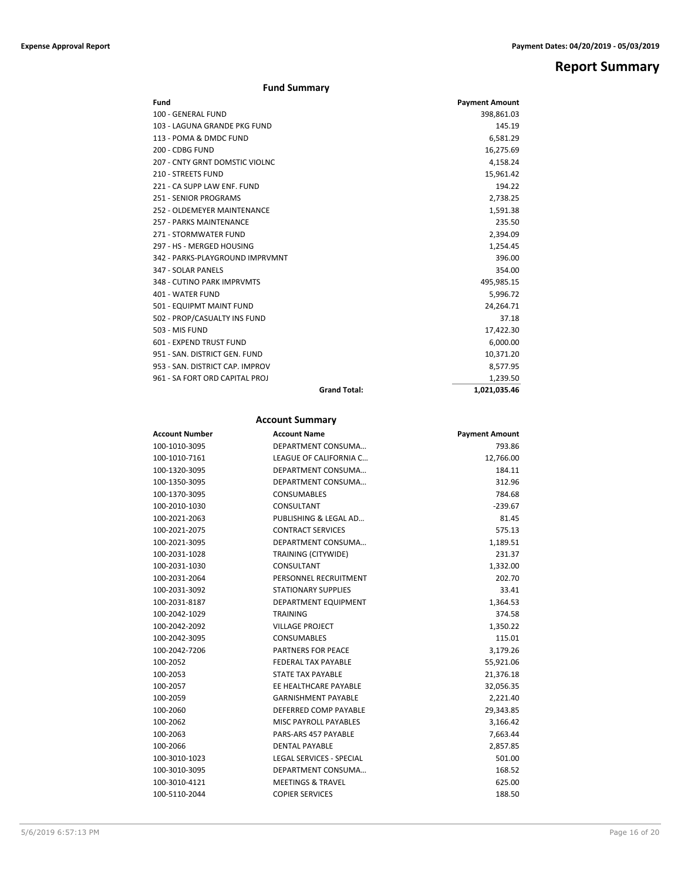## **Report Summary**

## **Fund Summary**

| Fund                            |                     | <b>Payment Amount</b> |
|---------------------------------|---------------------|-----------------------|
| 100 - GENERAL FUND              |                     | 398,861.03            |
| 103 - LAGUNA GRANDE PKG FUND    |                     | 145.19                |
| 113 - POMA & DMDC FUND          |                     | 6,581.29              |
| 200 - CDBG FUND                 |                     | 16,275.69             |
| 207 - CNTY GRNT DOMSTIC VIOLNC  |                     | 4,158.24              |
| 210 - STREETS FUND              |                     | 15,961.42             |
| 221 - CA SUPP LAW ENF. FUND     |                     | 194.22                |
| 251 - SENIOR PROGRAMS           |                     | 2,738.25              |
| 252 - OLDEMEYER MAINTENANCE     |                     | 1,591.38              |
| 257 - PARKS MAINTENANCE         |                     | 235.50                |
| 271 - STORMWATER FUND           |                     | 2,394.09              |
| 297 - HS - MERGED HOUSING       |                     | 1,254.45              |
| 342 - PARKS-PLAYGROUND IMPRVMNT |                     | 396.00                |
| 347 - SOLAR PANELS              |                     | 354.00                |
| 348 - CUTINO PARK IMPRVMTS      |                     | 495,985.15            |
| 401 - WATER FUND                |                     | 5,996.72              |
| 501 - EQUIPMT MAINT FUND        |                     | 24,264.71             |
| 502 - PROP/CASUALTY INS FUND    |                     | 37.18                 |
| 503 - MIS FUND                  |                     | 17,422.30             |
| 601 - EXPEND TRUST FUND         |                     | 6,000.00              |
| 951 - SAN, DISTRICT GEN, FUND   |                     | 10,371.20             |
| 953 - SAN, DISTRICT CAP, IMPROV |                     | 8,577.95              |
| 961 - SA FORT ORD CAPITAL PROJ  |                     | 1,239.50              |
|                                 | <b>Grand Total:</b> | 1,021,035.46          |

## **Account Summary**

| Account Number | <b>Account Name</b>          | <b>Payment Amount</b> |
|----------------|------------------------------|-----------------------|
| 100-1010-3095  | DEPARTMENT CONSUMA           | 793.86                |
| 100-1010-7161  | LEAGUE OF CALIFORNIA C       | 12,766.00             |
| 100-1320-3095  | DEPARTMENT CONSUMA           | 184.11                |
| 100-1350-3095  | DEPARTMENT CONSUMA           | 312.96                |
| 100-1370-3095  | <b>CONSUMABLES</b>           | 784.68                |
| 100-2010-1030  | CONSULTANT                   | $-239.67$             |
| 100-2021-2063  | PUBLISHING & LEGAL AD        | 81.45                 |
| 100-2021-2075  | <b>CONTRACT SERVICES</b>     | 575.13                |
| 100-2021-3095  | DEPARTMENT CONSUMA           | 1,189.51              |
| 100-2031-1028  | TRAINING (CITYWIDE)          | 231.37                |
| 100-2031-1030  | CONSULTANT                   | 1,332.00              |
| 100-2031-2064  | PERSONNEL RECRUITMENT        | 202.70                |
| 100-2031-3092  | <b>STATIONARY SUPPLIES</b>   | 33.41                 |
| 100-2031-8187  | DEPARTMENT EQUIPMENT         | 1,364.53              |
| 100-2042-1029  | <b>TRAINING</b>              | 374.58                |
| 100-2042-2092  | <b>VILLAGE PROJECT</b>       | 1,350.22              |
| 100-2042-3095  | <b>CONSUMABLES</b>           | 115.01                |
| 100-2042-7206  | <b>PARTNERS FOR PEACE</b>    | 3,179.26              |
| 100-2052       | FEDERAL TAX PAYABLE          | 55,921.06             |
| 100-2053       | <b>STATE TAX PAYABLE</b>     | 21,376.18             |
| 100-2057       | EE HEALTHCARE PAYABLE        | 32,056.35             |
| 100-2059       | <b>GARNISHMENT PAYABLE</b>   | 2,221.40              |
| 100-2060       | DEFERRED COMP PAYABLE        | 29,343.85             |
| 100-2062       | <b>MISC PAYROLL PAYABLES</b> | 3,166.42              |
| 100-2063       | PARS-ARS 457 PAYABLE         | 7,663.44              |
| 100-2066       | <b>DENTAL PAYABLE</b>        | 2,857.85              |
| 100-3010-1023  | LEGAL SERVICES - SPECIAL     | 501.00                |
| 100-3010-3095  | DEPARTMENT CONSUMA           | 168.52                |
| 100-3010-4121  | <b>MEETINGS &amp; TRAVEL</b> | 625.00                |
| 100-5110-2044  | <b>COPIER SERVICES</b>       | 188.50                |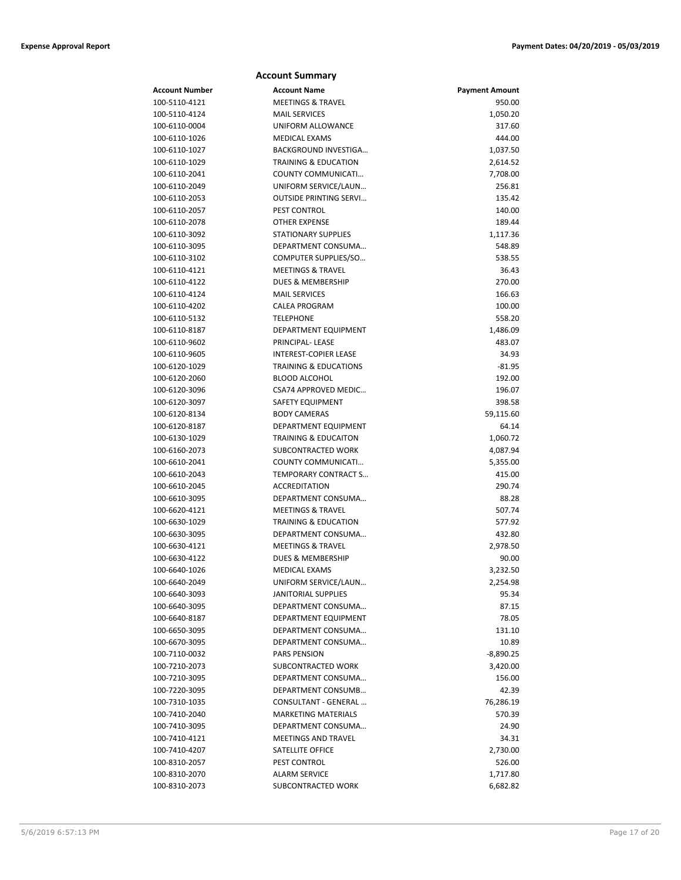|  | <b>Account Summary</b> |
|--|------------------------|
|--|------------------------|

| Account Number | <b>Account Name</b>              | <b>Payment Amount</b> |
|----------------|----------------------------------|-----------------------|
| 100-5110-4121  | <b>MEETINGS &amp; TRAVEL</b>     | 950.00                |
| 100-5110-4124  | <b>MAIL SERVICES</b>             | 1,050.20              |
| 100-6110-0004  | UNIFORM ALLOWANCE                | 317.60                |
| 100-6110-1026  | MEDICAL EXAMS                    | 444.00                |
| 100-6110-1027  | BACKGROUND INVESTIGA             | 1,037.50              |
| 100-6110-1029  | <b>TRAINING &amp; EDUCATION</b>  | 2,614.52              |
| 100-6110-2041  | COUNTY COMMUNICATI               | 7,708.00              |
| 100-6110-2049  | UNIFORM SERVICE/LAUN             | 256.81                |
| 100-6110-2053  | <b>OUTSIDE PRINTING SERVI</b>    | 135.42                |
| 100-6110-2057  | PEST CONTROL                     | 140.00                |
| 100-6110-2078  | <b>OTHER EXPENSE</b>             | 189.44                |
| 100-6110-3092  | <b>STATIONARY SUPPLIES</b>       | 1,117.36              |
| 100-6110-3095  | DEPARTMENT CONSUMA               | 548.89                |
| 100-6110-3102  | COMPUTER SUPPLIES/SO             | 538.55                |
| 100-6110-4121  | <b>MEETINGS &amp; TRAVEL</b>     | 36.43                 |
| 100-6110-4122  | <b>DUES &amp; MEMBERSHIP</b>     | 270.00                |
| 100-6110-4124  | <b>MAIL SERVICES</b>             | 166.63                |
| 100-6110-4202  | <b>CALEA PROGRAM</b>             | 100.00                |
| 100-6110-5132  | <b>TELEPHONE</b>                 | 558.20                |
| 100-6110-8187  | DEPARTMENT EQUIPMENT             | 1,486.09              |
| 100-6110-9602  | PRINCIPAL- LEASE                 | 483.07                |
| 100-6110-9605  | <b>INTEREST-COPIER LEASE</b>     | 34.93                 |
| 100-6120-1029  | <b>TRAINING &amp; EDUCATIONS</b> | $-81.95$              |
| 100-6120-2060  | <b>BLOOD ALCOHOL</b>             | 192.00                |
| 100-6120-3096  | CSA74 APPROVED MEDIC             | 196.07                |
| 100-6120-3097  | SAFETY EQUIPMENT                 | 398.58                |
| 100-6120-8134  | <b>BODY CAMERAS</b>              | 59,115.60             |
| 100-6120-8187  | DEPARTMENT EQUIPMENT             | 64.14                 |
| 100-6130-1029  | <b>TRAINING &amp; EDUCAITON</b>  | 1,060.72              |
| 100-6160-2073  | SUBCONTRACTED WORK               | 4,087.94              |
| 100-6610-2041  | COUNTY COMMUNICATI               | 5,355.00              |
| 100-6610-2043  | TEMPORARY CONTRACT S             | 415.00                |
| 100-6610-2045  | <b>ACCREDITATION</b>             | 290.74                |
| 100-6610-3095  | DEPARTMENT CONSUMA               | 88.28                 |
| 100-6620-4121  | <b>MEETINGS &amp; TRAVEL</b>     | 507.74                |
| 100-6630-1029  | <b>TRAINING &amp; EDUCATION</b>  | 577.92                |
| 100-6630-3095  | DEPARTMENT CONSUMA               | 432.80                |
| 100-6630-4121  | <b>MEETINGS &amp; TRAVEL</b>     | 2,978.50              |
| 100-6630-4122  | DUES & MEMBERSHIP                | 90.00                 |
| 100-6640-1026  | MEDICAL EXAMS                    | 3,232.50              |
| 100-6640-2049  | UNIFORM SERVICE/LAUN             | 2,254.98              |
| 100-6640-3093  | <b>JANITORIAL SUPPLIES</b>       | 95.34                 |
| 100-6640-3095  | DEPARTMENT CONSUMA               | 87.15                 |
| 100-6640-8187  | DEPARTMENT EQUIPMENT             | 78.05                 |
| 100-6650-3095  | DEPARTMENT CONSUMA               | 131.10                |
| 100-6670-3095  | DEPARTMENT CONSUMA               | 10.89                 |
| 100-7110-0032  | <b>PARS PENSION</b>              | $-8,890.25$           |
| 100-7210-2073  | SUBCONTRACTED WORK               | 3,420.00              |
| 100-7210-3095  | DEPARTMENT CONSUMA               | 156.00                |
| 100-7220-3095  | DEPARTMENT CONSUMB               | 42.39                 |
| 100-7310-1035  | CONSULTANT - GENERAL             | 76,286.19             |
| 100-7410-2040  | <b>MARKETING MATERIALS</b>       | 570.39                |
| 100-7410-3095  | DEPARTMENT CONSUMA               | 24.90                 |
| 100-7410-4121  | <b>MEETINGS AND TRAVEL</b>       | 34.31                 |
| 100-7410-4207  | SATELLITE OFFICE                 | 2,730.00              |
| 100-8310-2057  | PEST CONTROL                     | 526.00                |
| 100-8310-2070  | <b>ALARM SERVICE</b>             | 1,717.80              |
| 100-8310-2073  | SUBCONTRACTED WORK               | 6,682.82              |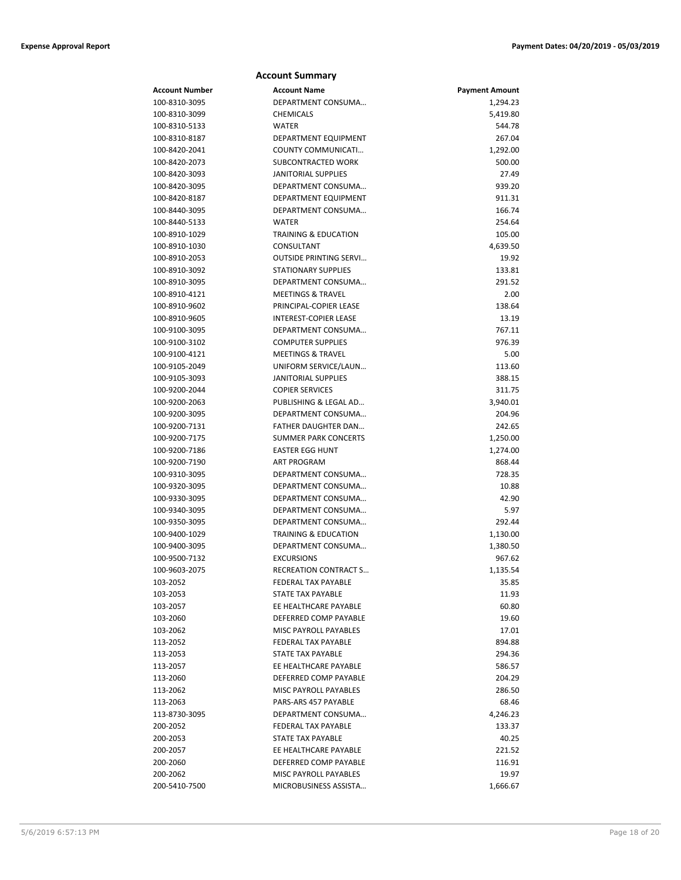|                                | <b>Account Summary</b>                    |                       |
|--------------------------------|-------------------------------------------|-----------------------|
| <b>Account Number</b>          | <b>Account Name</b>                       | <b>Payment Amount</b> |
| 100-8310-3095                  | DEPARTMENT CONSUMA                        | 1,294.23              |
| 100-8310-3099                  | <b>CHEMICALS</b>                          | 5,419.80              |
| 100-8310-5133                  | <b>WATER</b>                              | 544.78                |
| 100-8310-8187                  | DEPARTMENT EQUIPMENT                      | 267.04                |
| 100-8420-2041                  | COUNTY COMMUNICATI                        | 1,292.00              |
| 100-8420-2073                  | SUBCONTRACTED WORK                        | 500.00                |
| 100-8420-3093                  | <b>JANITORIAL SUPPLIES</b>                | 27.49                 |
| 100-8420-3095                  | DEPARTMENT CONSUMA                        | 939.20                |
| 100-8420-8187                  | DEPARTMENT EQUIPMENT                      | 911.31                |
| 100-8440-3095                  | DEPARTMENT CONSUMA                        | 166.74                |
| 100-8440-5133                  | <b>WATER</b>                              | 254.64                |
| 100-8910-1029                  | <b>TRAINING &amp; EDUCATION</b>           | 105.00                |
| 100-8910-1030                  | CONSULTANT                                | 4,639.50              |
| 100-8910-2053                  | <b>OUTSIDE PRINTING SERVI</b>             | 19.92                 |
| 100-8910-3092                  | <b>STATIONARY SUPPLIES</b>                | 133.81                |
| 100-8910-3095                  | DEPARTMENT CONSUMA                        | 291.52                |
| 100-8910-4121                  | <b>MEETINGS &amp; TRAVEL</b>              | 2.00                  |
| 100-8910-9602                  | PRINCIPAL-COPIER LEASE                    | 138.64                |
| 100-8910-9605                  | <b>INTEREST-COPIER LEASE</b>              | 13.19                 |
| 100-9100-3095                  | DEPARTMENT CONSUMA                        | 767.11                |
| 100-9100-3102                  | <b>COMPUTER SUPPLIES</b>                  | 976.39                |
| 100-9100-4121                  | <b>MEETINGS &amp; TRAVEL</b>              | 5.00                  |
| 100-9105-2049                  | UNIFORM SERVICE/LAUN                      | 113.60                |
| 100-9105-3093                  | <b>JANITORIAL SUPPLIES</b>                | 388.15                |
| 100-9200-2044                  | <b>COPIER SERVICES</b>                    | 311.75                |
| 100-9200-2063                  | PUBLISHING & LEGAL AD                     | 3,940.01              |
| 100-9200-3095                  | DEPARTMENT CONSUMA<br>FATHER DAUGHTER DAN | 204.96<br>242.65      |
| 100-9200-7131<br>100-9200-7175 | <b>SUMMER PARK CONCERTS</b>               | 1,250.00              |
| 100-9200-7186                  | <b>EASTER EGG HUNT</b>                    | 1,274.00              |
| 100-9200-7190                  | ART PROGRAM                               | 868.44                |
| 100-9310-3095                  | DEPARTMENT CONSUMA                        | 728.35                |
| 100-9320-3095                  | DEPARTMENT CONSUMA                        | 10.88                 |
| 100-9330-3095                  | DEPARTMENT CONSUMA                        | 42.90                 |
| 100-9340-3095                  | DEPARTMENT CONSUMA                        | 5.97                  |
| 100-9350-3095                  | DEPARTMENT CONSUMA                        | 292.44                |
| 100-9400-1029                  | <b>TRAINING &amp; EDUCATION</b>           | 1,130.00              |
| 100-9400-3095                  | DEPARTMENT CONSUMA                        | 1,380.50              |
| 100-9500-7132                  | <b>EXCURSIONS</b>                         | 967.62                |
| 100-9603-2075                  | RECREATION CONTRACT S                     | 1,135.54              |
| 103-2052                       | <b>FEDERAL TAX PAYABLE</b>                | 35.85                 |
| 103-2053                       | STATE TAX PAYABLE                         | 11.93                 |
| 103-2057                       | EE HEALTHCARE PAYABLE                     | 60.80                 |
| 103-2060                       | DEFERRED COMP PAYABLE                     | 19.60                 |
| 103-2062                       | <b>MISC PAYROLL PAYABLES</b>              | 17.01                 |
| 113-2052                       | FEDERAL TAX PAYABLE                       | 894.88                |
| 113-2053                       | STATE TAX PAYABLE                         | 294.36                |
| 113-2057                       | EE HEALTHCARE PAYABLE                     | 586.57                |
| 113-2060                       | DEFERRED COMP PAYABLE                     | 204.29                |
| 113-2062                       | MISC PAYROLL PAYABLES                     | 286.50                |
| 113-2063                       | PARS-ARS 457 PAYABLE                      | 68.46                 |
| 113-8730-3095                  | DEPARTMENT CONSUMA                        | 4,246.23              |
| 200-2052                       | FEDERAL TAX PAYABLE                       | 133.37                |
| 200-2053                       | STATE TAX PAYABLE                         | 40.25                 |
| 200-2057                       | EE HEALTHCARE PAYABLE                     | 221.52                |
| 200-2060                       | DEFERRED COMP PAYABLE                     | 116.91                |
| 200-2062                       | MISC PAYROLL PAYABLES                     | 19.97                 |
| 200-5410-7500                  | MICROBUSINESS ASSISTA                     | 1,666.67              |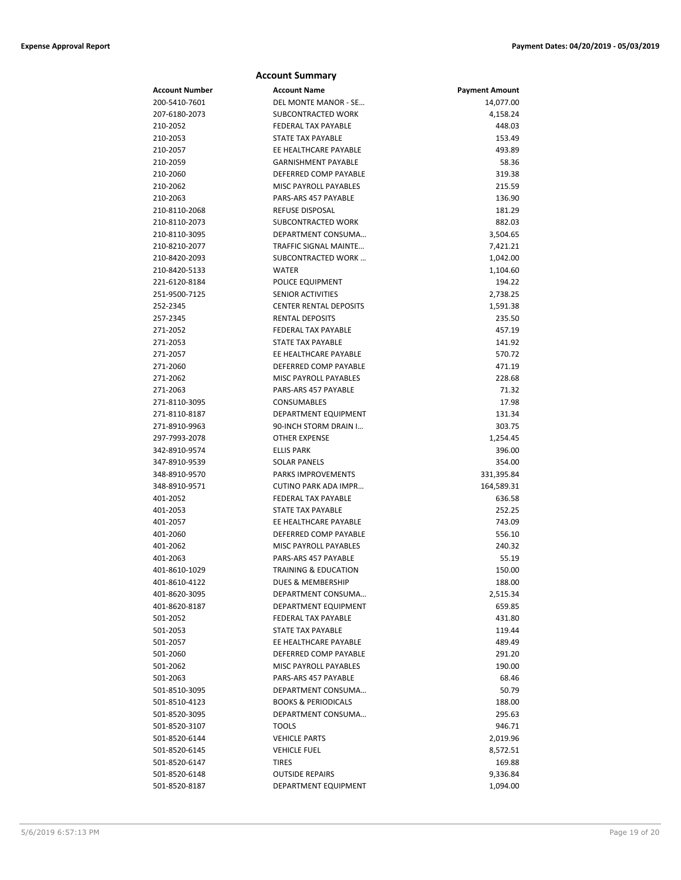|                                | <b>Account Summary</b>                   |                          |
|--------------------------------|------------------------------------------|--------------------------|
| <b>Account Number</b>          | <b>Account Name</b>                      | <b>Payment Amount</b>    |
| 200-5410-7601                  | DEL MONTE MANOR - SE                     | 14,077.00                |
| 207-6180-2073                  | SUBCONTRACTED WORK                       | 4,158.24                 |
| 210-2052                       | <b>FEDERAL TAX PAYABLE</b>               | 448.03                   |
| 210-2053                       | STATE TAX PAYABLE                        | 153.49                   |
| 210-2057                       | EE HEALTHCARE PAYABLE                    | 493.89                   |
| 210-2059                       | <b>GARNISHMENT PAYABLE</b>               | 58.36                    |
| 210-2060                       | DEFERRED COMP PAYABLE                    | 319.38                   |
| 210-2062                       | <b>MISC PAYROLL PAYABLES</b>             | 215.59                   |
| 210-2063                       | PARS-ARS 457 PAYABLE                     | 136.90                   |
| 210-8110-2068                  | <b>REFUSE DISPOSAL</b>                   | 181.29                   |
| 210-8110-2073                  | SUBCONTRACTED WORK                       | 882.03                   |
| 210-8110-3095                  | DEPARTMENT CONSUMA                       | 3,504.65                 |
| 210-8210-2077                  | TRAFFIC SIGNAL MAINTE                    | 7,421.21                 |
| 210-8420-2093                  | SUBCONTRACTED WORK                       | 1,042.00                 |
| 210-8420-5133                  | <b>WATER</b>                             | 1,104.60                 |
| 221-6120-8184                  | POLICE EQUIPMENT                         | 194.22                   |
| 251-9500-7125                  | <b>SENIOR ACTIVITIES</b>                 | 2,738.25                 |
| 252-2345                       | <b>CENTER RENTAL DEPOSITS</b>            | 1,591.38                 |
| 257-2345                       | <b>RENTAL DEPOSITS</b>                   | 235.50                   |
| 271-2052                       | <b>FEDERAL TAX PAYABLE</b>               | 457.19                   |
| 271-2053                       | <b>STATE TAX PAYABLE</b>                 | 141.92                   |
| 271-2057                       | EE HEALTHCARE PAYABLE                    | 570.72                   |
| 271-2060                       | DEFERRED COMP PAYABLE                    | 471.19                   |
| 271-2062                       | <b>MISC PAYROLL PAYABLES</b>             | 228.68                   |
| 271-2063                       | PARS-ARS 457 PAYABLE                     | 71.32                    |
| 271-8110-3095                  | CONSUMABLES                              | 17.98                    |
| 271-8110-8187                  | DEPARTMENT EQUIPMENT                     | 131.34                   |
| 271-8910-9963                  | 90-INCH STORM DRAIN I                    | 303.75                   |
| 297-7993-2078                  | <b>OTHER EXPENSE</b>                     | 1,254.45                 |
| 342-8910-9574                  | <b>ELLIS PARK</b><br><b>SOLAR PANELS</b> | 396.00                   |
| 347-8910-9539<br>348-8910-9570 | <b>PARKS IMPROVEMENTS</b>                | 354.00                   |
| 348-8910-9571                  | CUTINO PARK ADA IMPR                     | 331,395.84<br>164,589.31 |
| 401-2052                       | <b>FEDERAL TAX PAYABLE</b>               | 636.58                   |
| 401-2053                       | STATE TAX PAYABLE                        | 252.25                   |
| 401-2057                       | EE HEALTHCARE PAYABLE                    | 743.09                   |
| 401-2060                       | DEFERRED COMP PAYABLE                    | 556.10                   |
| 401-2062                       | <b>MISC PAYROLL PAYABLES</b>             | 240.32                   |
| 401-2063                       | PARS-ARS 457 PAYABLE                     | 55.19                    |
| 401-8610-1029                  | TRAINING & EDUCATION                     | 150.00                   |
| 401-8610-4122                  | DUES & MEMBERSHIP                        | 188.00                   |
| 401-8620-3095                  | DEPARTMENT CONSUMA                       | 2,515.34                 |
| 401-8620-8187                  | DEPARTMENT EQUIPMENT                     | 659.85                   |
| 501-2052                       | FEDERAL TAX PAYABLE                      | 431.80                   |
| 501-2053                       | STATE TAX PAYABLE                        | 119.44                   |
| 501-2057                       | EE HEALTHCARE PAYABLE                    | 489.49                   |
| 501-2060                       | DEFERRED COMP PAYABLE                    | 291.20                   |
| 501-2062                       | MISC PAYROLL PAYABLES                    | 190.00                   |
| 501-2063                       | PARS-ARS 457 PAYABLE                     | 68.46                    |
| 501-8510-3095                  | DEPARTMENT CONSUMA                       | 50.79                    |
| 501-8510-4123                  | <b>BOOKS &amp; PERIODICALS</b>           | 188.00                   |
| 501-8520-3095                  | DEPARTMENT CONSUMA                       | 295.63                   |
| 501-8520-3107                  | <b>TOOLS</b>                             | 946.71                   |
| 501-8520-6144                  | <b>VEHICLE PARTS</b>                     | 2,019.96                 |
| 501-8520-6145                  | <b>VEHICLE FUEL</b>                      | 8,572.51                 |
| 501-8520-6147                  | TIRES                                    | 169.88                   |
| 501-8520-6148                  | <b>OUTSIDE REPAIRS</b>                   | 9,336.84                 |
| 501-8520-8187                  | DEPARTMENT EQUIPMENT                     | 1,094.00                 |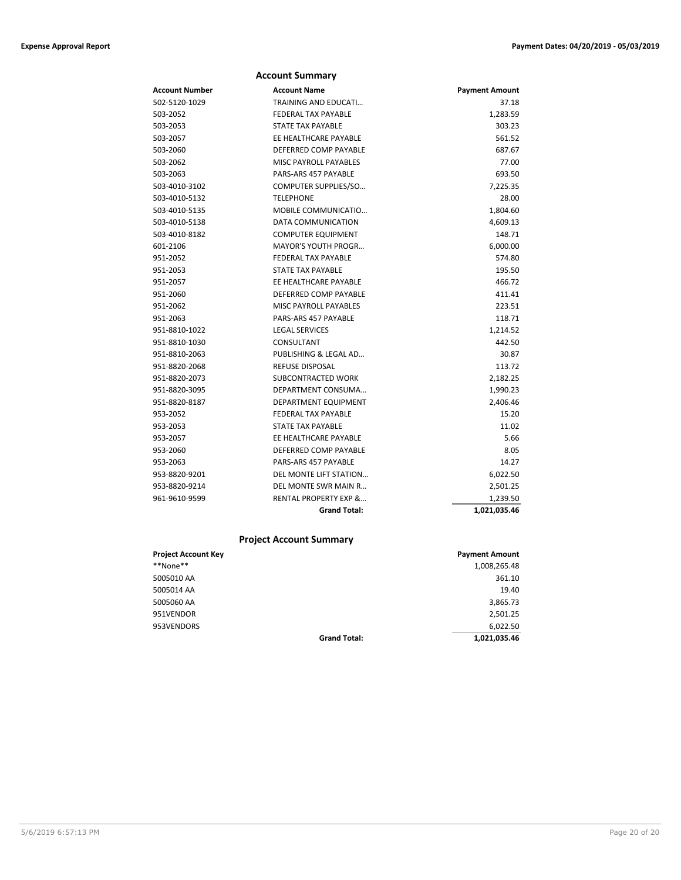|                | <b>Account Summary</b>           |                       |
|----------------|----------------------------------|-----------------------|
| Account Number | <b>Account Name</b>              | <b>Payment Amount</b> |
| 502-5120-1029  | <b>TRAINING AND EDUCATI</b>      | 37.18                 |
| 503-2052       | <b>FEDERAL TAX PAYABLE</b>       | 1,283.59              |
| 503-2053       | <b>STATE TAX PAYABLE</b>         | 303.23                |
| 503-2057       | EE HEALTHCARE PAYABLE            | 561.52                |
| 503-2060       | DEFERRED COMP PAYABLE            | 687.67                |
| 503-2062       | <b>MISC PAYROLL PAYABLES</b>     | 77.00                 |
| 503-2063       | PARS-ARS 457 PAYABLE             | 693.50                |
| 503-4010-3102  | COMPUTER SUPPLIES/SO             | 7,225.35              |
| 503-4010-5132  | <b>TELEPHONE</b>                 | 28.00                 |
| 503-4010-5135  | MOBILE COMMUNICATIO              | 1,804.60              |
| 503-4010-5138  | DATA COMMUNICATION               | 4,609.13              |
| 503-4010-8182  | <b>COMPUTER EQUIPMENT</b>        | 148.71                |
| 601-2106       | <b>MAYOR'S YOUTH PROGR</b>       | 6,000.00              |
| 951-2052       | <b>FEDERAL TAX PAYABLE</b>       | 574.80                |
| 951-2053       | <b>STATE TAX PAYABLE</b>         | 195.50                |
| 951-2057       | EE HEALTHCARE PAYABLE            | 466.72                |
| 951-2060       | DEFERRED COMP PAYABLE            | 411.41                |
| 951-2062       | <b>MISC PAYROLL PAYABLES</b>     | 223.51                |
| 951-2063       | PARS-ARS 457 PAYABLE             | 118.71                |
| 951-8810-1022  | <b>LEGAL SERVICES</b>            | 1,214.52              |
| 951-8810-1030  | CONSULTANT                       | 442.50                |
| 951-8810-2063  | PUBLISHING & LEGAL AD            | 30.87                 |
| 951-8820-2068  | <b>REFUSE DISPOSAL</b>           | 113.72                |
| 951-8820-2073  | SUBCONTRACTED WORK               | 2,182.25              |
| 951-8820-3095  | DEPARTMENT CONSUMA               | 1,990.23              |
| 951-8820-8187  | DEPARTMENT EQUIPMENT             | 2,406.46              |
| 953-2052       | <b>FEDERAL TAX PAYABLE</b>       | 15.20                 |
| 953-2053       | <b>STATE TAX PAYABLE</b>         | 11.02                 |
| 953-2057       | EE HEALTHCARE PAYABLE            | 5.66                  |
| 953-2060       | DEFERRED COMP PAYABLE            | 8.05                  |
| 953-2063       | PARS-ARS 457 PAYABLE             | 14.27                 |
| 953-8820-9201  | DEL MONTE LIFT STATION           | 6,022.50              |
| 953-8820-9214  | DEL MONTE SWR MAIN R             | 2,501.25              |
| 961-9610-9599  | <b>RENTAL PROPERTY EXP &amp;</b> | 1,239.50              |
|                | <b>Grand Total:</b>              | 1,021,035.46          |

## **Project Account Summary**

| <b>Project Account Key</b> |                     | <b>Payment Amount</b> |
|----------------------------|---------------------|-----------------------|
| **None**                   |                     | 1,008,265.48          |
| 5005010 AA                 |                     | 361.10                |
| 5005014 AA                 |                     | 19.40                 |
| 5005060 AA                 |                     | 3,865.73              |
| 951VENDOR                  |                     | 2,501.25              |
| 953VENDORS                 |                     | 6.022.50              |
|                            | <b>Grand Total:</b> | 1,021,035.46          |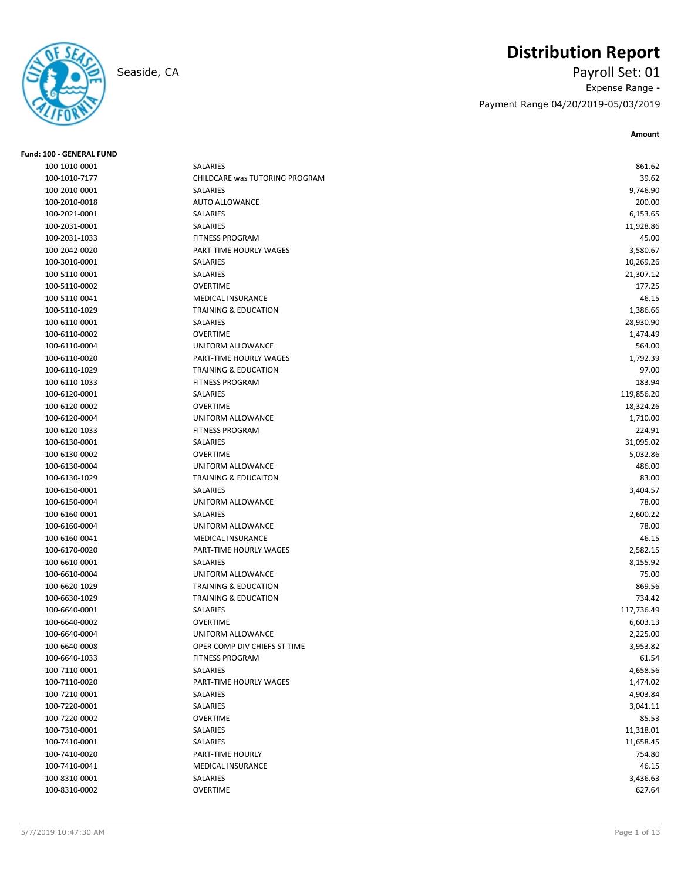# **Distribution Report**

Seaside, CA Payroll Set: 01 Expense Range - Payment Range 04/20/2019-05/03/2019

| <b>Fund: 100 - GENERAL FUND</b> |                                 |            |
|---------------------------------|---------------------------------|------------|
| 100-1010-0001                   | SALARIES                        | 861.62     |
| 100-1010-7177                   | CHILDCARE was TUTORING PROGRAM  | 39.62      |
| 100-2010-0001                   | SALARIES                        | 9,746.90   |
| 100-2010-0018                   | AUTO ALLOWANCE                  | 200.00     |
| 100-2021-0001                   | SALARIES                        | 6,153.65   |
| 100-2031-0001                   | SALARIES                        | 11,928.86  |
| 100-2031-1033                   | <b>FITNESS PROGRAM</b>          | 45.00      |
| 100-2042-0020                   | PART-TIME HOURLY WAGES          | 3,580.67   |
| 100-3010-0001                   | SALARIES                        | 10,269.26  |
| 100-5110-0001                   | SALARIES                        | 21,307.12  |
| 100-5110-0002                   | <b>OVERTIME</b>                 | 177.25     |
| 100-5110-0041                   | <b>MEDICAL INSURANCE</b>        | 46.15      |
| 100-5110-1029                   | TRAINING & EDUCATION            | 1,386.66   |
| 100-6110-0001                   | SALARIES                        | 28,930.90  |
| 100-6110-0002                   | <b>OVERTIME</b>                 | 1,474.49   |
| 100-6110-0004                   | UNIFORM ALLOWANCE               | 564.00     |
| 100-6110-0020                   | PART-TIME HOURLY WAGES          | 1,792.39   |
| 100-6110-1029                   | <b>TRAINING &amp; EDUCATION</b> | 97.00      |
| 100-6110-1033                   | <b>FITNESS PROGRAM</b>          | 183.94     |
| 100-6120-0001                   | SALARIES                        | 119,856.20 |
| 100-6120-0002                   | <b>OVERTIME</b>                 | 18,324.26  |
| 100-6120-0004                   | UNIFORM ALLOWANCE               | 1,710.00   |
| 100-6120-1033                   | <b>FITNESS PROGRAM</b>          | 224.91     |
| 100-6130-0001                   | SALARIES                        | 31,095.02  |
| 100-6130-0002                   | <b>OVERTIME</b>                 | 5,032.86   |
| 100-6130-0004                   | UNIFORM ALLOWANCE               | 486.00     |
| 100-6130-1029                   | <b>TRAINING &amp; EDUCAITON</b> | 83.00      |
| 100-6150-0001                   | SALARIES                        | 3,404.57   |
| 100-6150-0004                   | UNIFORM ALLOWANCE               | 78.00      |
| 100-6160-0001                   | SALARIES                        | 2,600.22   |
| 100-6160-0004                   | UNIFORM ALLOWANCE               | 78.00      |
| 100-6160-0041                   | <b>MEDICAL INSURANCE</b>        | 46.15      |
| 100-6170-0020                   | PART-TIME HOURLY WAGES          | 2,582.15   |
| 100-6610-0001                   | SALARIES                        | 8,155.92   |
| 100-6610-0004                   | UNIFORM ALLOWANCE               | 75.00      |
| 100-6620-1029                   | <b>TRAINING &amp; EDUCATION</b> | 869.56     |
| 100-6630-1029                   | TRAINING & EDUCATION            | 734.42     |
| 100-6640-0001                   | SALARIES                        | 117,736.49 |
| 100-6640-0002                   | <b>OVERTIME</b>                 | 6,603.13   |
| 100-6640-0004                   | UNIFORM ALLOWANCE               | 2,225.00   |
| 100-6640-0008                   | OPER COMP DIV CHIEFS ST TIME    | 3,953.82   |
| 100-6640-1033                   | <b>FITNESS PROGRAM</b>          | 61.54      |
| 100-7110-0001                   | SALARIES                        | 4,658.56   |
| 100-7110-0020                   | PART-TIME HOURLY WAGES          | 1,474.02   |
| 100-7210-0001                   | SALARIES                        | 4,903.84   |
| 100-7220-0001                   | SALARIES                        | 3,041.11   |
| 100-7220-0002                   | OVERTIME                        | 85.53      |
| 100-7310-0001                   | SALARIES                        | 11,318.01  |
| 100-7410-0001                   | SALARIES                        | 11,658.45  |
| 100-7410-0020                   | PART-TIME HOURLY                | 754.80     |
| 100-7410-0041                   | MEDICAL INSURANCE               | 46.15      |
| 100-8310-0001                   | SALARIES                        | 3,436.63   |
| 100-8310-0002                   | OVERTIME                        | 627.64     |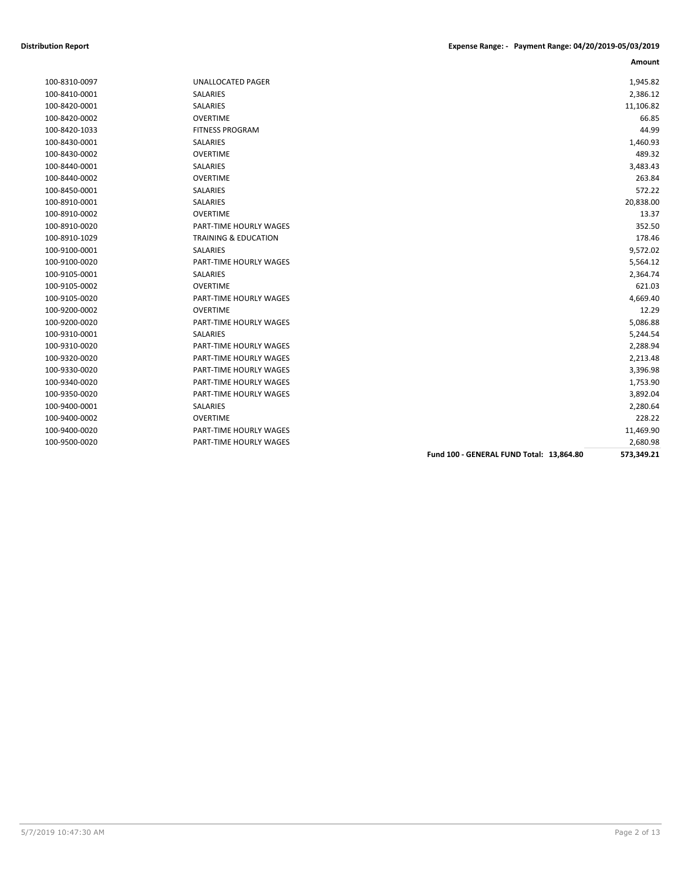| 100-8310-0097 |
|---------------|
| 100-8410-0001 |
| 100-8420-0001 |
| 100-8420-0002 |
| 100-8420-1033 |
| 100-8430-0001 |
| 100-8430-0002 |
| 100-8440-0001 |
| 100-8440-0002 |
| 100-8450-0001 |
| 100-8910-0001 |
| 100-8910-0002 |
| 100-8910-0020 |
| 100-8910-1029 |
| 100-9100-0001 |
| 100-9100-0020 |
| 100-9105-0001 |
| 100-9105-0002 |
| 100-9105-0020 |
| 100-9200-0002 |
| 100-9200-0020 |
| 100-9310-0001 |
| 100-9310-0020 |
| 100-9320-0020 |
| 100-9330-0020 |
| 100-9340-0020 |
| 100-9350-0020 |
| 100-9400-0001 |
| 100-9400-0002 |
| 100-9400-0020 |
| 100-9500-0020 |

|               |                                 |                                          | Amount     |
|---------------|---------------------------------|------------------------------------------|------------|
| 100-8310-0097 | UNALLOCATED PAGER               |                                          | 1,945.82   |
| 100-8410-0001 | SALARIES                        |                                          | 2,386.12   |
| 100-8420-0001 | SALARIES                        |                                          | 11,106.82  |
| 100-8420-0002 | <b>OVERTIME</b>                 |                                          | 66.85      |
| 100-8420-1033 | <b>FITNESS PROGRAM</b>          |                                          | 44.99      |
| 100-8430-0001 | SALARIES                        |                                          | 1,460.93   |
| 100-8430-0002 | <b>OVERTIME</b>                 |                                          | 489.32     |
| 100-8440-0001 | <b>SALARIES</b>                 |                                          | 3,483.43   |
| 100-8440-0002 | <b>OVERTIME</b>                 |                                          | 263.84     |
| 100-8450-0001 | SALARIES                        |                                          | 572.22     |
| 100-8910-0001 | <b>SALARIES</b>                 |                                          | 20,838.00  |
| 100-8910-0002 | <b>OVERTIME</b>                 |                                          | 13.37      |
| 100-8910-0020 | PART-TIME HOURLY WAGES          |                                          | 352.50     |
| 100-8910-1029 | <b>TRAINING &amp; EDUCATION</b> |                                          | 178.46     |
| 100-9100-0001 | SALARIES                        |                                          | 9,572.02   |
| 100-9100-0020 | PART-TIME HOURLY WAGES          |                                          | 5,564.12   |
| 100-9105-0001 | SALARIES                        |                                          | 2,364.74   |
| 100-9105-0002 | <b>OVERTIME</b>                 |                                          | 621.03     |
| 100-9105-0020 | <b>PART-TIME HOURLY WAGES</b>   |                                          | 4,669.40   |
| 100-9200-0002 | <b>OVERTIME</b>                 |                                          | 12.29      |
| 100-9200-0020 | PART-TIME HOURLY WAGES          |                                          | 5,086.88   |
| 100-9310-0001 | <b>SALARIES</b>                 |                                          | 5,244.54   |
| 100-9310-0020 | PART-TIME HOURLY WAGES          |                                          | 2,288.94   |
| 100-9320-0020 | <b>PART-TIME HOURLY WAGES</b>   |                                          | 2,213.48   |
| 100-9330-0020 | <b>PART-TIME HOURLY WAGES</b>   |                                          | 3,396.98   |
| 100-9340-0020 | PART-TIME HOURLY WAGES          |                                          | 1,753.90   |
| 100-9350-0020 | PART-TIME HOURLY WAGES          |                                          | 3,892.04   |
| 100-9400-0001 | SALARIES                        |                                          | 2,280.64   |
| 100-9400-0002 | <b>OVERTIME</b>                 |                                          | 228.22     |
| 100-9400-0020 | PART-TIME HOURLY WAGES          |                                          | 11,469.90  |
| 100-9500-0020 | <b>PART-TIME HOURLY WAGES</b>   |                                          | 2,680.98   |
|               |                                 | Fund 100 - GENERAL FUND Total: 13.864.80 | 573,349.21 |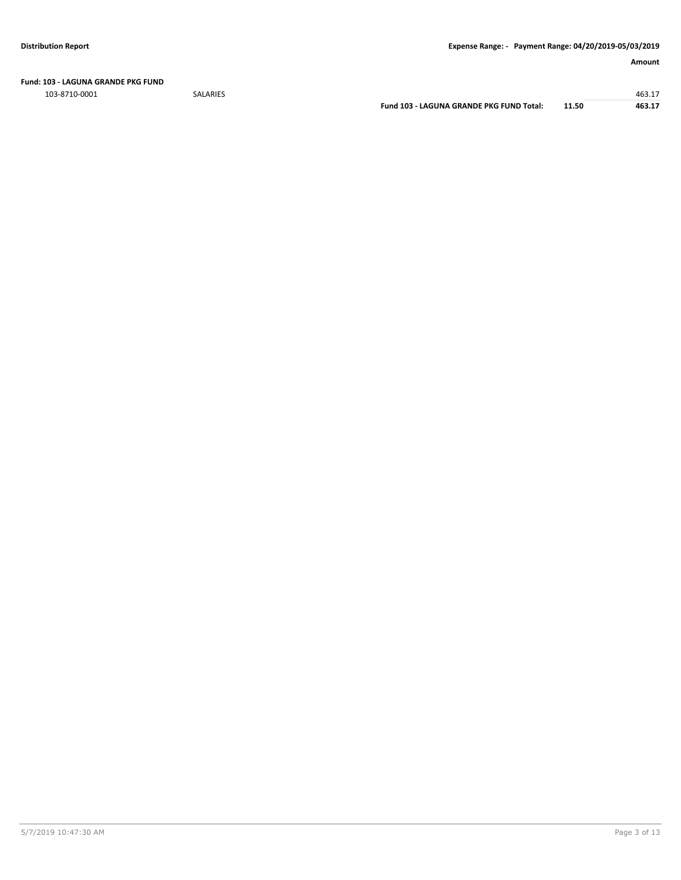**Fund: 103 - LAGUNA GRANDE PKG FUND**

103-8710-0001 SALARIES 463.17

**Fund 103 - LAGUNA GRANDE PKG FUND Total: 11.50 463.17**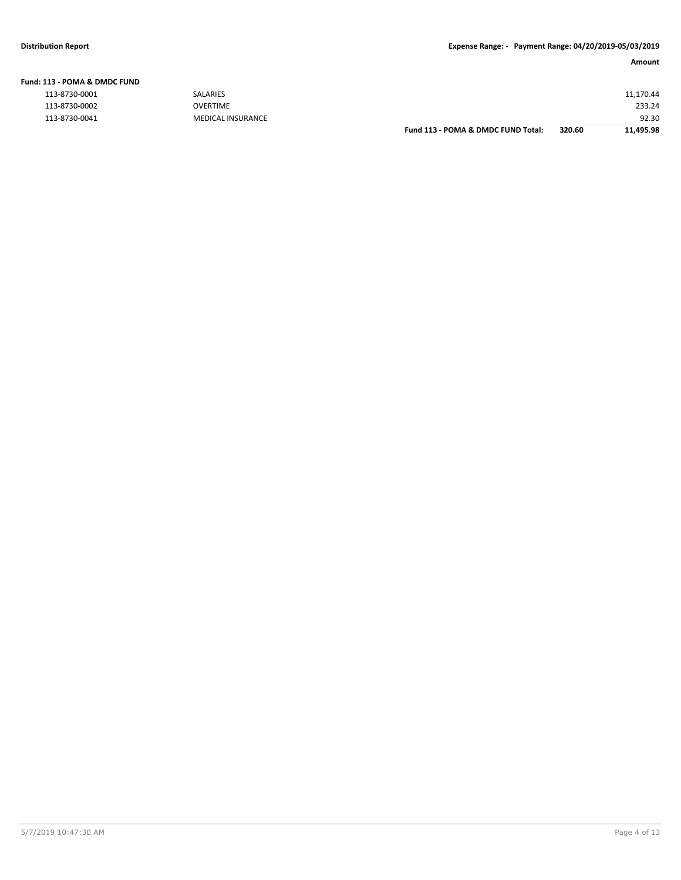| <b>Fund: 113 - POMA &amp; DMDC FUND</b> |          |
|-----------------------------------------|----------|
| 113-8730-0001                           | SALARIES |
| 113-8730-0002                           | OVERTIME |

|               |                          | Fund 113 - POMA & DMDC FUND Total: | 320.60 | 11,495.98 |
|---------------|--------------------------|------------------------------------|--------|-----------|
| 113-8730-0041 | <b>MEDICAL INSURANCE</b> |                                    |        | 92.30     |
| 113-8730-0002 | <b>OVERTIME</b>          |                                    |        | 233.24    |
| 113-8730-0001 | <b>SALARIES</b>          |                                    |        | 11,170.44 |
|               |                          |                                    |        |           |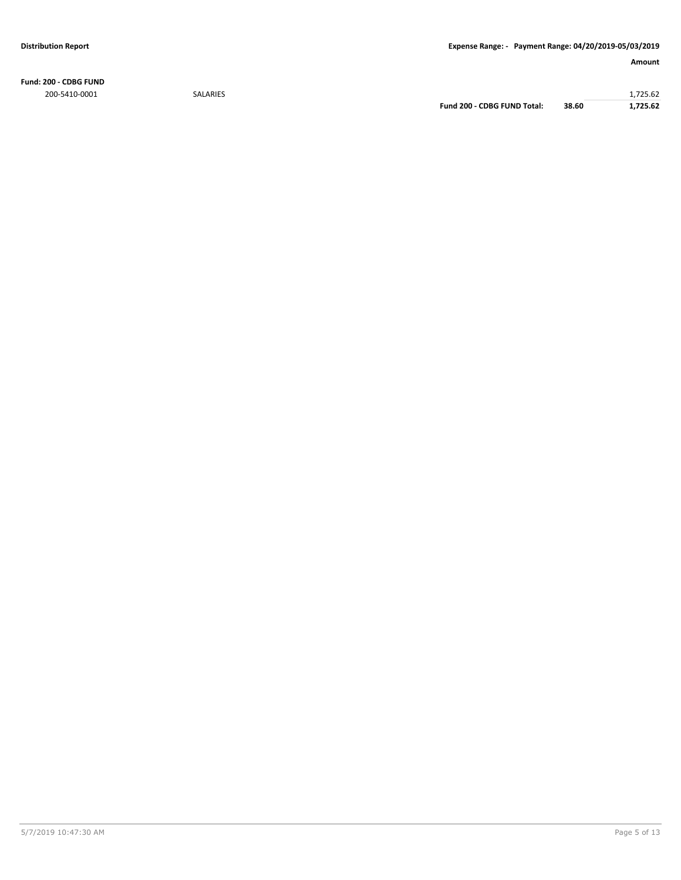**Fund: 200 - CDBG FUND** 200-5410-0001 SALARIES 1,725.62

**Fund 200 - CDBG FUND Total: 38.60 1,725.62**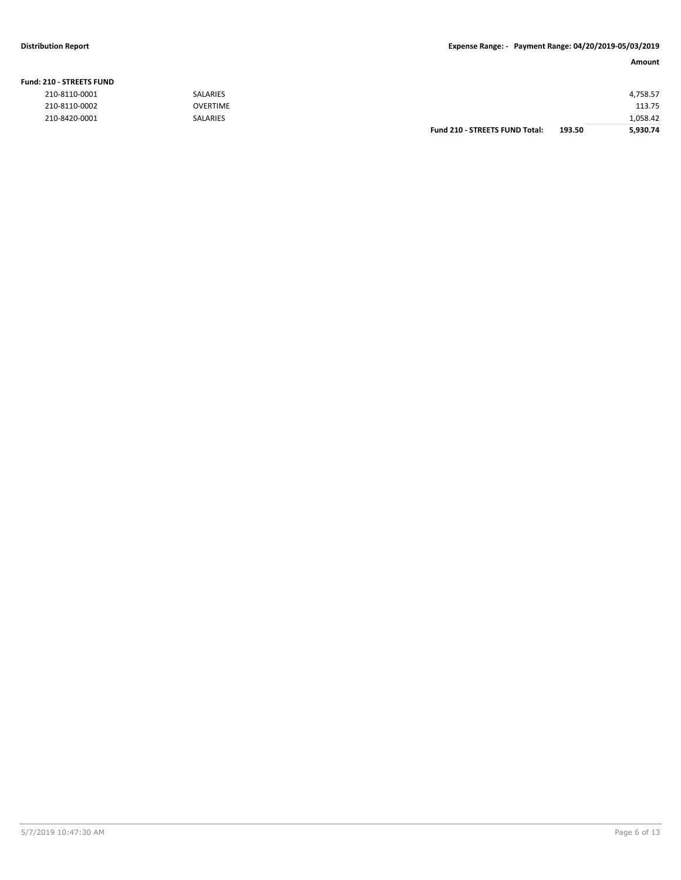### **Fund: 210 - STREETS FUND**

| 210-8110-0001 | SALARIES        |                                       |        | 4,758.57 |
|---------------|-----------------|---------------------------------------|--------|----------|
| 210-8110-0002 | <b>OVERTIME</b> |                                       |        | 113.75   |
| 210-8420-0001 | SALARIES        |                                       |        | 1,058.42 |
|               |                 | <b>Fund 210 - STREETS FUND Total:</b> | 193.50 | 5,930.74 |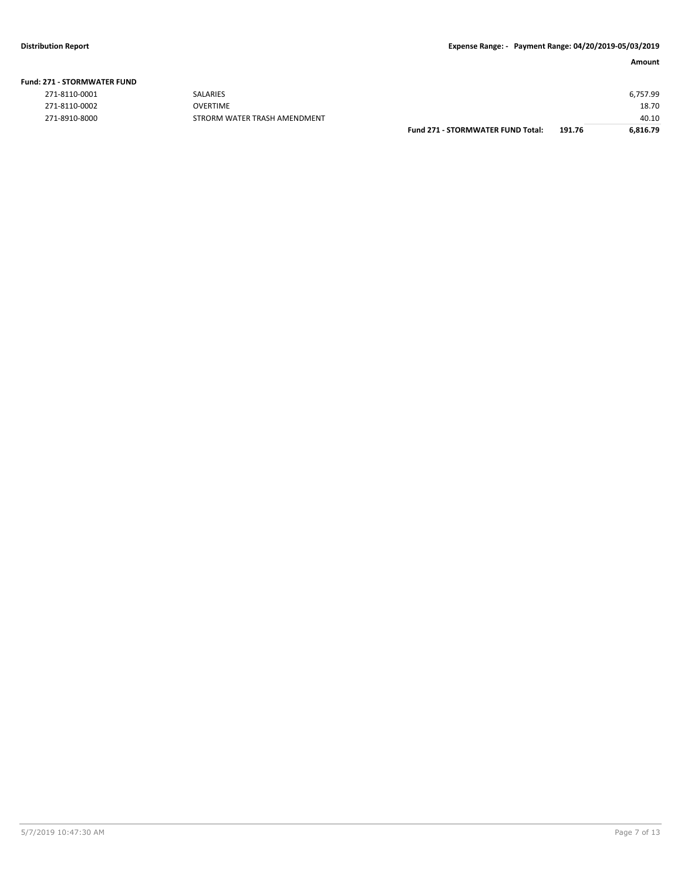**Fund: 271 - STORMWATER FUND**

|               |                              | <b>Fund 271 - STORMWATER FUND Total:</b> | 191.76 | 6,816.79 |
|---------------|------------------------------|------------------------------------------|--------|----------|
| 271-8910-8000 | STRORM WATER TRASH AMENDMENT |                                          |        | 40.10    |
| 271-8110-0002 | <b>OVERTIME</b>              |                                          |        | 18.70    |
| 271-8110-0001 | <b>SALARIES</b>              |                                          |        | 6,757.99 |
|               |                              |                                          |        |          |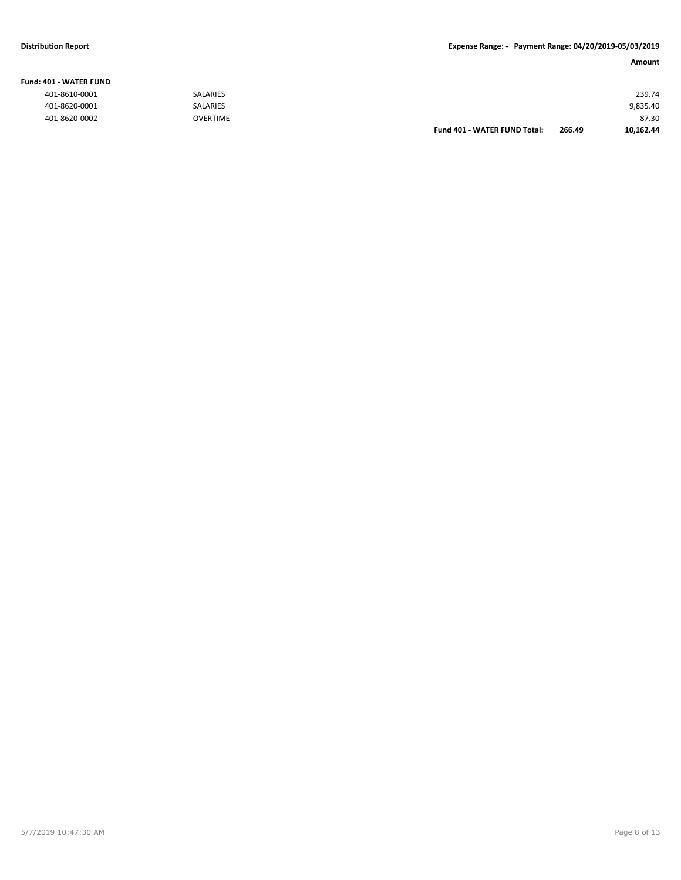### **Fund: 401 - WATER FUND**

|               |                 | <b>Fund 401 - WATER FUND Total:</b> | 266.49 | 10,162.44 |
|---------------|-----------------|-------------------------------------|--------|-----------|
| 401-8620-0002 | <b>OVERTIME</b> |                                     |        | 87.30     |
| 401-8620-0001 | <b>SALARIES</b> |                                     |        | 9,835.40  |
| 401-8610-0001 | <b>SALARIES</b> |                                     |        | 239.74    |
|               |                 |                                     |        |           |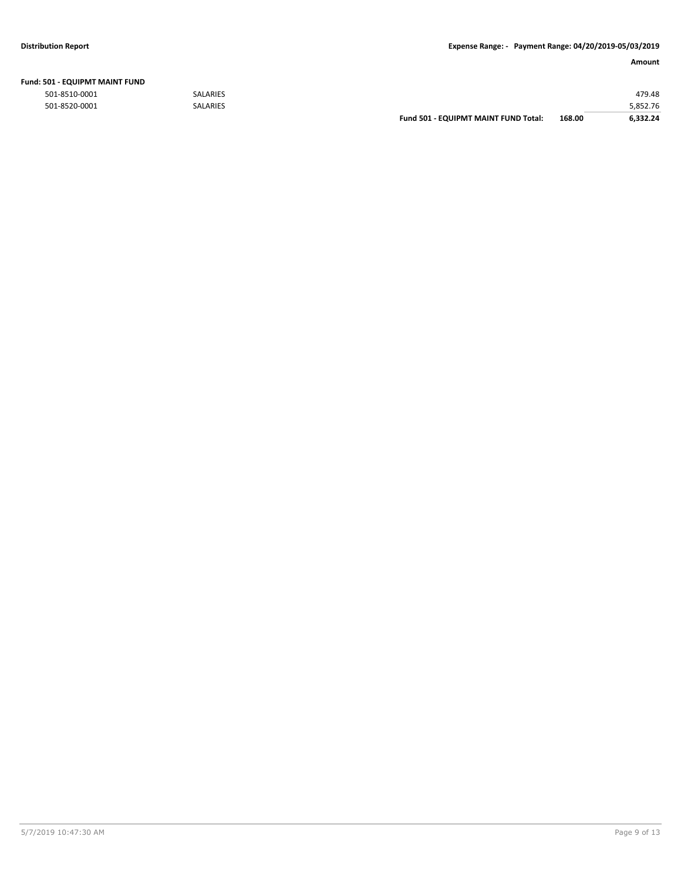| Fund: 501 - EQUIPMT MAINT FUND |  |
|--------------------------------|--|
|--------------------------------|--|

|               |                 | <b>Fund 501 - EQUIPMT MAINT FUND Total:</b> | 168.00 | 6.332.24 |
|---------------|-----------------|---------------------------------------------|--------|----------|
| 501-8520-0001 | <b>SALARIES</b> |                                             |        | 5,852.76 |
| 501-8510-0001 | <b>SALARIES</b> |                                             |        | 479.48   |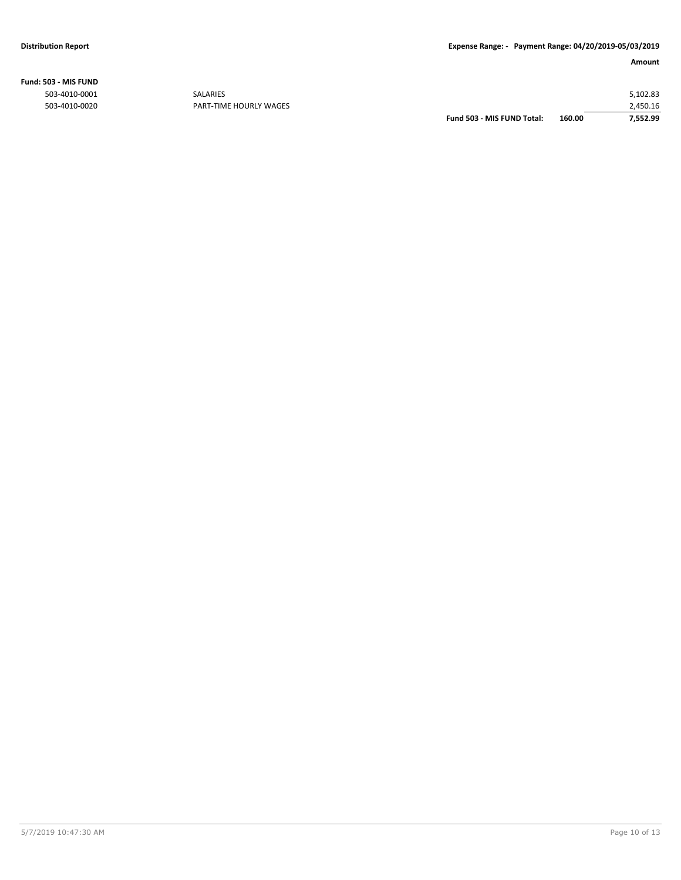**Fund: 503 - MIS FUND**

| 2.450.16 |
|----------|
| 5,102.83 |
|          |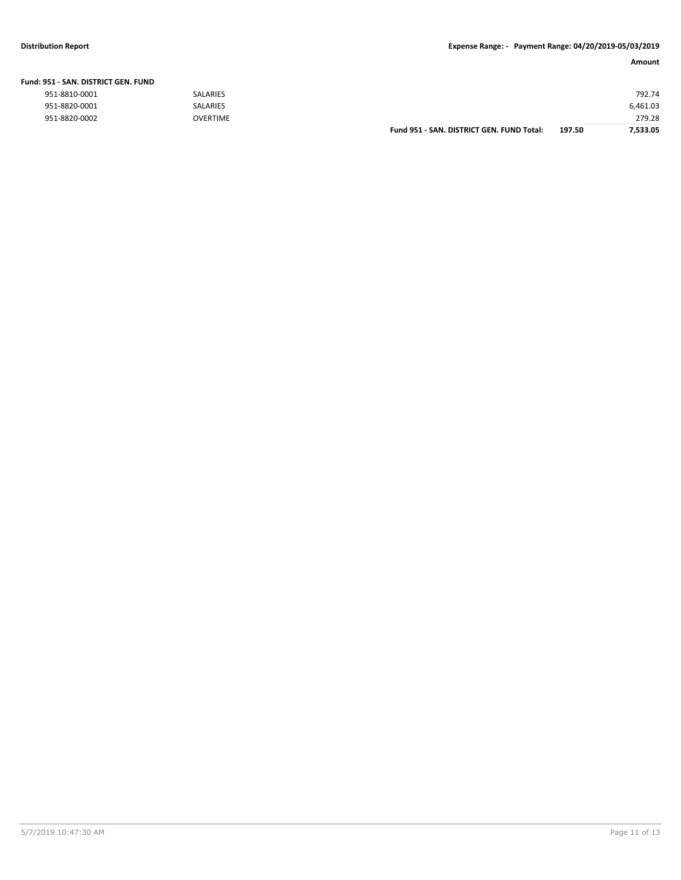| Fund: 951 - SAN. DISTRICT GEN. FUND |                 |                                           |        |          |
|-------------------------------------|-----------------|-------------------------------------------|--------|----------|
| 951-8810-0001                       | SALARIES        |                                           |        | 792.74   |
| 951-8820-0001                       | <b>SALARIES</b> |                                           |        | 6,461.03 |
| 951-8820-0002                       | <b>OVERTIME</b> |                                           |        | 279.28   |
|                                     |                 | Fund 951 - SAN, DISTRICT GEN, FUND Total: | 197.50 | 7.533.05 |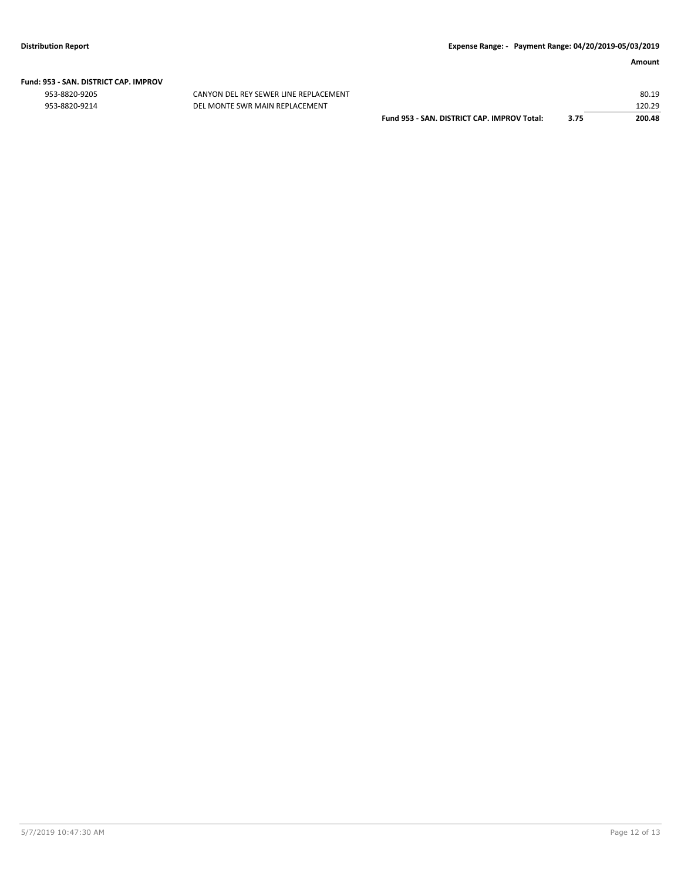# **Fund: 953 - SAN. DISTRICT CAP. IMPROV**

CANYON DEL REY SEWER LINE REPLACEMENT 953-8820-9214 DEL MONTE SWR MAIN REPLACEMENT

|                                             |      | 80.19  |
|---------------------------------------------|------|--------|
|                                             |      | 120.29 |
| Fund 953 - SAN, DISTRICT CAP, IMPROV Total: | 3.75 | 200.48 |